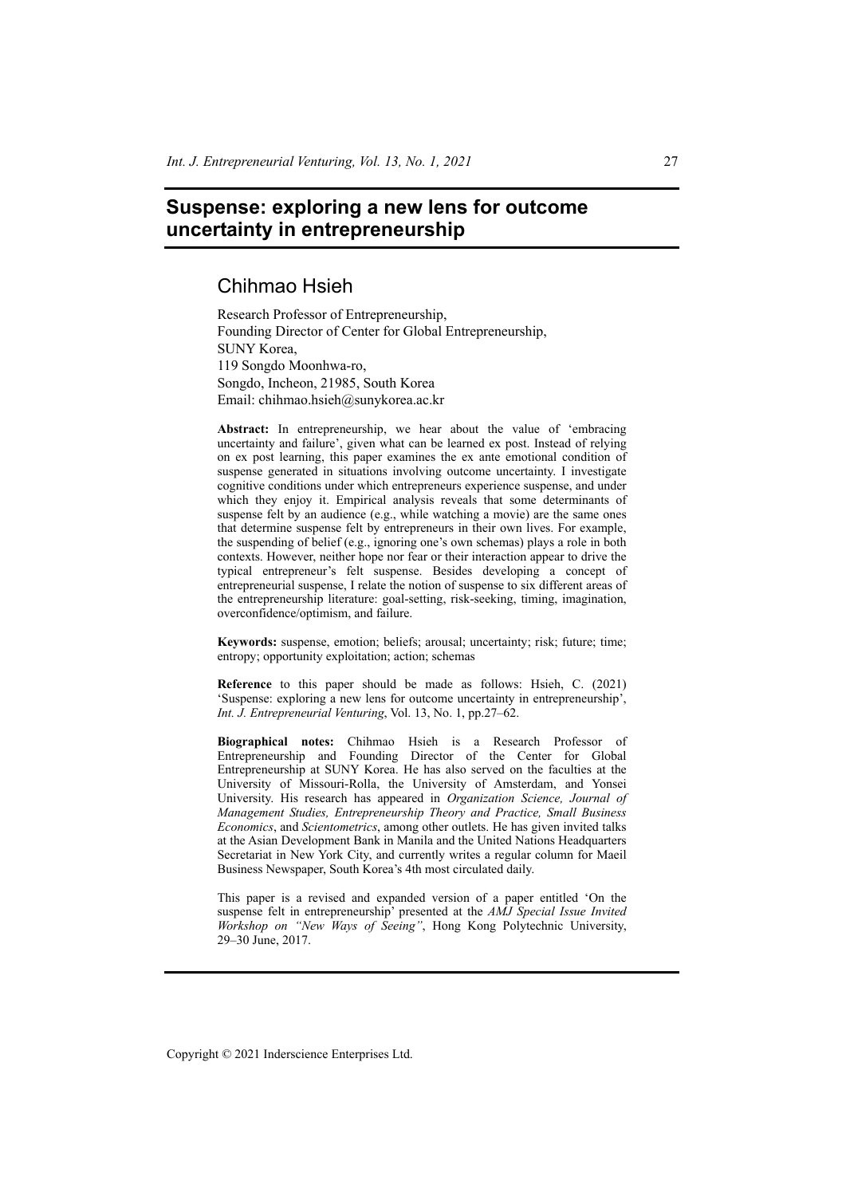# **Suspense: exploring a new lens for outcome uncertainty in entrepreneurship**

# Chihmao Hsieh

Research Professor of Entrepreneurship, Founding Director of Center for Global Entrepreneurship, SUNY Korea, 119 Songdo Moonhwa-ro, Songdo, Incheon, 21985, South Korea Email: chihmao.hsieh@sunykorea.ac.kr

**Abstract:** In entrepreneurship, we hear about the value of 'embracing uncertainty and failure', given what can be learned ex post. Instead of relying on ex post learning, this paper examines the ex ante emotional condition of suspense generated in situations involving outcome uncertainty. I investigate cognitive conditions under which entrepreneurs experience suspense, and under which they enjoy it. Empirical analysis reveals that some determinants of suspense felt by an audience (e.g., while watching a movie) are the same ones that determine suspense felt by entrepreneurs in their own lives. For example, the suspending of belief (e.g., ignoring one's own schemas) plays a role in both contexts. However, neither hope nor fear or their interaction appear to drive the typical entrepreneur's felt suspense. Besides developing a concept of entrepreneurial suspense, I relate the notion of suspense to six different areas of the entrepreneurship literature: goal-setting, risk-seeking, timing, imagination, overconfidence/optimism, and failure.

**Keywords:** suspense, emotion; beliefs; arousal; uncertainty; risk; future; time; entropy; opportunity exploitation; action; schemas

**Reference** to this paper should be made as follows: Hsieh, C. (2021) 'Suspense: exploring a new lens for outcome uncertainty in entrepreneurship', *Int. J. Entrepreneurial Venturing*, Vol. 13, No. 1, pp.27–62.

**Biographical notes:** Chihmao Hsieh is a Research Professor of Entrepreneurship and Founding Director of the Center for Global Entrepreneurship at SUNY Korea. He has also served on the faculties at the University of Missouri-Rolla, the University of Amsterdam, and Yonsei University. His research has appeared in *Organization Science, Journal of Management Studies, Entrepreneurship Theory and Practice, Small Business Economics*, and *Scientometrics*, among other outlets. He has given invited talks at the Asian Development Bank in Manila and the United Nations Headquarters Secretariat in New York City, and currently writes a regular column for Maeil Business Newspaper, South Korea's 4th most circulated daily.

This paper is a revised and expanded version of a paper entitled 'On the suspense felt in entrepreneurship' presented at the *AMJ Special Issue Invited Workshop on "New Ways of Seeing"*, Hong Kong Polytechnic University, 29–30 June, 2017.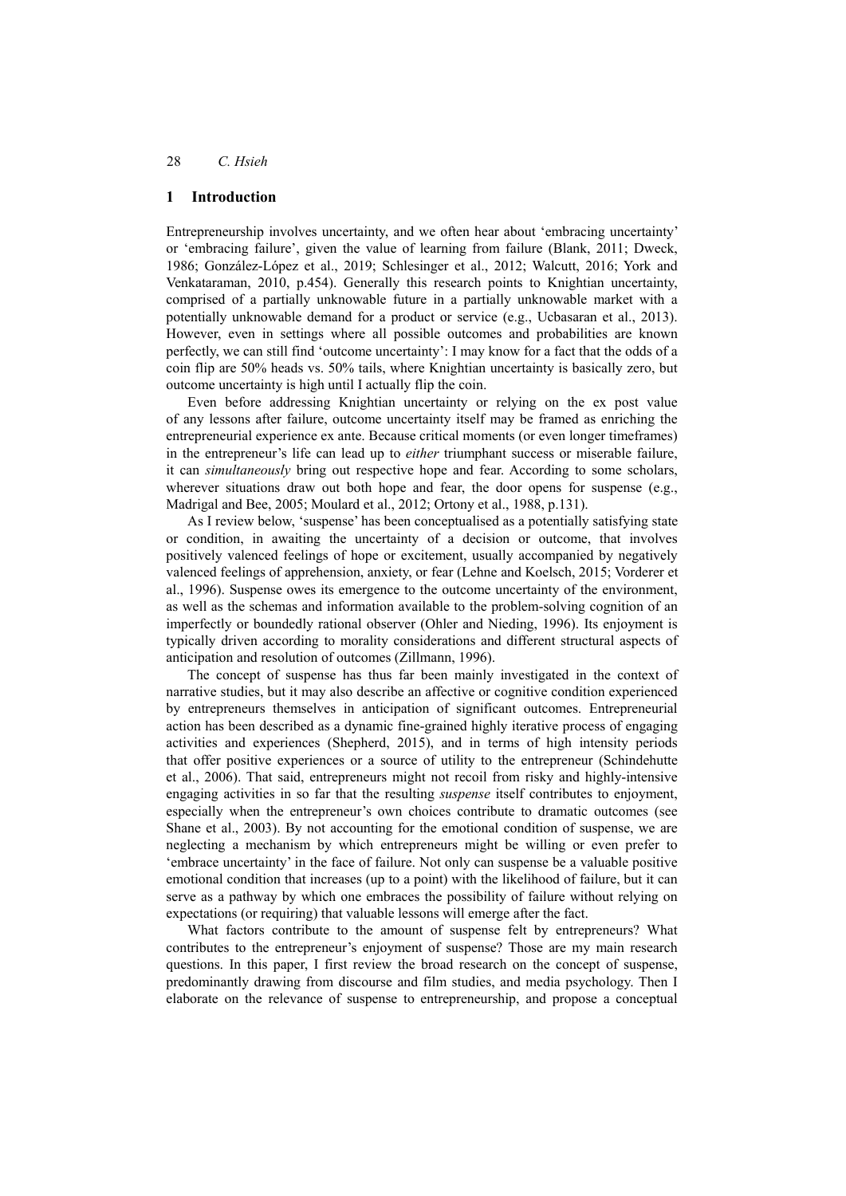### **1 Introduction**

Entrepreneurship involves uncertainty, and we often hear about 'embracing uncertainty' or 'embracing failure', given the value of learning from failure (Blank, 2011; Dweck, 1986; González-López et al., 2019; Schlesinger et al., 2012; Walcutt, 2016; York and Venkataraman, 2010, p.454). Generally this research points to Knightian uncertainty, comprised of a partially unknowable future in a partially unknowable market with a potentially unknowable demand for a product or service (e.g., Ucbasaran et al., 2013). However, even in settings where all possible outcomes and probabilities are known perfectly, we can still find 'outcome uncertainty': I may know for a fact that the odds of a coin flip are 50% heads vs. 50% tails, where Knightian uncertainty is basically zero, but outcome uncertainty is high until I actually flip the coin.

Even before addressing Knightian uncertainty or relying on the ex post value of any lessons after failure, outcome uncertainty itself may be framed as enriching the entrepreneurial experience ex ante. Because critical moments (or even longer timeframes) in the entrepreneur's life can lead up to *either* triumphant success or miserable failure, it can *simultaneously* bring out respective hope and fear. According to some scholars, wherever situations draw out both hope and fear, the door opens for suspense (e.g., Madrigal and Bee, 2005; Moulard et al., 2012; Ortony et al., 1988, p.131).

As I review below, 'suspense' has been conceptualised as a potentially satisfying state or condition, in awaiting the uncertainty of a decision or outcome, that involves positively valenced feelings of hope or excitement, usually accompanied by negatively valenced feelings of apprehension, anxiety, or fear (Lehne and Koelsch, 2015; Vorderer et al., 1996). Suspense owes its emergence to the outcome uncertainty of the environment, as well as the schemas and information available to the problem-solving cognition of an imperfectly or boundedly rational observer (Ohler and Nieding, 1996). Its enjoyment is typically driven according to morality considerations and different structural aspects of anticipation and resolution of outcomes (Zillmann, 1996).

The concept of suspense has thus far been mainly investigated in the context of narrative studies, but it may also describe an affective or cognitive condition experienced by entrepreneurs themselves in anticipation of significant outcomes. Entrepreneurial action has been described as a dynamic fine-grained highly iterative process of engaging activities and experiences (Shepherd, 2015), and in terms of high intensity periods that offer positive experiences or a source of utility to the entrepreneur (Schindehutte et al., 2006). That said, entrepreneurs might not recoil from risky and highly-intensive engaging activities in so far that the resulting *suspense* itself contributes to enjoyment, especially when the entrepreneur's own choices contribute to dramatic outcomes (see Shane et al., 2003). By not accounting for the emotional condition of suspense, we are neglecting a mechanism by which entrepreneurs might be willing or even prefer to 'embrace uncertainty' in the face of failure. Not only can suspense be a valuable positive emotional condition that increases (up to a point) with the likelihood of failure, but it can serve as a pathway by which one embraces the possibility of failure without relying on expectations (or requiring) that valuable lessons will emerge after the fact.

What factors contribute to the amount of suspense felt by entrepreneurs? What contributes to the entrepreneur's enjoyment of suspense? Those are my main research questions. In this paper, I first review the broad research on the concept of suspense, predominantly drawing from discourse and film studies, and media psychology. Then I elaborate on the relevance of suspense to entrepreneurship, and propose a conceptual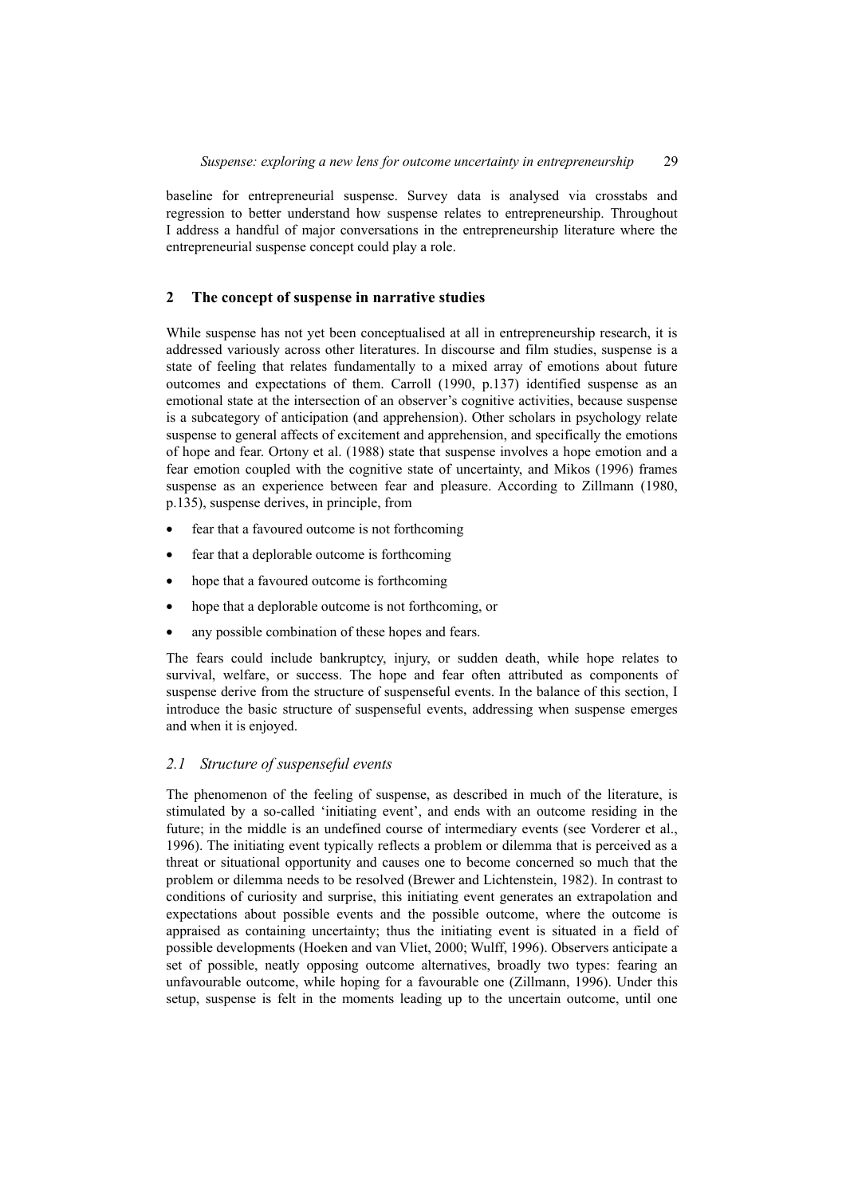baseline for entrepreneurial suspense. Survey data is analysed via crosstabs and regression to better understand how suspense relates to entrepreneurship. Throughout I address a handful of major conversations in the entrepreneurship literature where the entrepreneurial suspense concept could play a role.

# **2 The concept of suspense in narrative studies**

While suspense has not yet been conceptualised at all in entrepreneurship research, it is addressed variously across other literatures. In discourse and film studies, suspense is a state of feeling that relates fundamentally to a mixed array of emotions about future outcomes and expectations of them. Carroll (1990, p.137) identified suspense as an emotional state at the intersection of an observer's cognitive activities, because suspense is a subcategory of anticipation (and apprehension). Other scholars in psychology relate suspense to general affects of excitement and apprehension, and specifically the emotions of hope and fear. Ortony et al. (1988) state that suspense involves a hope emotion and a fear emotion coupled with the cognitive state of uncertainty, and Mikos (1996) frames suspense as an experience between fear and pleasure. According to Zillmann (1980, p.135), suspense derives, in principle, from

- fear that a favoured outcome is not forthcoming
- fear that a deplorable outcome is forthcoming
- hope that a favoured outcome is forthcoming
- hope that a deplorable outcome is not forthcoming, or
- any possible combination of these hopes and fears.

The fears could include bankruptcy, injury, or sudden death, while hope relates to survival, welfare, or success. The hope and fear often attributed as components of suspense derive from the structure of suspenseful events. In the balance of this section, I introduce the basic structure of suspenseful events, addressing when suspense emerges and when it is enjoyed.

# *2.1 Structure of suspenseful events*

The phenomenon of the feeling of suspense, as described in much of the literature, is stimulated by a so-called 'initiating event', and ends with an outcome residing in the future; in the middle is an undefined course of intermediary events (see Vorderer et al., 1996). The initiating event typically reflects a problem or dilemma that is perceived as a threat or situational opportunity and causes one to become concerned so much that the problem or dilemma needs to be resolved (Brewer and Lichtenstein, 1982). In contrast to conditions of curiosity and surprise, this initiating event generates an extrapolation and expectations about possible events and the possible outcome, where the outcome is appraised as containing uncertainty; thus the initiating event is situated in a field of possible developments (Hoeken and van Vliet, 2000; Wulff, 1996). Observers anticipate a set of possible, neatly opposing outcome alternatives, broadly two types: fearing an unfavourable outcome, while hoping for a favourable one (Zillmann, 1996). Under this setup, suspense is felt in the moments leading up to the uncertain outcome, until one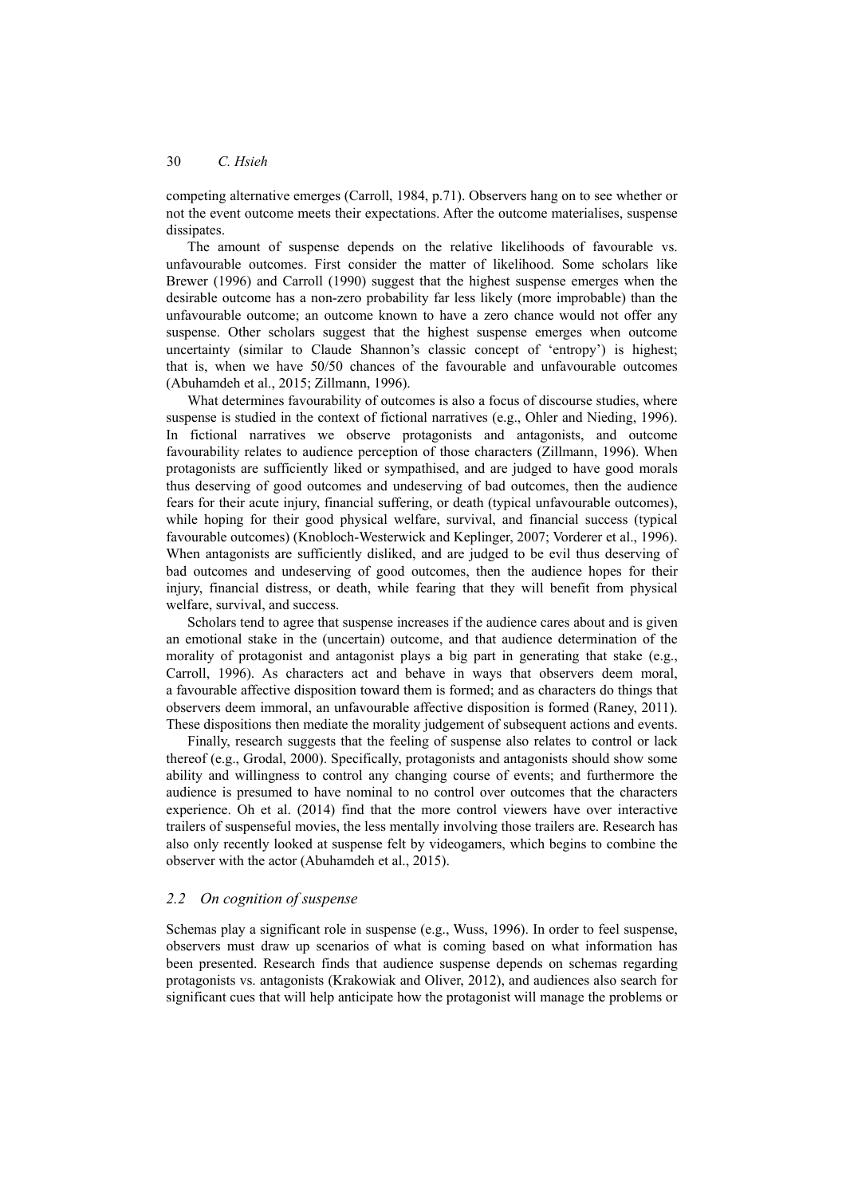competing alternative emerges (Carroll, 1984, p.71). Observers hang on to see whether or not the event outcome meets their expectations. After the outcome materialises, suspense dissipates.

The amount of suspense depends on the relative likelihoods of favourable vs. unfavourable outcomes. First consider the matter of likelihood. Some scholars like Brewer (1996) and Carroll (1990) suggest that the highest suspense emerges when the desirable outcome has a non-zero probability far less likely (more improbable) than the unfavourable outcome; an outcome known to have a zero chance would not offer any suspense. Other scholars suggest that the highest suspense emerges when outcome uncertainty (similar to Claude Shannon's classic concept of 'entropy') is highest; that is, when we have 50/50 chances of the favourable and unfavourable outcomes (Abuhamdeh et al., 2015; Zillmann, 1996).

What determines favourability of outcomes is also a focus of discourse studies, where suspense is studied in the context of fictional narratives (e.g., Ohler and Nieding, 1996). In fictional narratives we observe protagonists and antagonists, and outcome favourability relates to audience perception of those characters (Zillmann, 1996). When protagonists are sufficiently liked or sympathised, and are judged to have good morals thus deserving of good outcomes and undeserving of bad outcomes, then the audience fears for their acute injury, financial suffering, or death (typical unfavourable outcomes), while hoping for their good physical welfare, survival, and financial success (typical favourable outcomes) (Knobloch-Westerwick and Keplinger, 2007; Vorderer et al., 1996). When antagonists are sufficiently disliked, and are judged to be evil thus deserving of bad outcomes and undeserving of good outcomes, then the audience hopes for their injury, financial distress, or death, while fearing that they will benefit from physical welfare, survival, and success.

Scholars tend to agree that suspense increases if the audience cares about and is given an emotional stake in the (uncertain) outcome, and that audience determination of the morality of protagonist and antagonist plays a big part in generating that stake (e.g., Carroll, 1996). As characters act and behave in ways that observers deem moral, a favourable affective disposition toward them is formed; and as characters do things that observers deem immoral, an unfavourable affective disposition is formed (Raney, 2011). These dispositions then mediate the morality judgement of subsequent actions and events.

Finally, research suggests that the feeling of suspense also relates to control or lack thereof (e.g., Grodal, 2000). Specifically, protagonists and antagonists should show some ability and willingness to control any changing course of events; and furthermore the audience is presumed to have nominal to no control over outcomes that the characters experience. Oh et al. (2014) find that the more control viewers have over interactive trailers of suspenseful movies, the less mentally involving those trailers are. Research has also only recently looked at suspense felt by videogamers, which begins to combine the observer with the actor (Abuhamdeh et al., 2015).

### *2.2 On cognition of suspense*

Schemas play a significant role in suspense (e.g., Wuss, 1996). In order to feel suspense, observers must draw up scenarios of what is coming based on what information has been presented. Research finds that audience suspense depends on schemas regarding protagonists vs. antagonists (Krakowiak and Oliver, 2012), and audiences also search for significant cues that will help anticipate how the protagonist will manage the problems or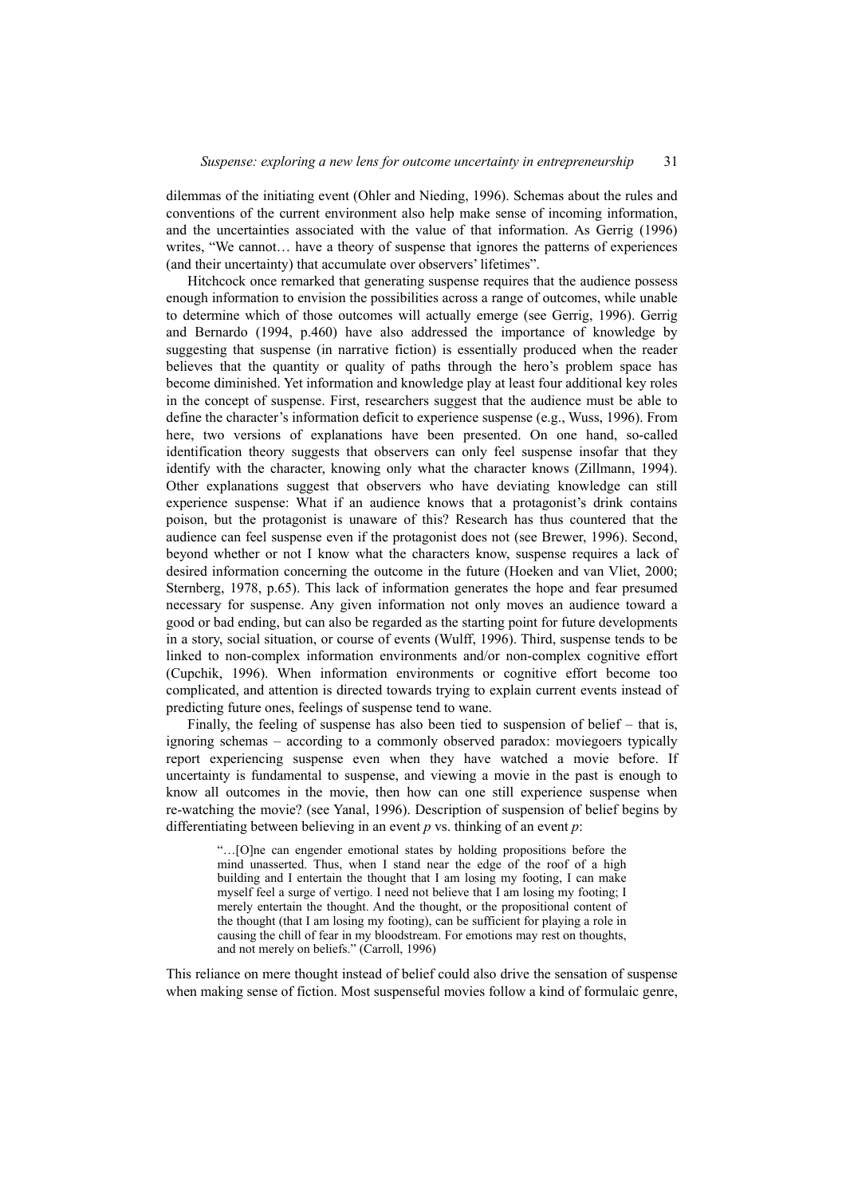dilemmas of the initiating event (Ohler and Nieding, 1996). Schemas about the rules and conventions of the current environment also help make sense of incoming information, and the uncertainties associated with the value of that information. As Gerrig (1996) writes. "We cannot... have a theory of suspense that ignores the patterns of experiences (and their uncertainty) that accumulate over observers' lifetimes".

Hitchcock once remarked that generating suspense requires that the audience possess enough information to envision the possibilities across a range of outcomes, while unable to determine which of those outcomes will actually emerge (see Gerrig, 1996). Gerrig and Bernardo (1994, p.460) have also addressed the importance of knowledge by suggesting that suspense (in narrative fiction) is essentially produced when the reader believes that the quantity or quality of paths through the hero's problem space has become diminished. Yet information and knowledge play at least four additional key roles in the concept of suspense. First, researchers suggest that the audience must be able to define the character's information deficit to experience suspense (e.g., Wuss, 1996). From here, two versions of explanations have been presented. On one hand, so-called identification theory suggests that observers can only feel suspense insofar that they identify with the character, knowing only what the character knows (Zillmann, 1994). Other explanations suggest that observers who have deviating knowledge can still experience suspense: What if an audience knows that a protagonist's drink contains poison, but the protagonist is unaware of this? Research has thus countered that the audience can feel suspense even if the protagonist does not (see Brewer, 1996). Second, beyond whether or not I know what the characters know, suspense requires a lack of desired information concerning the outcome in the future (Hoeken and van Vliet, 2000; Sternberg, 1978, p.65). This lack of information generates the hope and fear presumed necessary for suspense. Any given information not only moves an audience toward a good or bad ending, but can also be regarded as the starting point for future developments in a story, social situation, or course of events (Wulff, 1996). Third, suspense tends to be linked to non-complex information environments and/or non-complex cognitive effort (Cupchik, 1996). When information environments or cognitive effort become too complicated, and attention is directed towards trying to explain current events instead of predicting future ones, feelings of suspense tend to wane.

Finally, the feeling of suspense has also been tied to suspension of belief – that is, ignoring schemas – according to a commonly observed paradox: moviegoers typically report experiencing suspense even when they have watched a movie before. If uncertainty is fundamental to suspense, and viewing a movie in the past is enough to know all outcomes in the movie, then how can one still experience suspense when re-watching the movie? (see Yanal, 1996). Description of suspension of belief begins by differentiating between believing in an event *p* vs. thinking of an event *p*:

"…[O]ne can engender emotional states by holding propositions before the mind unasserted. Thus, when I stand near the edge of the roof of a high building and I entertain the thought that I am losing my footing, I can make myself feel a surge of vertigo. I need not believe that I am losing my footing; I merely entertain the thought. And the thought, or the propositional content of the thought (that I am losing my footing), can be sufficient for playing a role in causing the chill of fear in my bloodstream. For emotions may rest on thoughts, and not merely on beliefs." (Carroll, 1996)

This reliance on mere thought instead of belief could also drive the sensation of suspense when making sense of fiction. Most suspenseful movies follow a kind of formulaic genre,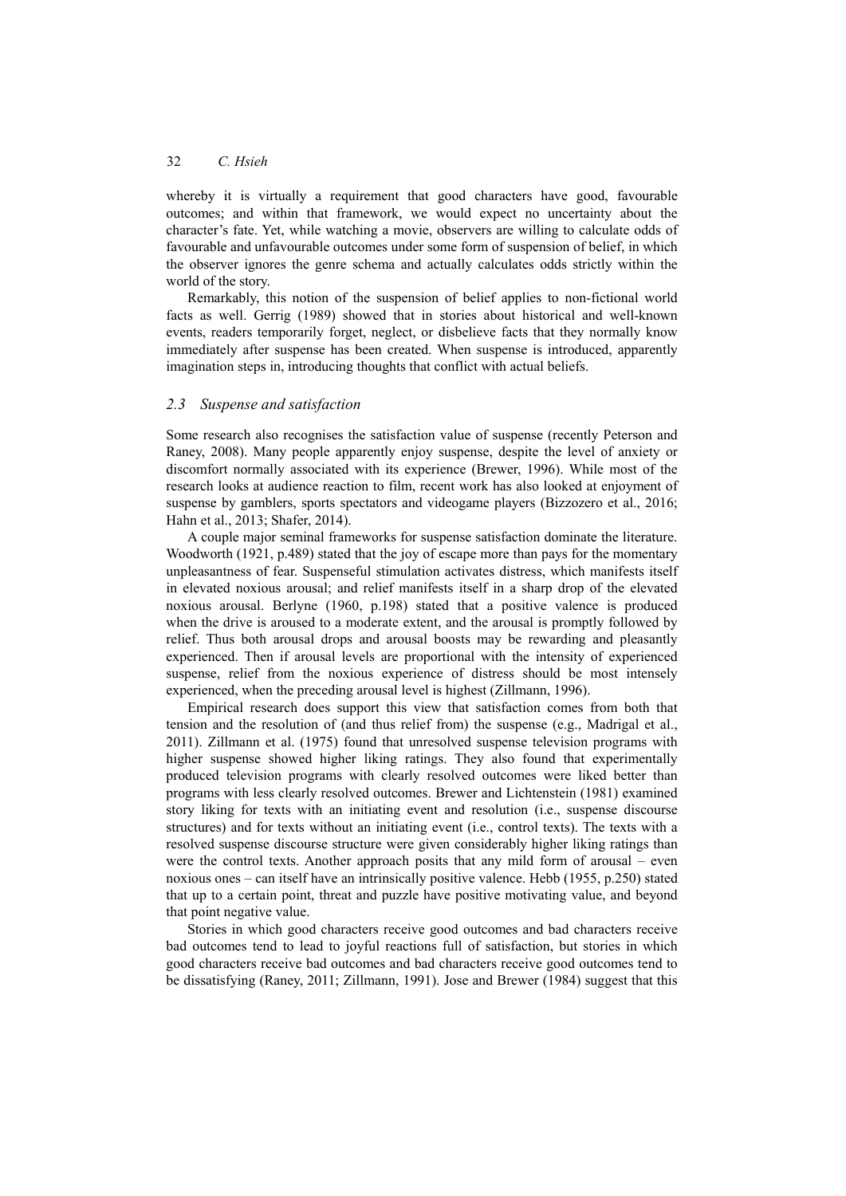whereby it is virtually a requirement that good characters have good, favourable outcomes; and within that framework, we would expect no uncertainty about the character's fate. Yet, while watching a movie, observers are willing to calculate odds of favourable and unfavourable outcomes under some form of suspension of belief, in which the observer ignores the genre schema and actually calculates odds strictly within the world of the story.

Remarkably, this notion of the suspension of belief applies to non-fictional world facts as well. Gerrig (1989) showed that in stories about historical and well-known events, readers temporarily forget, neglect, or disbelieve facts that they normally know immediately after suspense has been created. When suspense is introduced, apparently imagination steps in, introducing thoughts that conflict with actual beliefs.

### *2.3 Suspense and satisfaction*

Some research also recognises the satisfaction value of suspense (recently Peterson and Raney, 2008). Many people apparently enjoy suspense, despite the level of anxiety or discomfort normally associated with its experience (Brewer, 1996). While most of the research looks at audience reaction to film, recent work has also looked at enjoyment of suspense by gamblers, sports spectators and videogame players (Bizzozero et al., 2016; Hahn et al., 2013; Shafer, 2014).

A couple major seminal frameworks for suspense satisfaction dominate the literature. Woodworth (1921, p.489) stated that the joy of escape more than pays for the momentary unpleasantness of fear. Suspenseful stimulation activates distress, which manifests itself in elevated noxious arousal; and relief manifests itself in a sharp drop of the elevated noxious arousal. Berlyne (1960, p.198) stated that a positive valence is produced when the drive is aroused to a moderate extent, and the arousal is promptly followed by relief. Thus both arousal drops and arousal boosts may be rewarding and pleasantly experienced. Then if arousal levels are proportional with the intensity of experienced suspense, relief from the noxious experience of distress should be most intensely experienced, when the preceding arousal level is highest (Zillmann, 1996).

Empirical research does support this view that satisfaction comes from both that tension and the resolution of (and thus relief from) the suspense (e.g., Madrigal et al., 2011). Zillmann et al. (1975) found that unresolved suspense television programs with higher suspense showed higher liking ratings. They also found that experimentally produced television programs with clearly resolved outcomes were liked better than programs with less clearly resolved outcomes. Brewer and Lichtenstein (1981) examined story liking for texts with an initiating event and resolution (i.e., suspense discourse structures) and for texts without an initiating event (i.e., control texts). The texts with a resolved suspense discourse structure were given considerably higher liking ratings than were the control texts. Another approach posits that any mild form of arousal – even noxious ones – can itself have an intrinsically positive valence. Hebb (1955, p.250) stated that up to a certain point, threat and puzzle have positive motivating value, and beyond that point negative value.

Stories in which good characters receive good outcomes and bad characters receive bad outcomes tend to lead to joyful reactions full of satisfaction, but stories in which good characters receive bad outcomes and bad characters receive good outcomes tend to be dissatisfying (Raney, 2011; Zillmann, 1991). Jose and Brewer (1984) suggest that this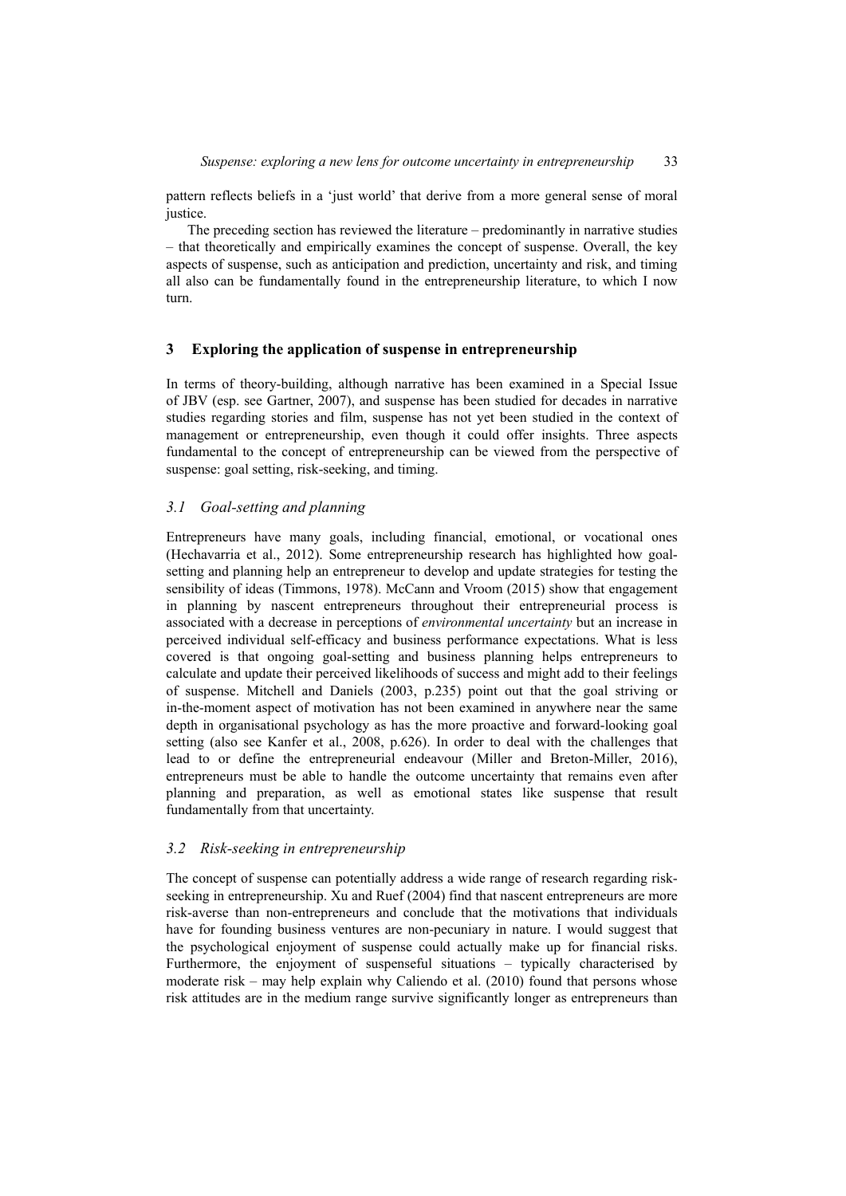pattern reflects beliefs in a 'just world' that derive from a more general sense of moral justice.

The preceding section has reviewed the literature – predominantly in narrative studies – that theoretically and empirically examines the concept of suspense. Overall, the key aspects of suspense, such as anticipation and prediction, uncertainty and risk, and timing all also can be fundamentally found in the entrepreneurship literature, to which I now turn.

# **3 Exploring the application of suspense in entrepreneurship**

In terms of theory-building, although narrative has been examined in a Special Issue of JBV (esp. see Gartner, 2007), and suspense has been studied for decades in narrative studies regarding stories and film, suspense has not yet been studied in the context of management or entrepreneurship, even though it could offer insights. Three aspects fundamental to the concept of entrepreneurship can be viewed from the perspective of suspense: goal setting, risk-seeking, and timing.

# *3.1 Goal-setting and planning*

Entrepreneurs have many goals, including financial, emotional, or vocational ones (Hechavarria et al., 2012). Some entrepreneurship research has highlighted how goalsetting and planning help an entrepreneur to develop and update strategies for testing the sensibility of ideas (Timmons, 1978). McCann and Vroom (2015) show that engagement in planning by nascent entrepreneurs throughout their entrepreneurial process is associated with a decrease in perceptions of *environmental uncertainty* but an increase in perceived individual self-efficacy and business performance expectations. What is less covered is that ongoing goal-setting and business planning helps entrepreneurs to calculate and update their perceived likelihoods of success and might add to their feelings of suspense. Mitchell and Daniels (2003, p.235) point out that the goal striving or in-the-moment aspect of motivation has not been examined in anywhere near the same depth in organisational psychology as has the more proactive and forward-looking goal setting (also see Kanfer et al., 2008, p.626). In order to deal with the challenges that lead to or define the entrepreneurial endeavour (Miller and Breton-Miller, 2016), entrepreneurs must be able to handle the outcome uncertainty that remains even after planning and preparation, as well as emotional states like suspense that result fundamentally from that uncertainty.

# *3.2 Risk-seeking in entrepreneurship*

The concept of suspense can potentially address a wide range of research regarding riskseeking in entrepreneurship. Xu and Ruef (2004) find that nascent entrepreneurs are more risk-averse than non-entrepreneurs and conclude that the motivations that individuals have for founding business ventures are non-pecuniary in nature. I would suggest that the psychological enjoyment of suspense could actually make up for financial risks. Furthermore, the enjoyment of suspenseful situations – typically characterised by moderate risk – may help explain why Caliendo et al. (2010) found that persons whose risk attitudes are in the medium range survive significantly longer as entrepreneurs than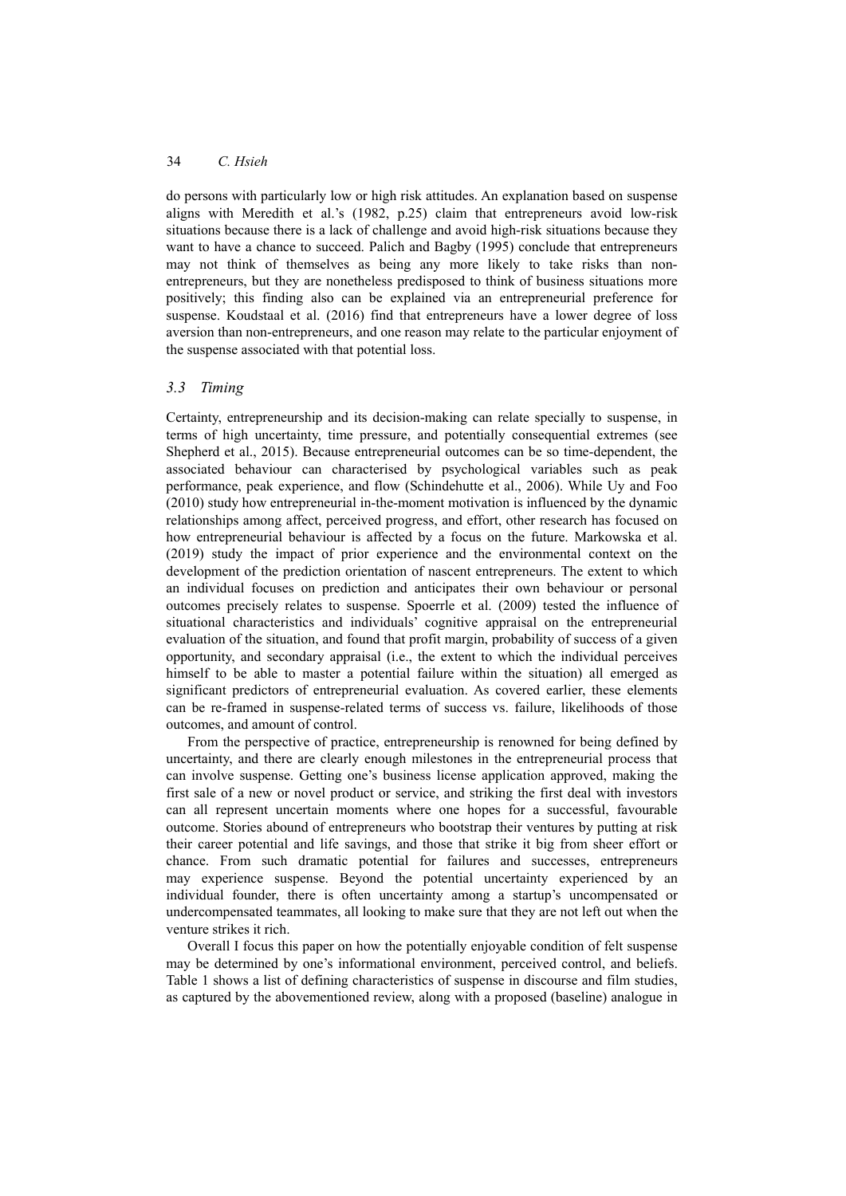do persons with particularly low or high risk attitudes. An explanation based on suspense aligns with Meredith et al.'s (1982, p.25) claim that entrepreneurs avoid low-risk situations because there is a lack of challenge and avoid high-risk situations because they want to have a chance to succeed. Palich and Bagby (1995) conclude that entrepreneurs may not think of themselves as being any more likely to take risks than nonentrepreneurs, but they are nonetheless predisposed to think of business situations more positively; this finding also can be explained via an entrepreneurial preference for suspense. Koudstaal et al. (2016) find that entrepreneurs have a lower degree of loss aversion than non-entrepreneurs, and one reason may relate to the particular enjoyment of the suspense associated with that potential loss.

## *3.3 Timing*

Certainty, entrepreneurship and its decision-making can relate specially to suspense, in terms of high uncertainty, time pressure, and potentially consequential extremes (see Shepherd et al., 2015). Because entrepreneurial outcomes can be so time-dependent, the associated behaviour can characterised by psychological variables such as peak performance, peak experience, and flow (Schindehutte et al., 2006). While Uy and Foo (2010) study how entrepreneurial in-the-moment motivation is influenced by the dynamic relationships among affect, perceived progress, and effort, other research has focused on how entrepreneurial behaviour is affected by a focus on the future. Markowska et al. (2019) study the impact of prior experience and the environmental context on the development of the prediction orientation of nascent entrepreneurs. The extent to which an individual focuses on prediction and anticipates their own behaviour or personal outcomes precisely relates to suspense. Spoerrle et al. (2009) tested the influence of situational characteristics and individuals' cognitive appraisal on the entrepreneurial evaluation of the situation, and found that profit margin, probability of success of a given opportunity, and secondary appraisal (i.e., the extent to which the individual perceives himself to be able to master a potential failure within the situation) all emerged as significant predictors of entrepreneurial evaluation. As covered earlier, these elements can be re-framed in suspense-related terms of success vs. failure, likelihoods of those outcomes, and amount of control.

From the perspective of practice, entrepreneurship is renowned for being defined by uncertainty, and there are clearly enough milestones in the entrepreneurial process that can involve suspense. Getting one's business license application approved, making the first sale of a new or novel product or service, and striking the first deal with investors can all represent uncertain moments where one hopes for a successful, favourable outcome. Stories abound of entrepreneurs who bootstrap their ventures by putting at risk their career potential and life savings, and those that strike it big from sheer effort or chance. From such dramatic potential for failures and successes, entrepreneurs may experience suspense. Beyond the potential uncertainty experienced by an individual founder, there is often uncertainty among a startup's uncompensated or undercompensated teammates, all looking to make sure that they are not left out when the venture strikes it rich.

Overall I focus this paper on how the potentially enjoyable condition of felt suspense may be determined by one's informational environment, perceived control, and beliefs. Table 1 shows a list of defining characteristics of suspense in discourse and film studies, as captured by the abovementioned review, along with a proposed (baseline) analogue in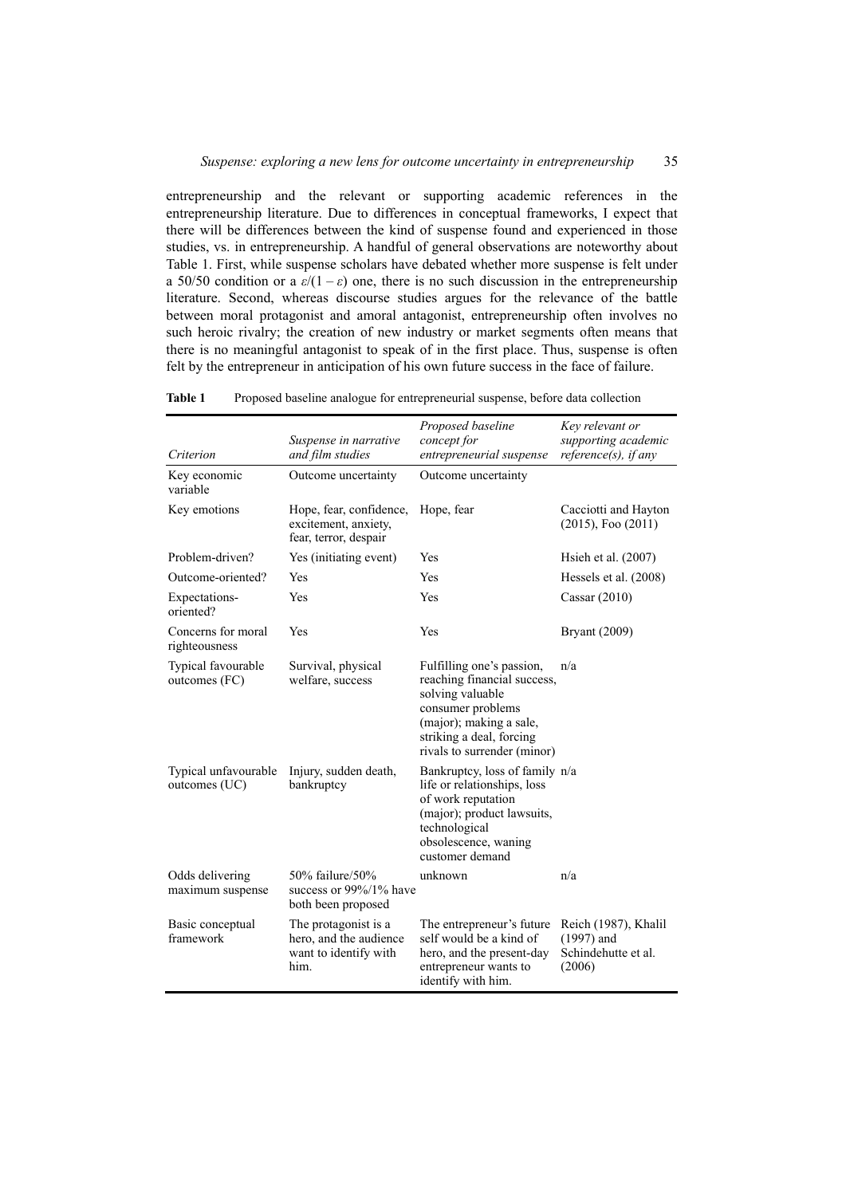entrepreneurship and the relevant or supporting academic references in the entrepreneurship literature. Due to differences in conceptual frameworks, I expect that there will be differences between the kind of suspense found and experienced in those studies, vs. in entrepreneurship. A handful of general observations are noteworthy about Table 1. First, while suspense scholars have debated whether more suspense is felt under a 50/50 condition or a  $\varepsilon/(1-\varepsilon)$  one, there is no such discussion in the entrepreneurship literature. Second, whereas discourse studies argues for the relevance of the battle between moral protagonist and amoral antagonist, entrepreneurship often involves no such heroic rivalry; the creation of new industry or market segments often means that there is no meaningful antagonist to speak of in the first place. Thus, suspense is often felt by the entrepreneur in anticipation of his own future success in the face of failure.

| Criterion                             | Suspense in narrative<br>and film studies                                       | Proposed baseline<br>concept for<br>entrepreneurial suspense                                                                                                                            | Key relevant or<br>supporting academic<br>$reference(s)$ , if any     |
|---------------------------------------|---------------------------------------------------------------------------------|-----------------------------------------------------------------------------------------------------------------------------------------------------------------------------------------|-----------------------------------------------------------------------|
| Key economic<br>variable              | Outcome uncertainty                                                             | Outcome uncertainty                                                                                                                                                                     |                                                                       |
| Key emotions                          | Hope, fear, confidence,<br>excitement, anxiety,<br>fear, terror, despair        | Hope, fear                                                                                                                                                                              | Cacciotti and Hayton<br>$(2015)$ , Foo $(2011)$                       |
| Problem-driven?                       | Yes (initiating event)                                                          | Yes                                                                                                                                                                                     | Hsieh et al. $(2007)$                                                 |
| Outcome-oriented?                     | Yes                                                                             | Yes                                                                                                                                                                                     | Hessels et al. (2008)                                                 |
| Expectations-<br>oriented?            | Yes                                                                             | Yes                                                                                                                                                                                     | Cassar $(2010)$                                                       |
| Concerns for moral<br>righteousness   | Yes                                                                             | Yes                                                                                                                                                                                     | <b>Bryant</b> (2009)                                                  |
| Typical favourable<br>outcomes (FC)   | Survival, physical<br>welfare, success                                          | Fulfilling one's passion,<br>reaching financial success,<br>solving valuable<br>consumer problems<br>(major); making a sale,<br>striking a deal, forcing<br>rivals to surrender (minor) | n/a                                                                   |
| Typical unfavourable<br>outcomes (UC) | Injury, sudden death,<br>bankruptcy                                             | Bankruptcy, loss of family n/a<br>life or relationships, loss<br>of work reputation<br>(major); product lawsuits,<br>technological<br>obsolescence, waning<br>customer demand           |                                                                       |
| Odds delivering<br>maximum suspense   | 50% failure/50%<br>success or $99\%/1\%$ have<br>both been proposed             | unknown                                                                                                                                                                                 | n/a                                                                   |
| Basic conceptual<br>framework         | The protagonist is a<br>hero, and the audience<br>want to identify with<br>him. | The entrepreneur's future<br>self would be a kind of<br>hero, and the present-day<br>entrepreneur wants to<br>identify with him.                                                        | Reich (1987), Khalil<br>$(1997)$ and<br>Schindehutte et al.<br>(2006) |

**Table 1** Proposed baseline analogue for entrepreneurial suspense, before data collection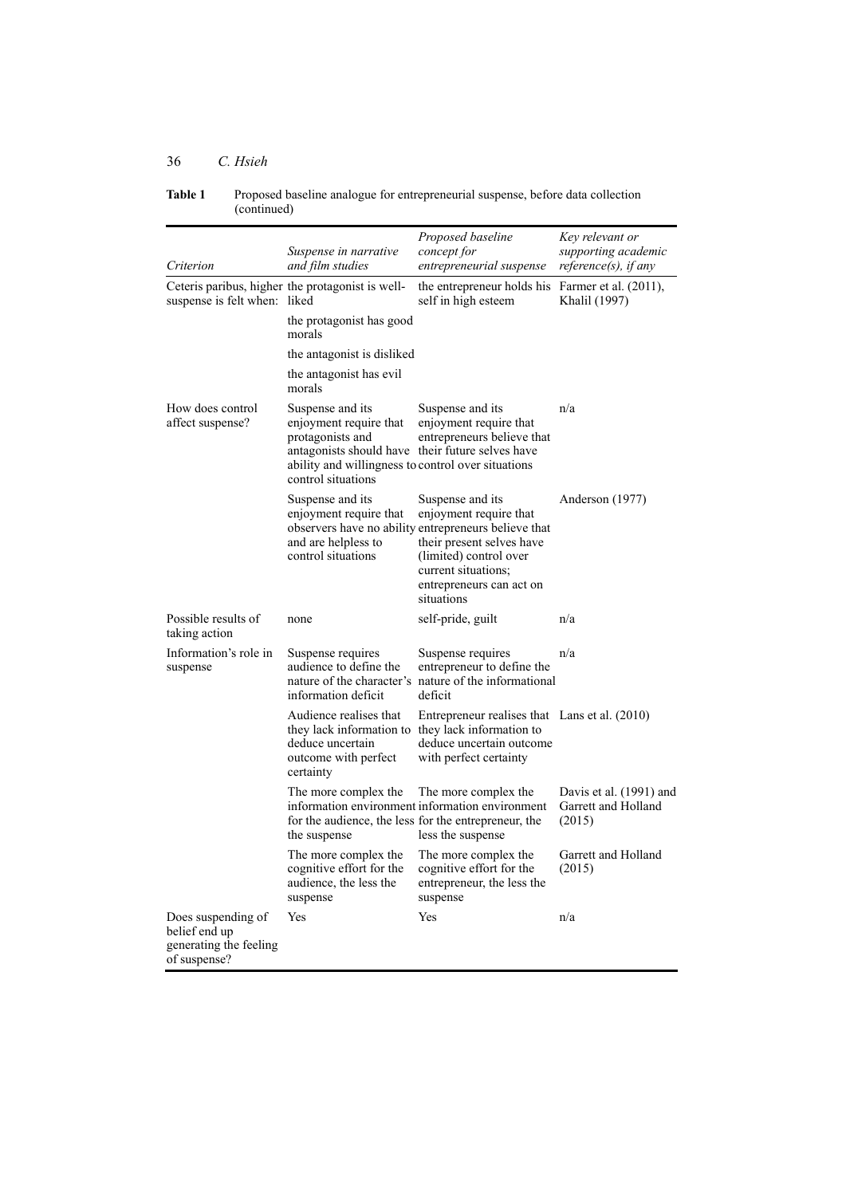| Criterion                                                                     | Suspense in narrative<br>and film studies                                                                                                                                                      | Proposed baseline<br>concept for<br>entrepreneurial suspense                                                                                                                                                               | Key relevant or<br>supporting academic<br>$reference(s)$ , if any |
|-------------------------------------------------------------------------------|------------------------------------------------------------------------------------------------------------------------------------------------------------------------------------------------|----------------------------------------------------------------------------------------------------------------------------------------------------------------------------------------------------------------------------|-------------------------------------------------------------------|
| suspense is felt when: liked                                                  | Ceteris paribus, higher the protagonist is well-                                                                                                                                               | the entrepreneur holds his Farmer et al. (2011),<br>self in high esteem                                                                                                                                                    | Khalil (1997)                                                     |
|                                                                               | the protagonist has good<br>morals                                                                                                                                                             |                                                                                                                                                                                                                            |                                                                   |
|                                                                               | the antagonist is disliked                                                                                                                                                                     |                                                                                                                                                                                                                            |                                                                   |
|                                                                               | the antagonist has evil<br>morals                                                                                                                                                              |                                                                                                                                                                                                                            |                                                                   |
| How does control<br>affect suspense?                                          | Suspense and its<br>enjoyment require that<br>protagonists and<br>antagonists should have their future selves have<br>ability and willingness to control over situations<br>control situations | Suspense and its<br>enjoyment require that<br>entrepreneurs believe that                                                                                                                                                   | n/a                                                               |
|                                                                               | Suspense and its<br>enjoyment require that<br>and are helpless to<br>control situations                                                                                                        | Suspense and its<br>enjoyment require that<br>observers have no ability entrepreneurs believe that<br>their present selves have<br>(limited) control over<br>current situations;<br>entrepreneurs can act on<br>situations | Anderson (1977)                                                   |
| Possible results of<br>taking action                                          | none                                                                                                                                                                                           | self-pride, guilt                                                                                                                                                                                                          | n/a                                                               |
| Information's role in<br>suspense                                             | Suspense requires<br>audience to define the<br>nature of the character's<br>information deficit                                                                                                | Suspense requires<br>entrepreneur to define the<br>nature of the informational<br>deficit                                                                                                                                  | n/a                                                               |
|                                                                               | Audience realises that<br>they lack information to they lack information to<br>deduce uncertain<br>outcome with perfect<br>certainty                                                           | Entrepreneur realises that Lans et al. (2010)<br>deduce uncertain outcome<br>with perfect certainty                                                                                                                        |                                                                   |
|                                                                               | The more complex the<br>for the audience, the less for the entrepreneur, the<br>the suspense                                                                                                   | The more complex the<br>information environment information environment<br>less the suspense                                                                                                                               | Davis et al. (1991) and<br>Garrett and Holland<br>(2015)          |
|                                                                               | The more complex the<br>cognitive effort for the<br>audience, the less the<br>suspense                                                                                                         | The more complex the<br>cognitive effort for the<br>entrepreneur, the less the<br>suspense                                                                                                                                 | Garrett and Holland<br>(2015)                                     |
| Does suspending of<br>belief end up<br>generating the feeling<br>of suspense? | Yes                                                                                                                                                                                            | Yes                                                                                                                                                                                                                        | n/a                                                               |

| Table 1 | Proposed baseline analogue for entrepreneurial suspense, before data collection |
|---------|---------------------------------------------------------------------------------|
|         | (continued)                                                                     |

# 36 *C. Hsieh*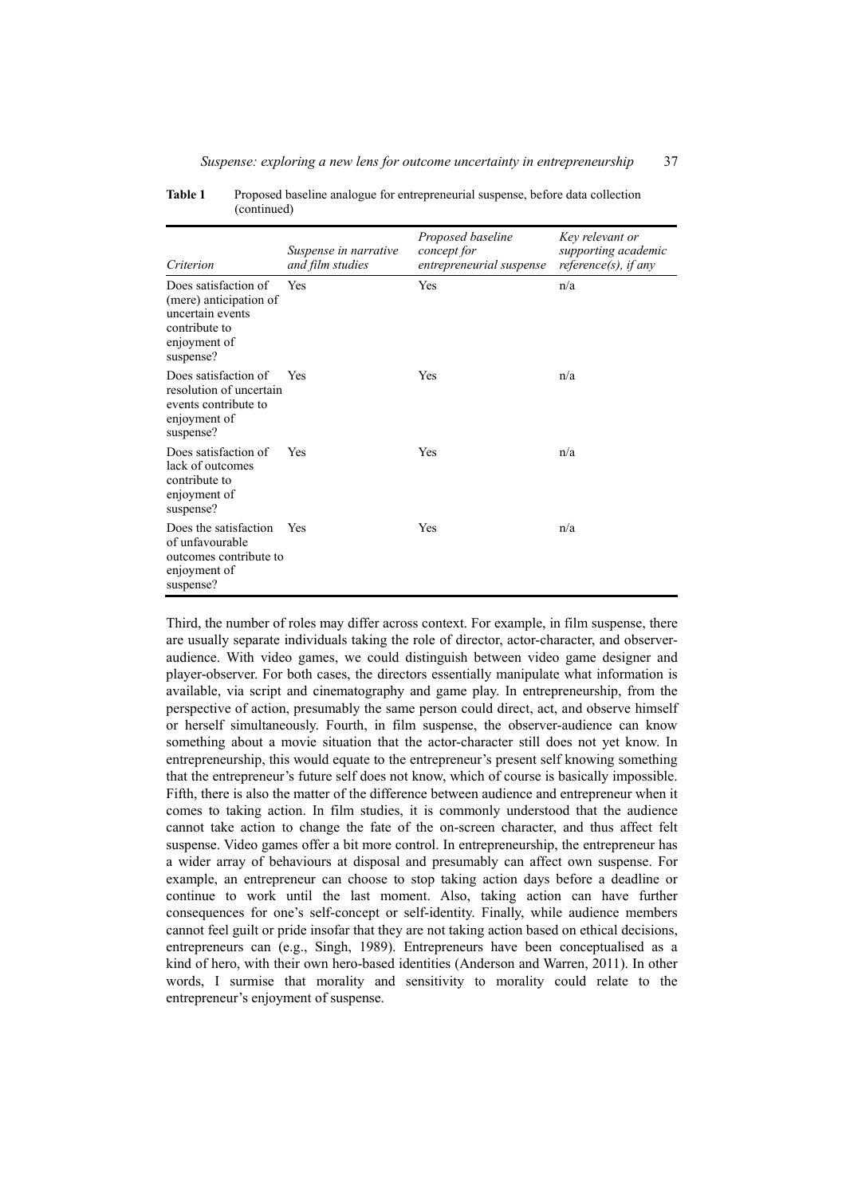| Criterion                                                                                                        | Suspense in narrative<br>and film studies | Proposed baseline<br>concept for<br>entrepreneurial suspense | Key relevant or<br>supporting academic<br>reference $(s)$ , if any |
|------------------------------------------------------------------------------------------------------------------|-------------------------------------------|--------------------------------------------------------------|--------------------------------------------------------------------|
| Does satisfaction of<br>(mere) anticipation of<br>uncertain events<br>contribute to<br>enjoyment of<br>suspense? | Yes                                       | Yes                                                          | n/a                                                                |
| Does satisfaction of<br>resolution of uncertain<br>events contribute to<br>enjoyment of<br>suspense?             | Yes                                       | Yes                                                          | n/a                                                                |
| Does satisfaction of<br>lack of outcomes<br>contribute to<br>enjoyment of<br>suspense?                           | Yes                                       | Yes                                                          | n/a                                                                |
| Does the satisfaction<br>of unfavourable<br>outcomes contribute to<br>enjoyment of<br>suspense?                  | Yes                                       | Yes                                                          | n/a                                                                |

**Table 1** Proposed baseline analogue for entrepreneurial suspense, before data collection (continued)

Third, the number of roles may differ across context. For example, in film suspense, there are usually separate individuals taking the role of director, actor-character, and observeraudience. With video games, we could distinguish between video game designer and player-observer. For both cases, the directors essentially manipulate what information is available, via script and cinematography and game play. In entrepreneurship, from the perspective of action, presumably the same person could direct, act, and observe himself or herself simultaneously. Fourth, in film suspense, the observer-audience can know something about a movie situation that the actor-character still does not yet know. In entrepreneurship, this would equate to the entrepreneur's present self knowing something that the entrepreneur's future self does not know, which of course is basically impossible. Fifth, there is also the matter of the difference between audience and entrepreneur when it comes to taking action. In film studies, it is commonly understood that the audience cannot take action to change the fate of the on-screen character, and thus affect felt suspense. Video games offer a bit more control. In entrepreneurship, the entrepreneur has a wider array of behaviours at disposal and presumably can affect own suspense. For example, an entrepreneur can choose to stop taking action days before a deadline or continue to work until the last moment. Also, taking action can have further consequences for one's self-concept or self-identity. Finally, while audience members cannot feel guilt or pride insofar that they are not taking action based on ethical decisions, entrepreneurs can (e.g., Singh, 1989). Entrepreneurs have been conceptualised as a kind of hero, with their own hero-based identities (Anderson and Warren, 2011). In other words, I surmise that morality and sensitivity to morality could relate to the entrepreneur's enjoyment of suspense.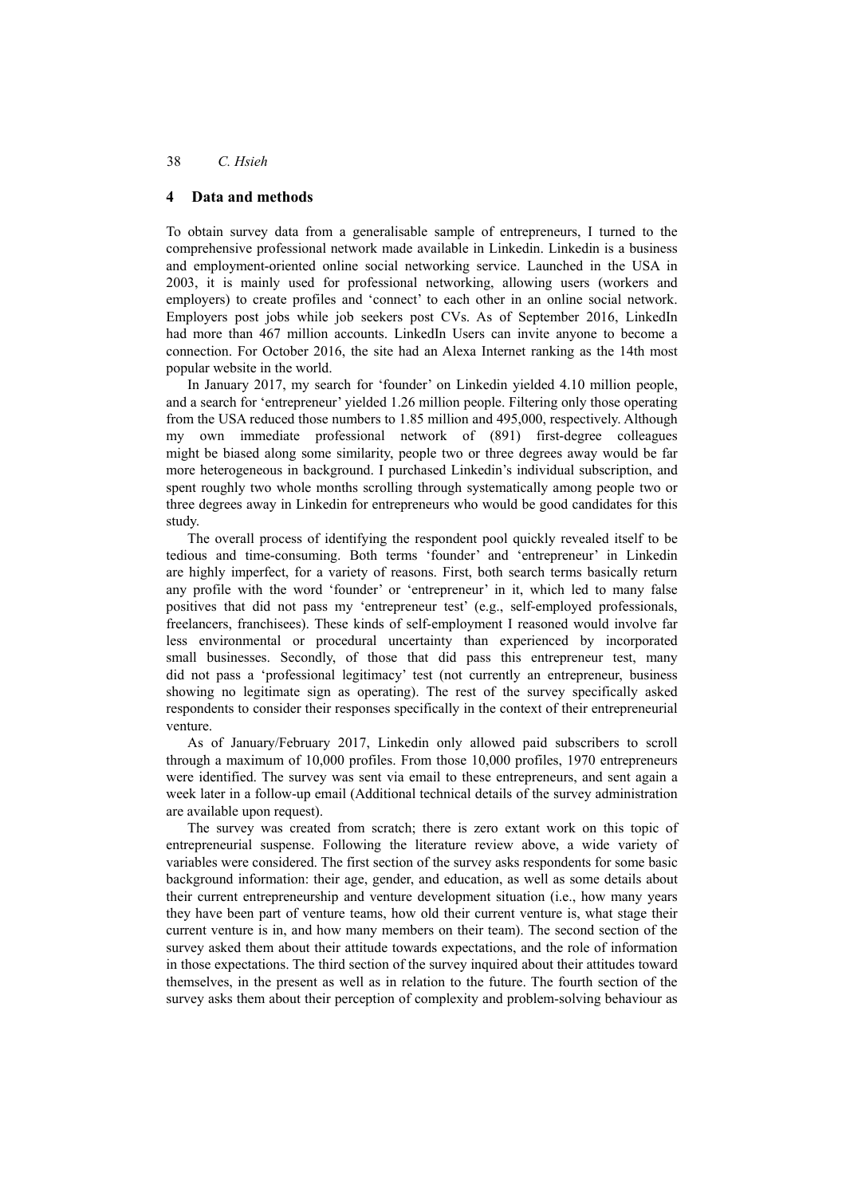## **4 Data and methods**

To obtain survey data from a generalisable sample of entrepreneurs, I turned to the comprehensive professional network made available in Linkedin. Linkedin is a business and employment-oriented online social networking service. Launched in the USA in 2003, it is mainly used for professional networking, allowing users (workers and employers) to create profiles and 'connect' to each other in an online social network. Employers post jobs while job seekers post CVs. As of September 2016, LinkedIn had more than 467 million accounts. LinkedIn Users can invite anyone to become a connection. For October 2016, the site had an Alexa Internet ranking as the 14th most popular website in the world.

In January 2017, my search for 'founder' on Linkedin yielded 4.10 million people, and a search for 'entrepreneur' yielded 1.26 million people. Filtering only those operating from the USA reduced those numbers to 1.85 million and 495,000, respectively. Although my own immediate professional network of (891) first-degree colleagues might be biased along some similarity, people two or three degrees away would be far more heterogeneous in background. I purchased Linkedin's individual subscription, and spent roughly two whole months scrolling through systematically among people two or three degrees away in Linkedin for entrepreneurs who would be good candidates for this study.

The overall process of identifying the respondent pool quickly revealed itself to be tedious and time-consuming. Both terms 'founder' and 'entrepreneur' in Linkedin are highly imperfect, for a variety of reasons. First, both search terms basically return any profile with the word 'founder' or 'entrepreneur' in it, which led to many false positives that did not pass my 'entrepreneur test' (e.g., self-employed professionals, freelancers, franchisees). These kinds of self-employment I reasoned would involve far less environmental or procedural uncertainty than experienced by incorporated small businesses. Secondly, of those that did pass this entrepreneur test, many did not pass a 'professional legitimacy' test (not currently an entrepreneur, business showing no legitimate sign as operating). The rest of the survey specifically asked respondents to consider their responses specifically in the context of their entrepreneurial venture.

As of January/February 2017, Linkedin only allowed paid subscribers to scroll through a maximum of 10,000 profiles. From those 10,000 profiles, 1970 entrepreneurs were identified. The survey was sent via email to these entrepreneurs, and sent again a week later in a follow-up email (Additional technical details of the survey administration are available upon request).

The survey was created from scratch; there is zero extant work on this topic of entrepreneurial suspense. Following the literature review above, a wide variety of variables were considered. The first section of the survey asks respondents for some basic background information: their age, gender, and education, as well as some details about their current entrepreneurship and venture development situation (i.e., how many years they have been part of venture teams, how old their current venture is, what stage their current venture is in, and how many members on their team). The second section of the survey asked them about their attitude towards expectations, and the role of information in those expectations. The third section of the survey inquired about their attitudes toward themselves, in the present as well as in relation to the future. The fourth section of the survey asks them about their perception of complexity and problem-solving behaviour as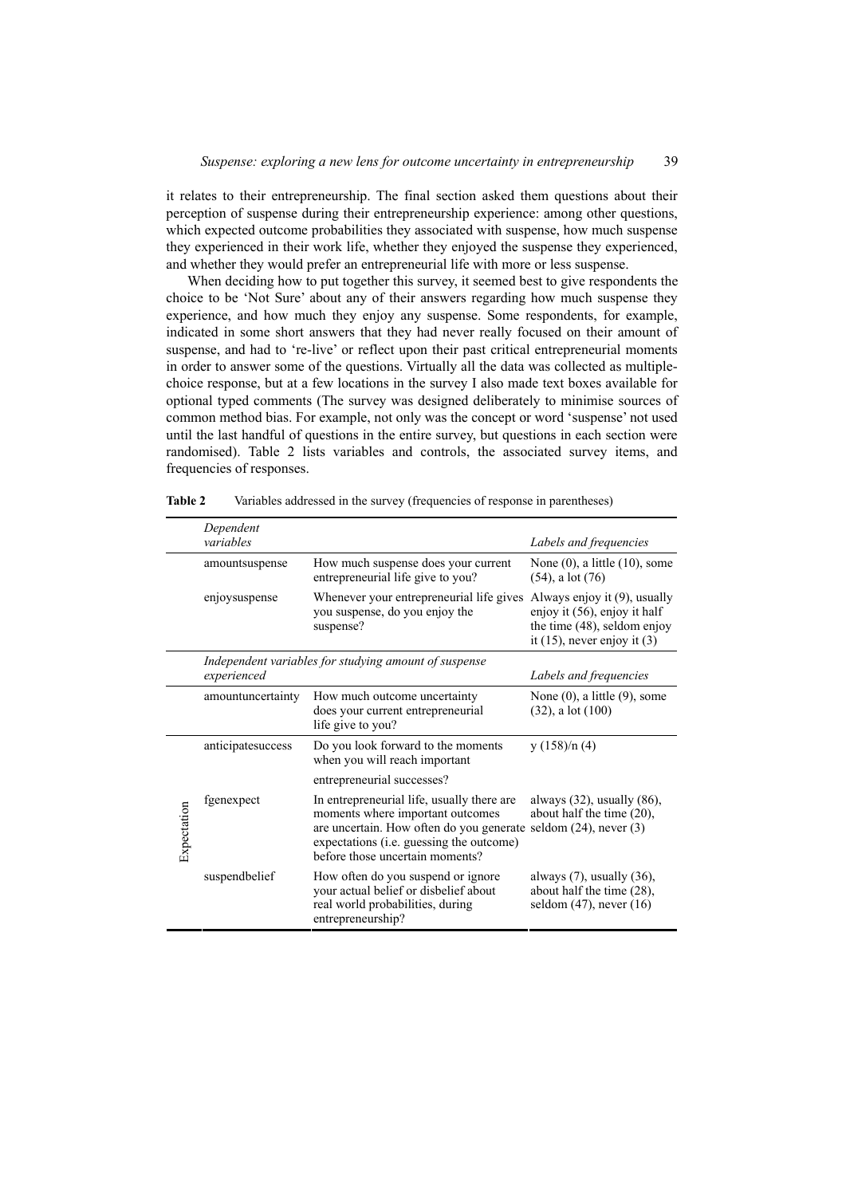it relates to their entrepreneurship. The final section asked them questions about their perception of suspense during their entrepreneurship experience: among other questions, which expected outcome probabilities they associated with suspense, how much suspense they experienced in their work life, whether they enjoyed the suspense they experienced, and whether they would prefer an entrepreneurial life with more or less suspense.

When deciding how to put together this survey, it seemed best to give respondents the choice to be 'Not Sure' about any of their answers regarding how much suspense they experience, and how much they enjoy any suspense. Some respondents, for example, indicated in some short answers that they had never really focused on their amount of suspense, and had to 're-live' or reflect upon their past critical entrepreneurial moments in order to answer some of the questions. Virtually all the data was collected as multiplechoice response, but at a few locations in the survey I also made text boxes available for optional typed comments (The survey was designed deliberately to minimise sources of common method bias. For example, not only was the concept or word 'suspense' not used until the last handful of questions in the entire survey, but questions in each section were randomised). Table 2 lists variables and controls, the associated survey items, and frequencies of responses.

|             | Dependent<br>variables |                                                                                                                                                                                                                                  | Labels and frequencies                                                                          |
|-------------|------------------------|----------------------------------------------------------------------------------------------------------------------------------------------------------------------------------------------------------------------------------|-------------------------------------------------------------------------------------------------|
|             | amountsuspense         | How much suspense does your current<br>entrepreneurial life give to you?                                                                                                                                                         | None $(0)$ , a little $(10)$ , some<br>$(54)$ , a lot $(76)$                                    |
|             | enjoysuspense          | Whenever your entrepreneurial life gives Always enjoy it (9), usually<br>you suspense, do you enjoy the<br>suspense?                                                                                                             | enjoy it (56), enjoy it half<br>the time (48), seldom enjoy<br>it $(15)$ , never enjoy it $(3)$ |
|             | experienced            | Independent variables for studying amount of suspense                                                                                                                                                                            | Labels and frequencies                                                                          |
|             | amountuncertainty      | How much outcome uncertainty<br>does your current entrepreneurial<br>life give to you?                                                                                                                                           | None $(0)$ , a little $(9)$ , some<br>$(32)$ , a lot $(100)$                                    |
|             | anticipatesuccess      | Do you look forward to the moments<br>when you will reach important                                                                                                                                                              | y(158)/n(4)                                                                                     |
|             |                        | entrepreneurial successes?                                                                                                                                                                                                       |                                                                                                 |
| Expectation | fgenexpect             | In entrepreneurial life, usually there are<br>moments where important outcomes<br>are uncertain. How often do you generate seldom (24), never (3)<br>expectations (i.e. guessing the outcome)<br>before those uncertain moments? | always $(32)$ , usually $(86)$ ,<br>about half the time $(20)$ ,                                |
|             | suspendbelief          | How often do you suspend or ignore<br>your actual belief or disbelief about<br>real world probabilities, during<br>entrepreneurship?                                                                                             | always $(7)$ , usually $(36)$ ,<br>about half the time (28),<br>seldom $(47)$ , never $(16)$    |

**Table 2** Variables addressed in the survey (frequencies of response in parentheses)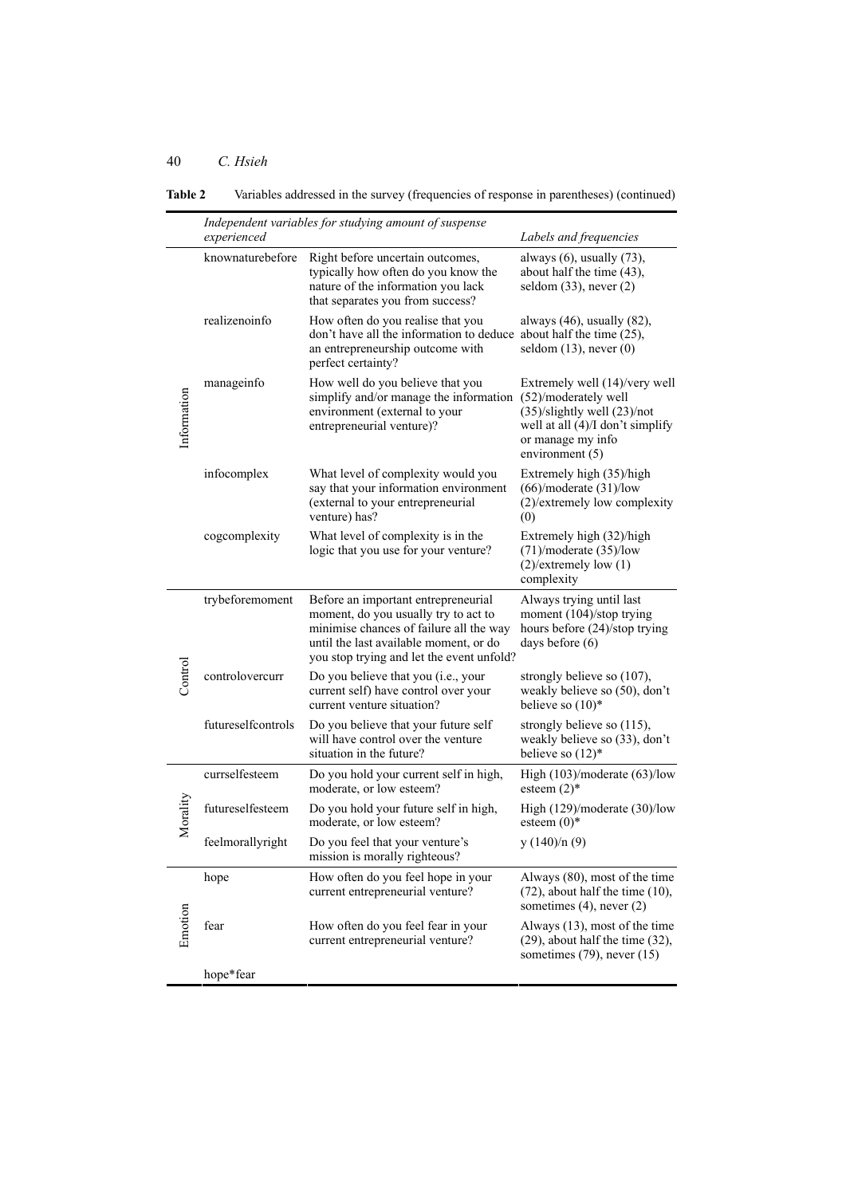|                             | experienced        | Independent variables for studying amount of suspense                                                                                                                                                         | Labels and frequencies                                                                                                                                                     |
|-----------------------------|--------------------|---------------------------------------------------------------------------------------------------------------------------------------------------------------------------------------------------------------|----------------------------------------------------------------------------------------------------------------------------------------------------------------------------|
|                             | knownaturebefore   | Right before uncertain outcomes,<br>typically how often do you know the<br>nature of the information you lack<br>that separates you from success?                                                             | always $(6)$ , usually $(73)$ ,<br>about half the time $(43)$ ,<br>seldom $(33)$ , never $(2)$                                                                             |
|                             | realizenoinfo      | How often do you realise that you<br>don't have all the information to deduce about half the time $(25)$ ,<br>an entrepreneurship outcome with<br>perfect certainty?                                          | always $(46)$ , usually $(82)$ ,<br>seldom $(13)$ , never $(0)$                                                                                                            |
| Information                 | manageinfo         | How well do you believe that you<br>simplify and/or manage the information<br>environment (external to your<br>entrepreneurial venture)?                                                                      | Extremely well (14)/very well<br>(52)/moderately well<br>$(35)/$ slightly well $(23)/$ not<br>well at all $(4)/I$ don't simplify<br>or manage my info<br>environment $(5)$ |
|                             | infocomplex        | What level of complexity would you<br>say that your information environment<br>(external to your entrepreneurial<br>venture) has?                                                                             | Extremely high (35)/high<br>$(66)/$ moderate $(31)/$ low<br>(2)/extremely low complexity<br>(0)                                                                            |
|                             | cogcomplexity      | What level of complexity is in the<br>logic that you use for your venture?                                                                                                                                    | Extremely high (32)/high<br>$(71)$ /moderate $(35)$ /low<br>$(2)/$ extremely low $(1)$<br>complexity                                                                       |
|                             | trybeforemoment    | Before an important entrepreneurial<br>moment, do you usually try to act to<br>minimise chances of failure all the way<br>until the last available moment, or do<br>you stop trying and let the event unfold? | Always trying until last<br>moment (104)/stop trying<br>hours before (24)/stop trying<br>days before $(6)$                                                                 |
| $\mathop{\mathrm{Control}}$ | controlovercurr    | Do you believe that you (i.e., your<br>current self) have control over your<br>current venture situation?                                                                                                     | strongly believe so $(107)$ ,<br>weakly believe so (50), don't<br>believe so $(10)^*$                                                                                      |
|                             | futureselfcontrols | Do you believe that your future self<br>will have control over the venture<br>situation in the future?                                                                                                        | strongly believe so (115),<br>weakly believe so (33), don't<br>believe so $(12)^*$                                                                                         |
|                             | currselfesteem     | Do you hold your current self in high,<br>moderate, or low esteem?                                                                                                                                            | High $(103)/$ moderate $(63)/$ low<br>esteem $(2)$ <sup>*</sup>                                                                                                            |
| Morality                    | futureselfesteem   | Do you hold your future self in high,<br>moderate, or low esteem?                                                                                                                                             | High $(129)$ /moderate $(30)$ /low<br>esteem $(0)$ <sup>*</sup>                                                                                                            |
|                             | feelmorallyright   | Do you feel that your venture's<br>mission is morally righteous?                                                                                                                                              | y(140)/n(9)                                                                                                                                                                |
|                             | hope               | How often do you feel hope in your<br>current entrepreneurial venture?                                                                                                                                        | Always (80), most of the time<br>$(72)$ , about half the time $(10)$ ,<br>sometimes $(4)$ , never $(2)$                                                                    |
| Emotion                     | fear               | How often do you feel fear in your<br>current entrepreneurial venture?                                                                                                                                        | Always (13), most of the time<br>$(29)$ , about half the time $(32)$ ,<br>sometimes $(79)$ , never $(15)$                                                                  |
|                             | hope*fear          |                                                                                                                                                                                                               |                                                                                                                                                                            |

**Table 2** Variables addressed in the survey (frequencies of response in parentheses) (continued)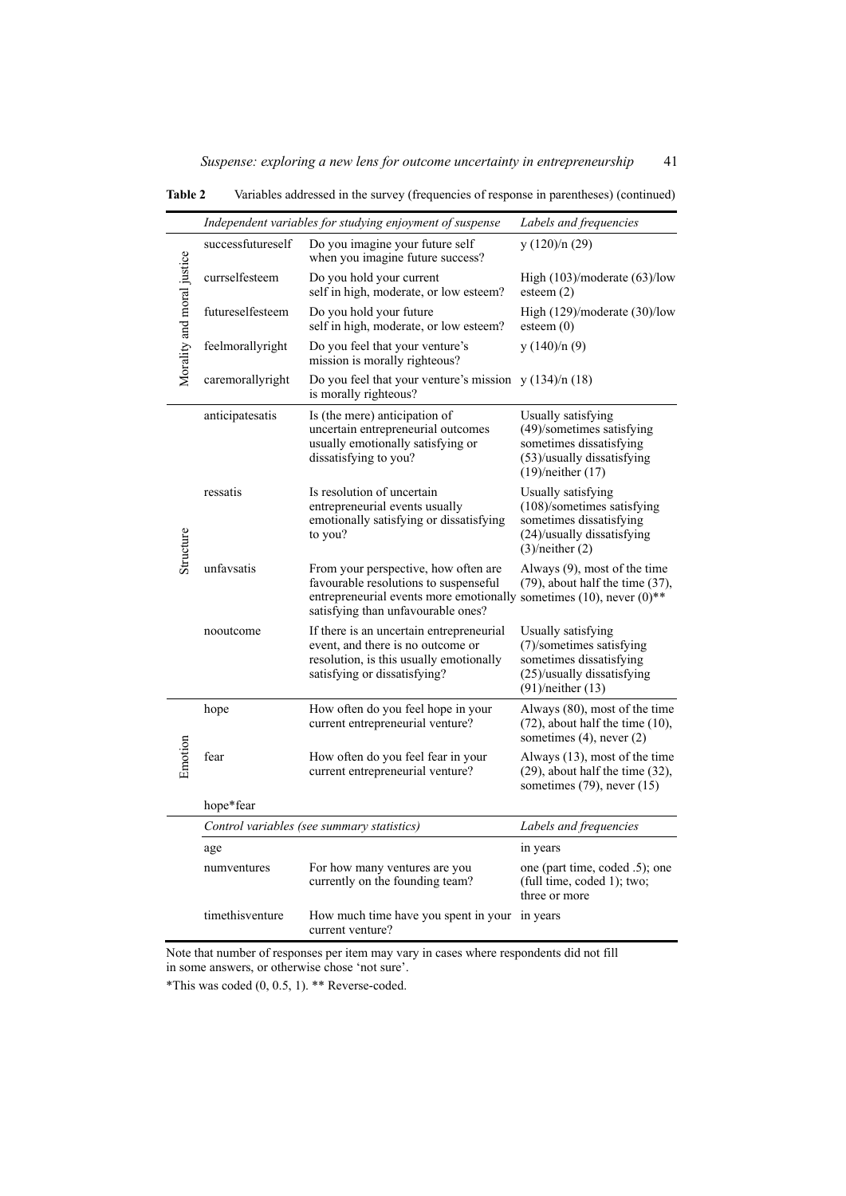|                            |                   | Independent variables for studying enjoyment of suspense                                                                                                                                    | Labels and frequencies                                                                                                                |
|----------------------------|-------------------|---------------------------------------------------------------------------------------------------------------------------------------------------------------------------------------------|---------------------------------------------------------------------------------------------------------------------------------------|
|                            | successfutureself | Do you imagine your future self<br>when you imagine future success?                                                                                                                         | y $(120)/n(29)$                                                                                                                       |
|                            | currselfesteem    | Do you hold your current<br>self in high, moderate, or low esteem?                                                                                                                          | High $(103)$ /moderate $(63)$ /low<br>esteem $(2)$                                                                                    |
|                            | futureselfesteem  | Do you hold your future<br>self in high, moderate, or low esteem?                                                                                                                           | High (129)/moderate (30)/low<br>esteem $(0)$                                                                                          |
| Morality and moral justice | feelmorallyright  | Do you feel that your venture's<br>mission is morally righteous?                                                                                                                            | y(140)/n(9)                                                                                                                           |
|                            | caremorallyright  | Do you feel that your venture's mission $y(134)/n(18)$<br>is morally righteous?                                                                                                             |                                                                                                                                       |
|                            | anticipatesatis   | Is (the mere) anticipation of<br>uncertain entrepreneurial outcomes<br>usually emotionally satisfying or<br>dissatisfying to you?                                                           | Usually satisfying<br>(49)/sometimes satisfying<br>sometimes dissatisfying<br>$(53)$ /usually dissatisfying<br>$(19)/$ neither $(17)$ |
| Structure                  | ressatis          | Is resolution of uncertain<br>entrepreneurial events usually<br>emotionally satisfying or dissatisfying<br>to you?                                                                          | Usually satisfying<br>$(108)$ /sometimes satisfying<br>sometimes dissatisfying<br>(24)/usually dissatisfying<br>$(3)/$ neither $(2)$  |
|                            | unfavsatis        | From your perspective, how often are.<br>favourable resolutions to suspenseful<br>entrepreneurial events more emotionally sometimes (10), never (0)**<br>satisfying than unfavourable ones? | Always (9), most of the time<br>$(79)$ , about half the time $(37)$ ,                                                                 |
|                            | nooutcome         | If there is an uncertain entrepreneurial<br>event, and there is no outcome or<br>resolution, is this usually emotionally<br>satisfying or dissatisfying?                                    | Usually satisfying<br>(7)/sometimes satisfying<br>sometimes dissatisfying<br>(25)/usually dissatisfying<br>$(91)$ /neither $(13)$     |
|                            | hope              | How often do you feel hope in your<br>current entrepreneurial venture?                                                                                                                      | Always (80), most of the time<br>$(72)$ , about half the time $(10)$ ,<br>sometimes $(4)$ , never $(2)$                               |
| Emotion                    | fear              | How often do you feel fear in your<br>current entrepreneurial venture?                                                                                                                      | Always (13), most of the time<br>$(29)$ , about half the time $(32)$ ,<br>sometimes $(79)$ , never $(15)$                             |
|                            | hope*fear         |                                                                                                                                                                                             |                                                                                                                                       |
|                            |                   | Control variables (see summary statistics)                                                                                                                                                  | Labels and frequencies                                                                                                                |
|                            | age               |                                                                                                                                                                                             | in years                                                                                                                              |
|                            | numventures       | For how many ventures are you<br>currently on the founding team?                                                                                                                            | one (part time, coded .5); one<br>(full time, coded 1); two;<br>three or more                                                         |
|                            | timethisventure   | How much time have you spent in your<br>current venture?                                                                                                                                    | in years                                                                                                                              |

**Table 2** Variables addressed in the survey (frequencies of response in parentheses) (continued)

 $\overline{a}$ 

Note that number of responses per item may vary in cases where respondents did not fill in some answers, or otherwise chose 'not sure'.

\*This was coded (0, 0.5, 1). \*\* Reverse-coded.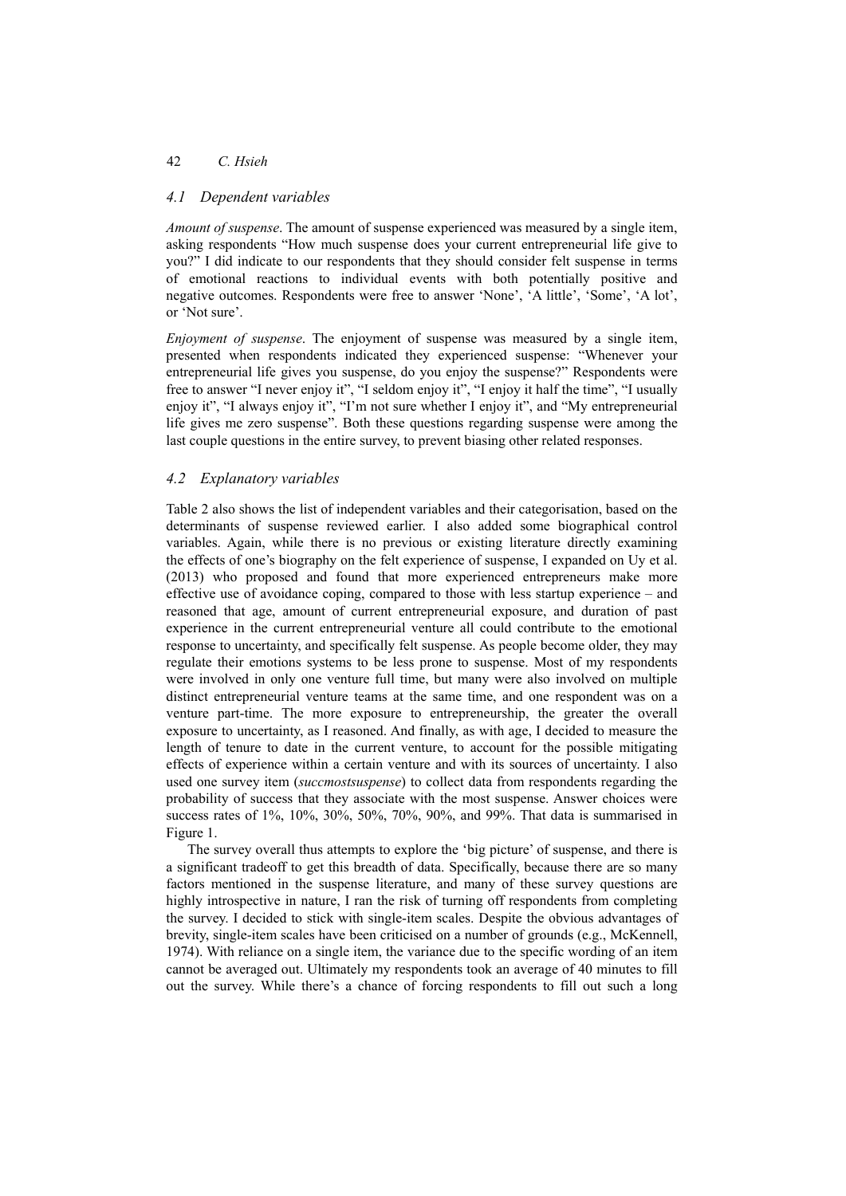## 42 *C. Hsieh*

## *4.1 Dependent variables*

*Amount of suspense*. The amount of suspense experienced was measured by a single item, asking respondents "How much suspense does your current entrepreneurial life give to you?" I did indicate to our respondents that they should consider felt suspense in terms of emotional reactions to individual events with both potentially positive and negative outcomes. Respondents were free to answer 'None', 'A little', 'Some', 'A lot', or 'Not sure'.

*Enjoyment of suspense*. The enjoyment of suspense was measured by a single item, presented when respondents indicated they experienced suspense: "Whenever your entrepreneurial life gives you suspense, do you enjoy the suspense?" Respondents were free to answer "I never enjoy it", "I seldom enjoy it", "I enjoy it half the time", "I usually enjoy it", "I always enjoy it", "I'm not sure whether I enjoy it", and "My entrepreneurial life gives me zero suspense". Both these questions regarding suspense were among the last couple questions in the entire survey, to prevent biasing other related responses.

## *4.2 Explanatory variables*

Table 2 also shows the list of independent variables and their categorisation, based on the determinants of suspense reviewed earlier. I also added some biographical control variables. Again, while there is no previous or existing literature directly examining the effects of one's biography on the felt experience of suspense, I expanded on Uy et al. (2013) who proposed and found that more experienced entrepreneurs make more effective use of avoidance coping, compared to those with less startup experience – and reasoned that age, amount of current entrepreneurial exposure, and duration of past experience in the current entrepreneurial venture all could contribute to the emotional response to uncertainty, and specifically felt suspense. As people become older, they may regulate their emotions systems to be less prone to suspense. Most of my respondents were involved in only one venture full time, but many were also involved on multiple distinct entrepreneurial venture teams at the same time, and one respondent was on a venture part-time. The more exposure to entrepreneurship, the greater the overall exposure to uncertainty, as I reasoned. And finally, as with age, I decided to measure the length of tenure to date in the current venture, to account for the possible mitigating effects of experience within a certain venture and with its sources of uncertainty. I also used one survey item (*succmostsuspense*) to collect data from respondents regarding the probability of success that they associate with the most suspense. Answer choices were success rates of 1%, 10%, 30%, 50%, 70%, 90%, and 99%. That data is summarised in Figure 1.

The survey overall thus attempts to explore the 'big picture' of suspense, and there is a significant tradeoff to get this breadth of data. Specifically, because there are so many factors mentioned in the suspense literature, and many of these survey questions are highly introspective in nature, I ran the risk of turning off respondents from completing the survey. I decided to stick with single-item scales. Despite the obvious advantages of brevity, single-item scales have been criticised on a number of grounds (e.g., McKennell, 1974). With reliance on a single item, the variance due to the specific wording of an item cannot be averaged out. Ultimately my respondents took an average of 40 minutes to fill out the survey. While there's a chance of forcing respondents to fill out such a long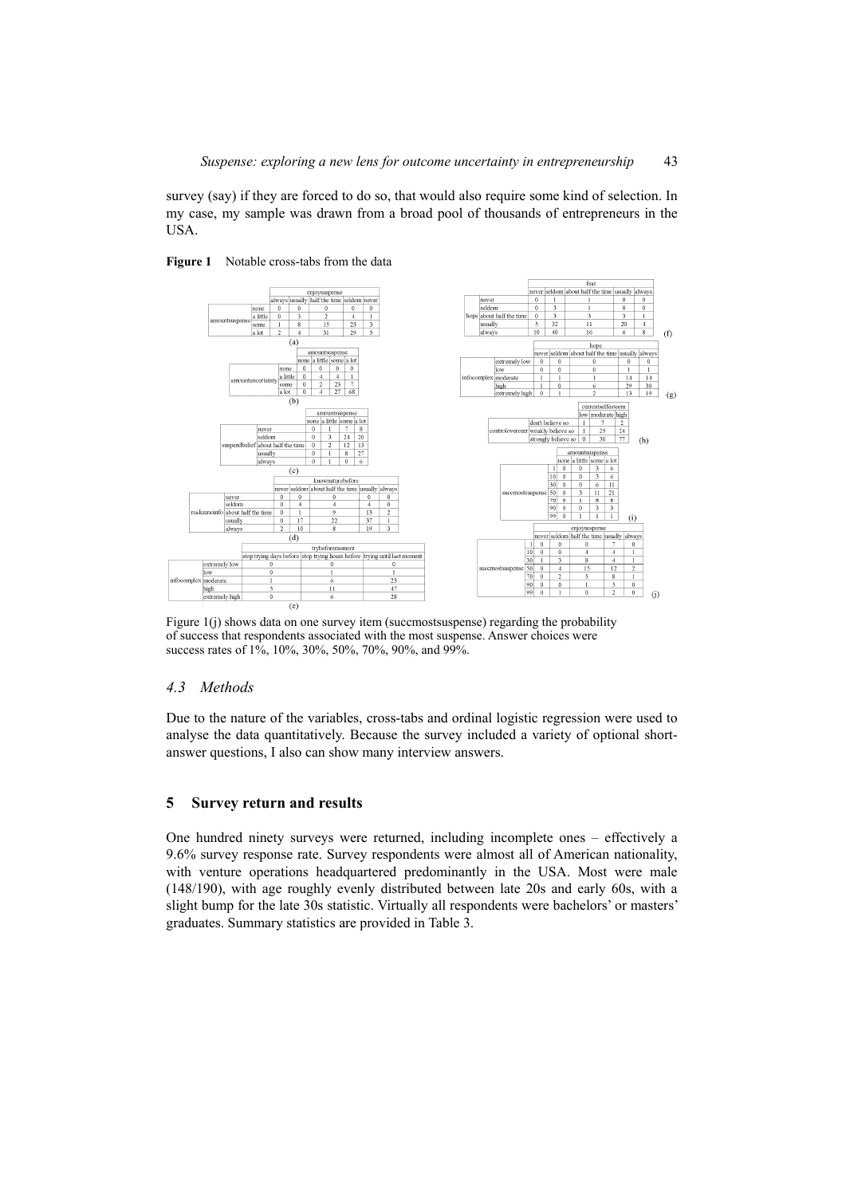survey (say) if they are forced to do so, that would also require some kind of selection. In my case, my sample was drawn from a broad pool of thousands of entrepreneurs in the **USA** 



#### Figure 1 Notable cross-tabs from the data

Figure 1(j) shows data on one survey item (succmostsuspense) regarding the probability of success that respondents associated with the most suspense. Answer choices were success rates of 1%, 10%, 30%, 50%, 70%, 90%, and 99%.

# *4.3 Methods*

Due to the nature of the variables, cross-tabs and ordinal logistic regression were used to analyse the data quantitatively. Because the survey included a variety of optional shortanswer questions, I also can show many interview answers.

# **5 Survey return and results**

One hundred ninety surveys were returned, including incomplete ones – effectively a 9.6% survey response rate. Survey respondents were almost all of American nationality, with venture operations headquartered predominantly in the USA. Most were male (148/190), with age roughly evenly distributed between late 20s and early 60s, with a slight bump for the late 30s statistic. Virtually all respondents were bachelors' or masters' graduates. Summary statistics are provided in Table 3.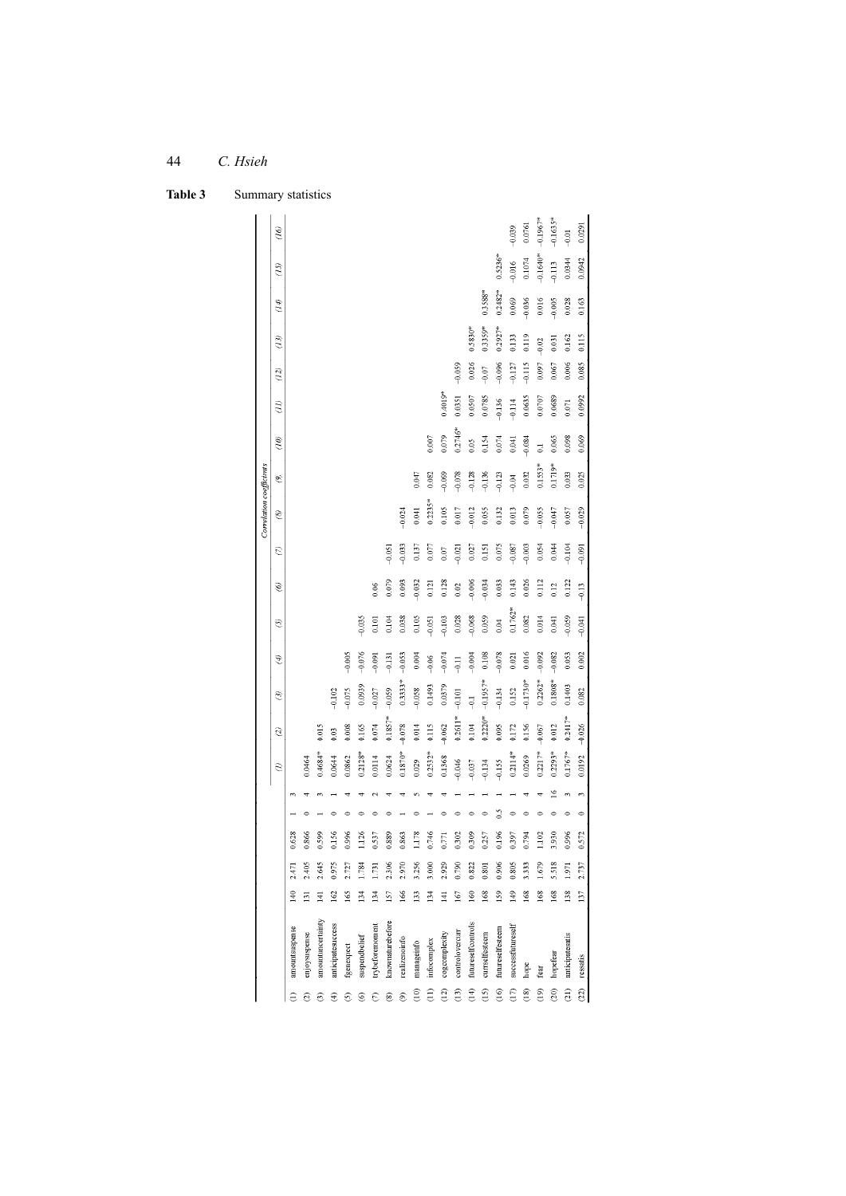| Table 3 | Summary statistics |
|---------|--------------------|

|                              |                    |                  |        |                 |         |   |            |           |            |               |           |          |          | Correlation coefficients |            |                |             |          |           |                |            |            |
|------------------------------|--------------------|------------------|--------|-----------------|---------|---|------------|-----------|------------|---------------|-----------|----------|----------|--------------------------|------------|----------------|-------------|----------|-----------|----------------|------------|------------|
|                              |                    |                  |        |                 |         |   | Э          | T         | ල          | $\mathscr{F}$ | 0         | $^\circ$ | E        | ⊗                        | S          | $\tilde{g}$    | $\tilde{q}$ | (12)     | (13)      | $\mathcal{F}U$ | (15)       | $(16)$     |
|                              | amountsuspense     | 140              | 2.471  | 628             |         |   |            |           |            |               |           |          |          |                          |            |                |             |          |           |                |            |            |
|                              | enjoysuspense      | $\overline{131}$ | 2.405  | 866             |         |   | 0.0464     |           |            |               |           |          |          |                          |            |                |             |          |           |                |            |            |
| €                            | amountuncertainty  | $\overline{141}$ | 2.645  | 599             |         |   | $0.4684*$  | 0.015     |            |               |           |          |          |                          |            |                |             |          |           |                |            |            |
| €                            | anticipatesuccess  | 162              | 0.975  | 156             |         |   | 0.0644     | 0.03      | $-0.102$   |               |           |          |          |                          |            |                |             |          |           |                |            |            |
| ⊙                            | fgenexpect         | 165              | 2.727  | 996             |         |   | 0.0862     | 0.008     | $-0.075$   | $-0.005$      |           |          |          |                          |            |                |             |          |           |                |            |            |
| ⊛                            | suspendbelief      | 134              | .784   | 126             |         |   | $0.2128*$  | 0.165     | 0.0939     | $-0.076$      | $-0.035$  |          |          |                          |            |                |             |          |           |                |            |            |
| ε                            | trybeforemoment    | 134              | Ē      | 537             |         |   | 0.0114     | $0.074\,$ | $-0.027$   | $-0.091$      | 0.101     | 0.06     |          |                          |            |                |             |          |           |                |            |            |
| ම                            | knownaturebefore   | 157              | 2.306  | 889             |         |   | 0.0624     | $0.1857*$ | $-0.059$   | $-0.131$      | 0.104     | 0.079    | $-0.051$ |                          |            |                |             |          |           |                |            |            |
| ම                            | realizenoinfo      | 166              | 2.970  | 863             |         |   | $0.1870*$  | $-0.078$  | $0.3333*$  | $-0.053$      | 0.038     | 0.093    | $-0.033$ | $-0.024$                 |            |                |             |          |           |                |            |            |
| $_{\tiny\rm 0}^{\tiny\rm 6}$ | manageinfo         | 133              | 3.256  | 178             |         |   | 0.029      | $0.014\,$ | $-0.058$   | 0.004         | 0.105     | $-0.032$ | 0.137    | 0.041                    | 0.047      |                |             |          |           |                |            |            |
| $\widehat{\Xi}$              | infocomplex        | 134              | 3.000  | 746             |         |   | $0.2532*$  | $0.115$   | 0.1493     | $-0.06$       | $-0.051$  | 0.121    | 0.077    | $0.2235*$                | 0.082      | 0.007          |             |          |           |                |            |            |
| (12)                         | cogcomplexity      | $\Xi$            | 2.929  | $\overline{71}$ |         |   | 0.1368     | $-0.062$  | 0.0379     | $-0.074$      | $-0.103$  | 0.128    | $0.07$   | 0.105                    | $-0.099$   | 0.079          | $0.4019*$   |          |           |                |            |            |
| $\frac{3}{2}$                | controlovercurr    | 167              | 0.790  | 302             |         |   | $-0.046$   | $0.2611*$ | $-0.101$   | $-0.11$       | 0.028     | 0.02     | $-0.021$ | $0.017\,$                | $-0.078$   | $0.2746*$      | 0.0351      | $-0.059$ |           |                |            |            |
| $\oplus$                     | futureselfcontrols | 160              | 0.822  | 309             |         |   | $-0.037$   | 0.104     | $-0.1$     | $-0.004$      | $-0.068$  | $-0.006$ | 0.027    | $-0.012$                 | $-0.128$   | 0.05           | 0.0507      | 0.026    | $0.5830*$ |                |            |            |
| $\frac{5}{2}$                | currselfesteem     | 168              | 0.801  | 257             |         |   | $-0.134$   | $0.2220*$ | $-0.1957*$ | 0.108         | 0.059     | $-0.034$ | 0.151    | 0.055                    | $-0.136$   | 0.154          | 0.0785      | $-0.07$  | $0.3359*$ | 0.3588*        |            |            |
| $\frac{6}{2}$                | futureselfesteem   | 159              | 0.906  | 196             |         |   | $-0.155$   | 0.095     | $-0.134$   | $-0.078$      | 0.04      | 0.033    | 0.075    | 0.132                    | $-0.123$   | 0.074          | $-0.136$    | $-0.096$ | $0.2927*$ | $0.2482*$      | $0.5236*$  |            |
| $\binom{7}{1}$               | successfutureself  | 149              | 0.805  | 397             |         |   | $0.2114**$ | 0.172     | $0.152$    | 0.021         | $0.1762*$ | 0.143    | $-0.087$ | 0.013                    | $-0.04$    | 0.041          | $-0.114$    | $-0.127$ | 0.133     | 0.069          | $-0.016$   | $-0.039$   |
| $\left( \frac{8}{2} \right)$ | hope               | 168              | 3.333  | 794             |         |   | 0.0269     | 0.156     | $-0.1730*$ | 0.016         | 0.082     | 0.026    | $-0.003$ | 0.079                    | 0.032      | $-0.084$       | 0.0635      | $-0.115$ | 0.119     | $-0.036$       | $0.1074\,$ | 0.0761     |
| $\binom{6}{1}$               | fear               | 168              | $-679$ | 102             |         |   | $0.2217*$  | $-0.067$  | $0.2262*$  | $-0.092$      | 0.014     | 0.112    | 0.054    | $-0.055$                 | $0.1553*$  | $\overline{c}$ | 0.0707      | 0.097    | $-0.02$   | 0.016          | $-0.1640*$ | $-0.1967*$ |
| (20)                         | hopefear           | 168              | 5.518  | 930             |         | ≌ | $0.2293*$  | 0.012     | $0.1808**$ | $-0.082$      | 0.041     | 0.12     | 0.044    | $-0.047$                 | $0.1719**$ | 0.065          | 0.0689      | 0.067    | 0.031     | $-0.005$       | $-0.113$   | $-0.1635*$ |
| $\widehat{a}$                | anticipatesatis    | 138              | 1.971  | 996             |         | 3 | $0.1767*$  | $0.2417*$ | 0.1403     | 0.053         | $-0.059$  | 0.122    | $-0.104$ | $0.057$                  | 0.033      | 0.098          | $0.071\,$   | 0.006    | 0.162     | 0.028          | 0.0344     | $-0.01$    |
| (22)                         | ressatis           | 137              | 2.737  | 0.572           | $\circ$ | 3 | 0.0192     | $-0.026$  | 0.082      | 0.002         | $-0.041$  | $-0.13$  | $-0.091$ | $-0.029$                 | 0.025      | 0.069          | 0.0992      | 0.085    | 0.115     | 0.163          | 0.0942     | 0.0291     |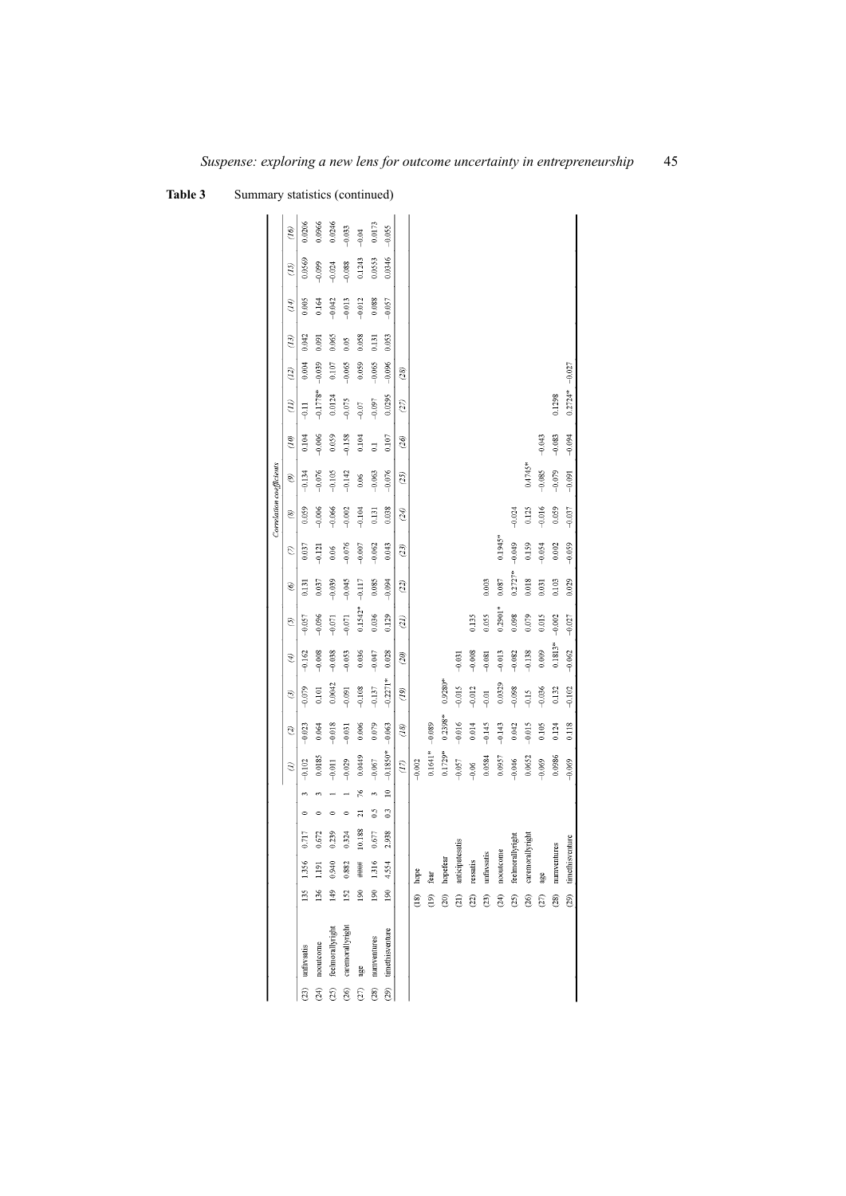Table 3 Summary statistics (continued)

|                 |                  |               |                  |        |                      |              |                    |                   |               |           |               |           |           | Correlation coefficients |           |                       |                |          |       |               |          |          |
|-----------------|------------------|---------------|------------------|--------|----------------------|--------------|--------------------|-------------------|---------------|-----------|---------------|-----------|-----------|--------------------------|-----------|-----------------------|----------------|----------|-------|---------------|----------|----------|
|                 |                  |               |                  |        |                      |              | $\widehat{e}$      | Q                 | $\mathcal{G}$ | D         | $\mathcal{O}$ | O)        | Q         | $\circledast$            | Ò         | $\mathcal{L}(\theta)$ | $\tilde{H}$    | (12)     | (13)  | $\mathcal{F}$ | (15)     | (16)     |
|                 | (23) unfavsatis  | 135           | 1.356            | 0.717  |                      |              | $-0.102$           | $-0.023$          | $-0.079$      | $-0.162$  | $-0.057$      | 0.131     | 0.037     | 0.059                    | $-0.134$  | 0.104                 | $\frac{11}{7}$ | 0.004    | 0.042 | 0.005         | 0.0569   | 0.0206   |
| $\widetilde{z}$ | nooutcome        | 136           | 1191             | 0.672  |                      |              | 0.0185             | 0.064             | 0.101         | $-0.008$  | $-0.096$      | 0.037     | $-0.121$  | $-0.006$                 | $-0.076$  | $-0.006$              | $-0.1778*$     | $-0.039$ | 0.091 | 0.164         | $-0.099$ | 0.0966   |
| (25)            | feelmorallyright | $149$         | 0.940            | 0.239  | 0                    |              | $-0.011$           | $-0.018$          | 0.0042        | $-0.038$  | $-0.071$      | $-0.039$  | 0.06      | $-0.066$                 | $-0.105$  | 0.059                 | 0.0124         | 0.107    | 0.065 | $-0.042$      | $-0.024$ | 0.0246   |
| (26)            | caremorallyright | 152           | 0.882            | 0.324  | $\circ$              |              | $-0.029$           | $-0.031$          | $-0.091$      | $-0.053$  | $-0.071$      | $-0.045$  | $-0.076$  | $-0.002$                 | $-0.142$  | $-0.158$              | $-0.075$       | $-0.065$ | 0.05  | $-0.013$      | $-0.088$ | $-0.033$ |
| (27)            | age              | $^{190}$      | ####             | 10.188 | ಸ                    | 76           | 6449               | 0.006             | $-0.108$      | 0.036     | $0.1542*$     | $-0.117$  | $-0.007$  | $-0.104$                 | 0.06      | 0.104                 | $-0.07$        | 0.059    | 0.058 | $-0.012$      | 0.1243   | $-0.04$  |
| (28)            | numventures      | 190           | 1.316            | 0.677  | $\frac{5}{2}$        | $\mathbf{e}$ | $-0.067$           | 0.079             | $-0.137$      | $-0.047$  | 0.036         | 0.085     | $-0.062$  | 0.131                    | $-0.063$  | $\overline{c}$        | $-0.097$       | $-0.065$ | 0.131 | 0.088         | 0.0553   | 0.0173   |
| (29)            | timethisventure  | 190           | 4.554            | 2.938  | $\ddot{\phantom{0}}$ | $\approx$    | $-0.1850*$         | $-0.063$          | $-0.2271*$    | 0.028     | 0.129         | $-0.094$  | 0.043     | 0.038                    | $-0.076$  | 0.107                 | 0.0295         | $-0.096$ | 0.053 | $-0.057$      | 0.0346   | $-0.055$ |
|                 |                  |               |                  |        |                      |              | $\left( 1 \right)$ | $\left(18\right)$ | (19)          | (20)      | (21)          | (22)      | (23)      | (24)                     | (25)      | (26)                  | (27)           | (28)     |       |               |          |          |
|                 |                  | $\frac{1}{2}$ | hope             |        |                      |              | $-0.002$           |                   |               |           |               |           |           |                          |           |                       |                |          |       |               |          |          |
|                 |                  | (19)          | fear             |        |                      |              | $0.1641**$         | $-0.089$          |               |           |               |           |           |                          |           |                       |                |          |       |               |          |          |
|                 |                  | (20)          | hopefear         |        |                      |              | $0.1729*$          | $0.2398*$         | $0.9280*$     |           |               |           |           |                          |           |                       |                |          |       |               |          |          |
|                 |                  | $\widehat{a}$ | anticipatesatis  |        |                      |              | $-0.057$           | $-0.016$          | $-0.015$      | $-0.031$  |               |           |           |                          |           |                       |                |          |       |               |          |          |
|                 |                  | $\widehat{c}$ | ressatis         |        |                      |              | $-0.06$            | 0.014             | $-0.012$      | $-0.008$  | 0.135         |           |           |                          |           |                       |                |          |       |               |          |          |
|                 |                  | (23)          | unfavsatis       |        |                      |              | 0.0584             | $-0.145$          | $-0.01$       | $-0.081$  | 0.055         | 0.003     |           |                          |           |                       |                |          |       |               |          |          |
|                 |                  | (24)          | nooutcome        |        |                      |              | 0.0957             | $-0.143$          | 0.0329        | $-0.013$  | $0.2901*$     | 0.087     | $0.1945*$ |                          |           |                       |                |          |       |               |          |          |
|                 |                  | (25)          | feelmorallyright |        |                      |              | $-0.046$           | 0.042             | $-0.098$      | $-0.082$  | 0.098         | $0.2727*$ | $-0.049$  | $-0.024$                 |           |                       |                |          |       |               |          |          |
|                 |                  | (26)          | caremorallyright |        |                      |              | 0.0652             | $-0.015$          | $-0.15$       | $-0.138$  | 0.079         | 0.018     | 0.159     | 0.125                    | $0.4745*$ |                       |                |          |       |               |          |          |
|                 |                  | (27)          | age              |        |                      |              | $-0.069$           | 0.105             | $-0.036$      | 0.009     | 0.015         | 0.031     | $-0.054$  | $-0.016$                 | $-0.085$  | $-0.043$              |                |          |       |               |          |          |
|                 |                  | (28)          | numventures      |        |                      |              | 0.0986             | 0.124             | 0.132         | $0.1813*$ | $-0.002$      | 0.103     | 0.002     | 0.059                    | $-0.079$  | $-0.083$              | 0.1298         |          |       |               |          |          |
|                 |                  | (29)          | timethisyenture  |        |                      |              | $-0.069$           | 0.118             | $-0.102$      | $-0.062$  | $-0.027$      | 0.029     | $-0.059$  | $-0.037$                 | $-0.091$  | $-0.094$              | $0.2724*$      | $-0.027$ |       |               |          |          |
|                 |                  |               |                  |        |                      |              |                    |                   |               |           |               |           |           |                          |           |                       |                |          |       |               |          |          |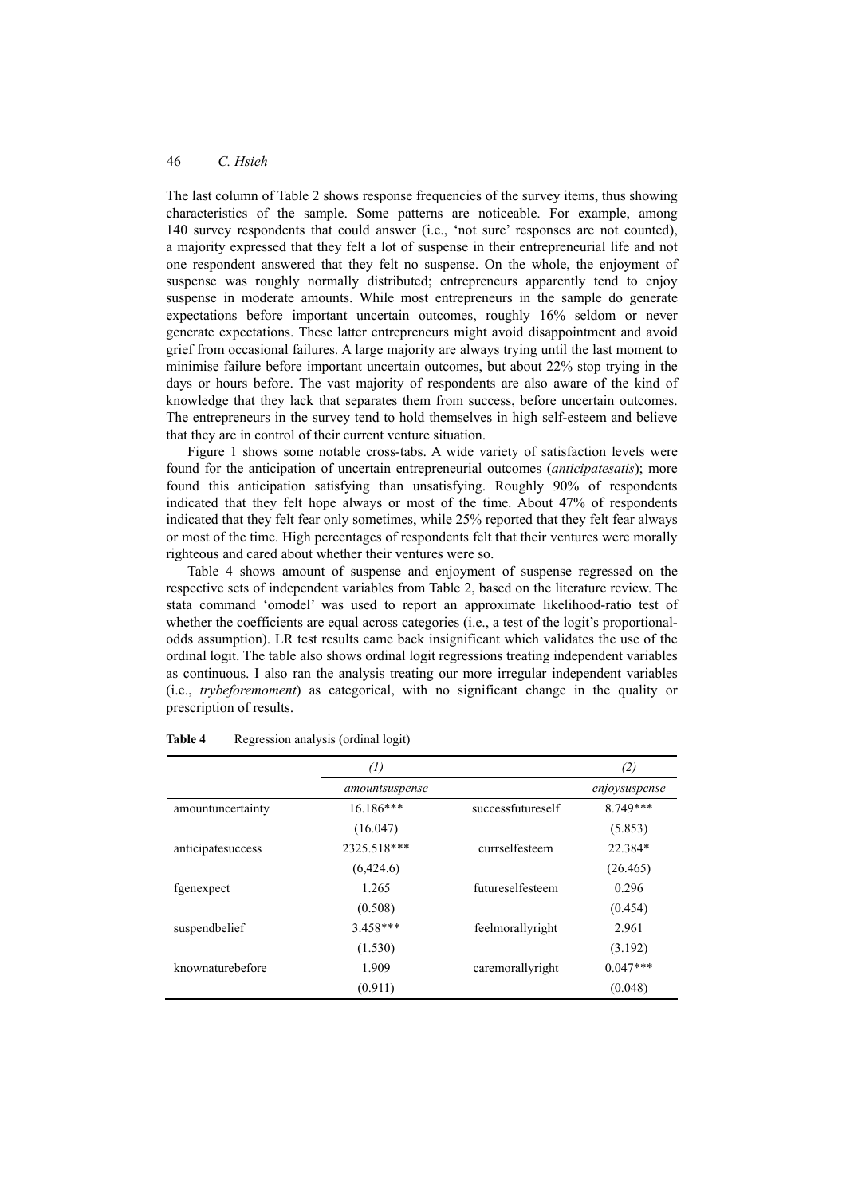The last column of Table 2 shows response frequencies of the survey items, thus showing characteristics of the sample. Some patterns are noticeable. For example, among 140 survey respondents that could answer (i.e., 'not sure' responses are not counted), a majority expressed that they felt a lot of suspense in their entrepreneurial life and not one respondent answered that they felt no suspense. On the whole, the enjoyment of suspense was roughly normally distributed; entrepreneurs apparently tend to enjoy suspense in moderate amounts. While most entrepreneurs in the sample do generate expectations before important uncertain outcomes, roughly 16% seldom or never generate expectations. These latter entrepreneurs might avoid disappointment and avoid grief from occasional failures. A large majority are always trying until the last moment to minimise failure before important uncertain outcomes, but about 22% stop trying in the days or hours before. The vast majority of respondents are also aware of the kind of knowledge that they lack that separates them from success, before uncertain outcomes. The entrepreneurs in the survey tend to hold themselves in high self-esteem and believe that they are in control of their current venture situation.

Figure 1 shows some notable cross-tabs. A wide variety of satisfaction levels were found for the anticipation of uncertain entrepreneurial outcomes (*anticipatesatis*); more found this anticipation satisfying than unsatisfying. Roughly 90% of respondents indicated that they felt hope always or most of the time. About 47% of respondents indicated that they felt fear only sometimes, while 25% reported that they felt fear always or most of the time. High percentages of respondents felt that their ventures were morally righteous and cared about whether their ventures were so.

Table 4 shows amount of suspense and enjoyment of suspense regressed on the respective sets of independent variables from Table 2, based on the literature review. The stata command 'omodel' was used to report an approximate likelihood-ratio test of whether the coefficients are equal across categories (i.e., a test of the logit's proportionalodds assumption). LR test results came back insignificant which validates the use of the ordinal logit. The table also shows ordinal logit regressions treating independent variables as continuous. I also ran the analysis treating our more irregular independent variables (i.e., *trybeforemoment*) as categorical, with no significant change in the quality or prescription of results.

|                   | $\left( l\right)$ |                   | (2)           |
|-------------------|-------------------|-------------------|---------------|
|                   | amountsuspense    |                   | enjoysuspense |
| amountuncertainty | $16.186***$       | successfutureself | 8.749***      |
|                   | (16.047)          |                   | (5.853)       |
| anticipatesuccess | 2325.518***       | currselfesteem    | 22.384*       |
|                   | (6,424.6)         |                   | (26.465)      |
| fgenexpect        | 1.265             | futureselfesteem  | 0.296         |
|                   | (0.508)           |                   | (0.454)       |
| suspendbelief     | $3.458***$        | feelmorallyright  | 2.961         |
|                   | (1.530)           |                   | (3.192)       |
| knownaturebefore  | 1.909             | caremorallyright  | $0.047***$    |
|                   | (0.911)           |                   | (0.048)       |

#### **Table 4** Regression analysis (ordinal logit)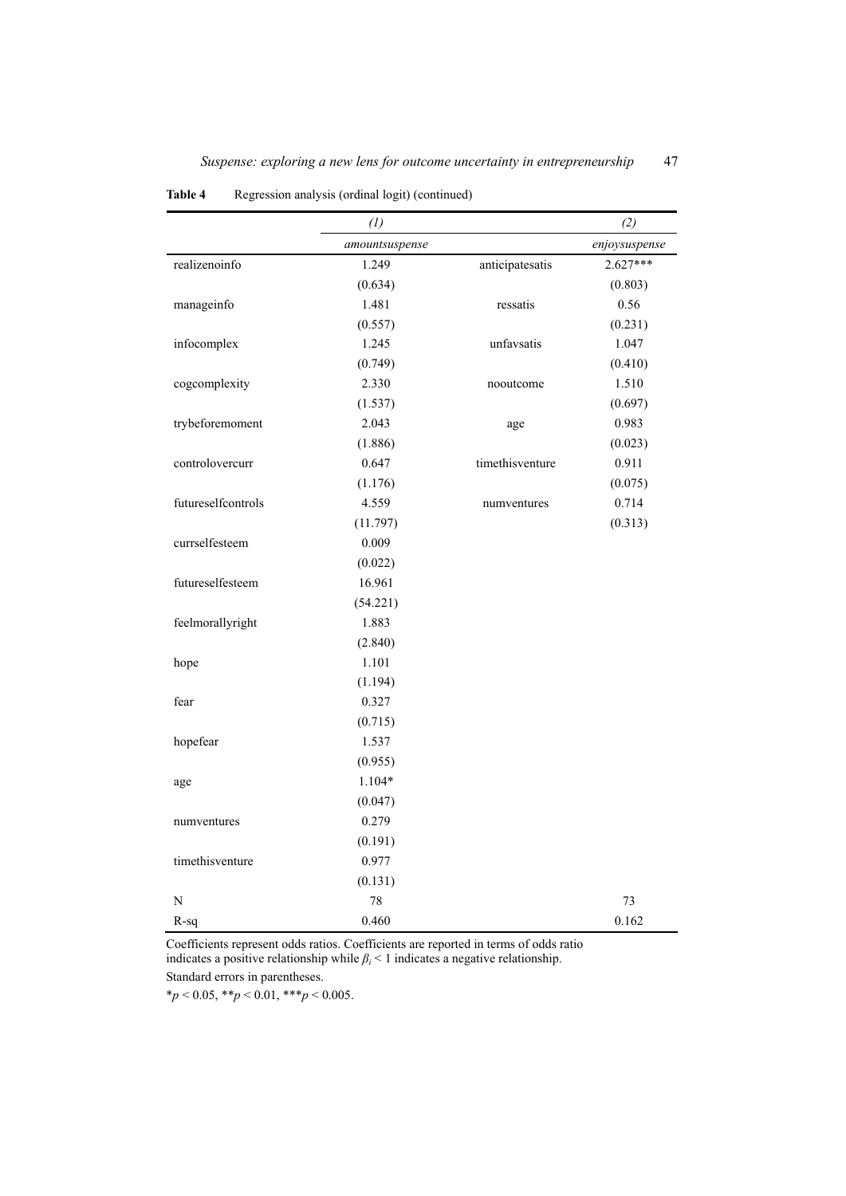|                    | (1)            |                 | (2)           |
|--------------------|----------------|-----------------|---------------|
|                    | amountsuspense |                 | enjoysuspense |
| realizenoinfo      | 1.249          | anticipatesatis | $2.627***$    |
|                    | (0.634)        |                 | (0.803)       |
| manageinfo         | 1.481          | ressatis        | 0.56          |
|                    | (0.557)        |                 | (0.231)       |
| infocomplex        | 1.245          | unfavsatis      | 1.047         |
|                    | (0.749)        |                 | (0.410)       |
| cogcomplexity      | 2.330          | nooutcome       | 1.510         |
|                    | (1.537)        |                 | (0.697)       |
| trybeforemoment    | 2.043          | age             | 0.983         |
|                    | (1.886)        |                 | (0.023)       |
| controlovercurr    | 0.647          | timethisventure | 0.911         |
|                    | (1.176)        |                 | (0.075)       |
| futureselfcontrols | 4.559          | numventures     | 0.714         |
|                    | (11.797)       |                 | (0.313)       |
| currselfesteem     | 0.009          |                 |               |
|                    | (0.022)        |                 |               |
| futureselfesteem   | 16.961         |                 |               |
|                    | (54.221)       |                 |               |
| feelmorallyright   | 1.883          |                 |               |
|                    | (2.840)        |                 |               |
| hope               | 1.101          |                 |               |
|                    | (1.194)        |                 |               |
| fear               | 0.327          |                 |               |
|                    | (0.715)        |                 |               |
| hopefear           | 1.537          |                 |               |
|                    | (0.955)        |                 |               |
| age                | $1.104*$       |                 |               |
|                    | (0.047)        |                 |               |
| numventures        | 0.279          |                 |               |
|                    | (0.191)        |                 |               |
| timethisventure    | 0.977          |                 |               |
|                    | (0.131)        |                 |               |
| N                  | 78             |                 | 73            |
| $R-sq$             | 0.460          |                 | 0.162         |

**Table 4** Regression analysis (ordinal logit) (continued)

Coefficients represent odds ratios. Coefficients are reported in terms of odds ratio indicates a positive relationship while  $\beta$ <sup>*i*</sup> < 1 indicates a negative relationship. Standard errors in parentheses.

 $*_{p}$  < 0.05, \*\**p* < 0.01, \*\*\**p* < 0.005.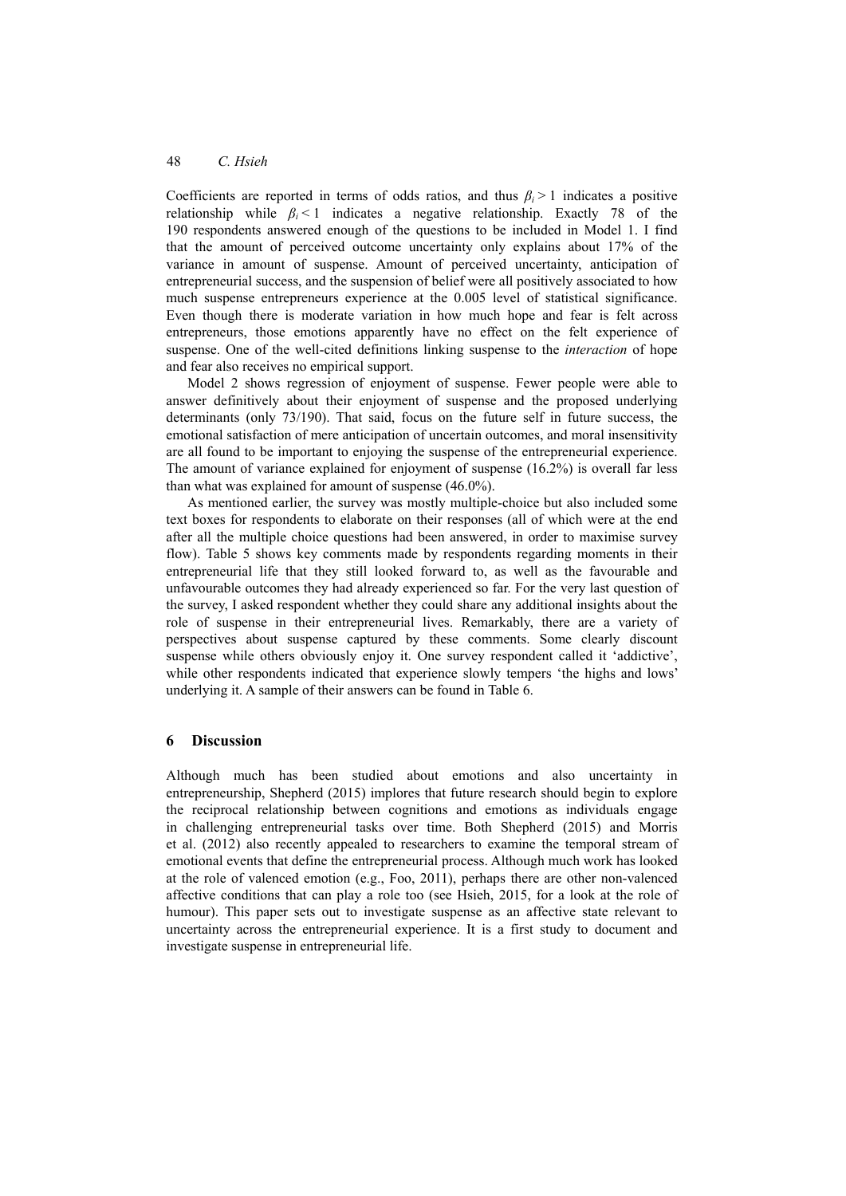Coefficients are reported in terms of odds ratios, and thus *βi* > 1 indicates a positive relationship while  $\beta$ <sup>i</sup> < 1 indicates a negative relationship. Exactly 78 of the 190 respondents answered enough of the questions to be included in Model 1. I find that the amount of perceived outcome uncertainty only explains about 17% of the variance in amount of suspense. Amount of perceived uncertainty, anticipation of entrepreneurial success, and the suspension of belief were all positively associated to how much suspense entrepreneurs experience at the 0.005 level of statistical significance. Even though there is moderate variation in how much hope and fear is felt across entrepreneurs, those emotions apparently have no effect on the felt experience of suspense. One of the well-cited definitions linking suspense to the *interaction* of hope and fear also receives no empirical support.

Model 2 shows regression of enjoyment of suspense. Fewer people were able to answer definitively about their enjoyment of suspense and the proposed underlying determinants (only 73/190). That said, focus on the future self in future success, the emotional satisfaction of mere anticipation of uncertain outcomes, and moral insensitivity are all found to be important to enjoying the suspense of the entrepreneurial experience. The amount of variance explained for enjoyment of suspense (16.2%) is overall far less than what was explained for amount of suspense (46.0%).

As mentioned earlier, the survey was mostly multiple-choice but also included some text boxes for respondents to elaborate on their responses (all of which were at the end after all the multiple choice questions had been answered, in order to maximise survey flow). Table 5 shows key comments made by respondents regarding moments in their entrepreneurial life that they still looked forward to, as well as the favourable and unfavourable outcomes they had already experienced so far. For the very last question of the survey, I asked respondent whether they could share any additional insights about the role of suspense in their entrepreneurial lives. Remarkably, there are a variety of perspectives about suspense captured by these comments. Some clearly discount suspense while others obviously enjoy it. One survey respondent called it 'addictive', while other respondents indicated that experience slowly tempers 'the highs and lows' underlying it. A sample of their answers can be found in Table 6.

### **6 Discussion**

Although much has been studied about emotions and also uncertainty in entrepreneurship, Shepherd (2015) implores that future research should begin to explore the reciprocal relationship between cognitions and emotions as individuals engage in challenging entrepreneurial tasks over time. Both Shepherd (2015) and Morris et al. (2012) also recently appealed to researchers to examine the temporal stream of emotional events that define the entrepreneurial process. Although much work has looked at the role of valenced emotion (e.g., Foo, 2011), perhaps there are other non-valenced affective conditions that can play a role too (see Hsieh, 2015, for a look at the role of humour). This paper sets out to investigate suspense as an affective state relevant to uncertainty across the entrepreneurial experience. It is a first study to document and investigate suspense in entrepreneurial life.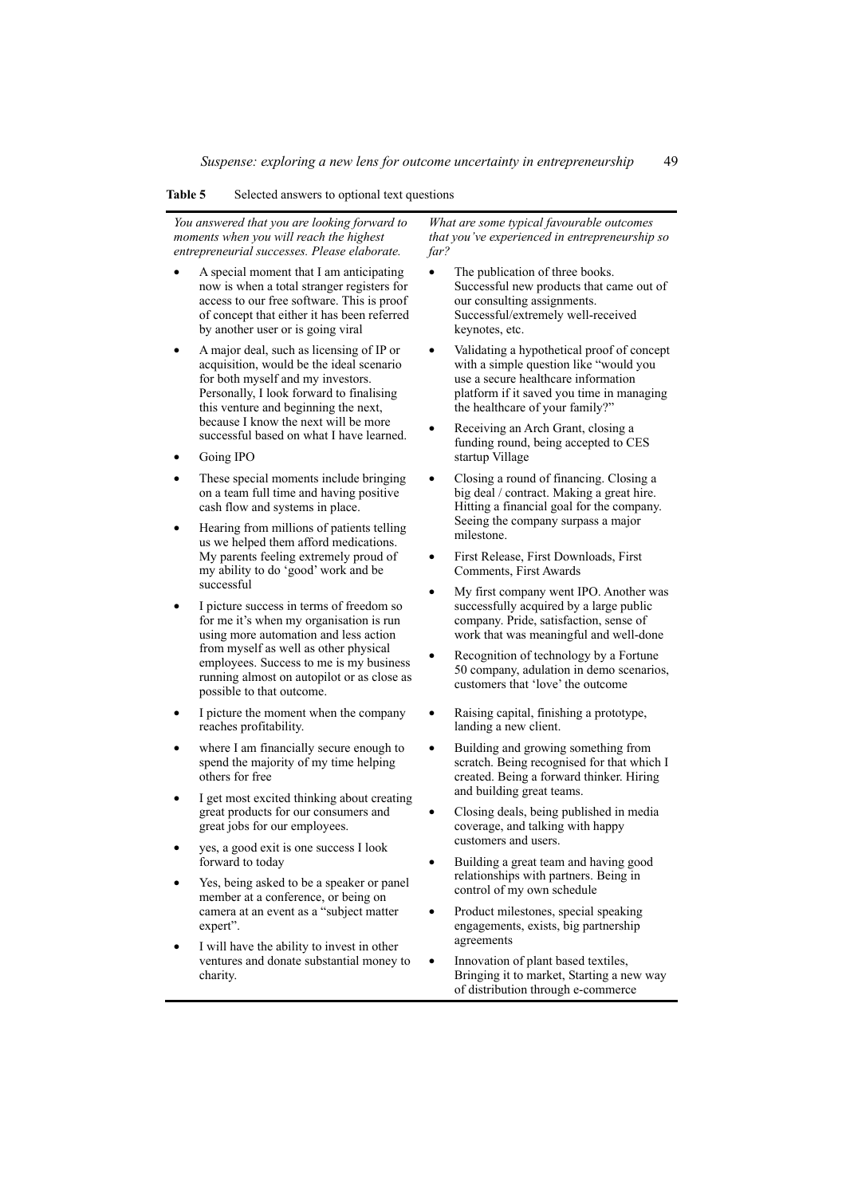#### **Table 5** Selected answers to optional text questions

*You answered that you are looking forward to moments when you will reach the highest entrepreneurial successes. Please elaborate.* 

- A special moment that I am anticipating now is when a total stranger registers for access to our free software. This is proof of concept that either it has been referred by another user or is going viral
- A major deal, such as licensing of IP or acquisition, would be the ideal scenario for both myself and my investors. Personally, I look forward to finalising this venture and beginning the next, because I know the next will be more successful based on what I have learned.
- Going IPO
- These special moments include bringing on a team full time and having positive cash flow and systems in place.
- Hearing from millions of patients telling us we helped them afford medications. My parents feeling extremely proud of my ability to do 'good' work and be successful
- I picture success in terms of freedom so for me it's when my organisation is run using more automation and less action from myself as well as other physical employees. Success to me is my business running almost on autopilot or as close as possible to that outcome.
- I picture the moment when the company reaches profitability.
- where I am financially secure enough to spend the majority of my time helping others for free
- I get most excited thinking about creating great products for our consumers and great jobs for our employees.
- yes, a good exit is one success I look forward to today
- Yes, being asked to be a speaker or panel member at a conference, or being on camera at an event as a "subject matter expert".
- I will have the ability to invest in other ventures and donate substantial money to charity.

*What are some typical favourable outcomes that you've experienced in entrepreneurship so far?* 

- The publication of three books. Successful new products that came out of our consulting assignments. Successful/extremely well-received keynotes, etc.
- Validating a hypothetical proof of concept with a simple question like "would you use a secure healthcare information platform if it saved you time in managing the healthcare of your family?"
- Receiving an Arch Grant, closing a funding round, being accepted to CES startup Village
- Closing a round of financing. Closing a big deal / contract. Making a great hire. Hitting a financial goal for the company. Seeing the company surpass a major milestone.
- First Release, First Downloads, First Comments, First Awards
- My first company went IPO. Another was successfully acquired by a large public company. Pride, satisfaction, sense of work that was meaningful and well-done
- Recognition of technology by a Fortune 50 company, adulation in demo scenarios, customers that 'love' the outcome
- Raising capital, finishing a prototype, landing a new client.
- Building and growing something from scratch. Being recognised for that which I created. Being a forward thinker. Hiring and building great teams.
- Closing deals, being published in media coverage, and talking with happy customers and users.
- Building a great team and having good relationships with partners. Being in control of my own schedule
- Product milestones, special speaking engagements, exists, big partnership agreements
- Innovation of plant based textiles, Bringing it to market, Starting a new way of distribution through e-commerce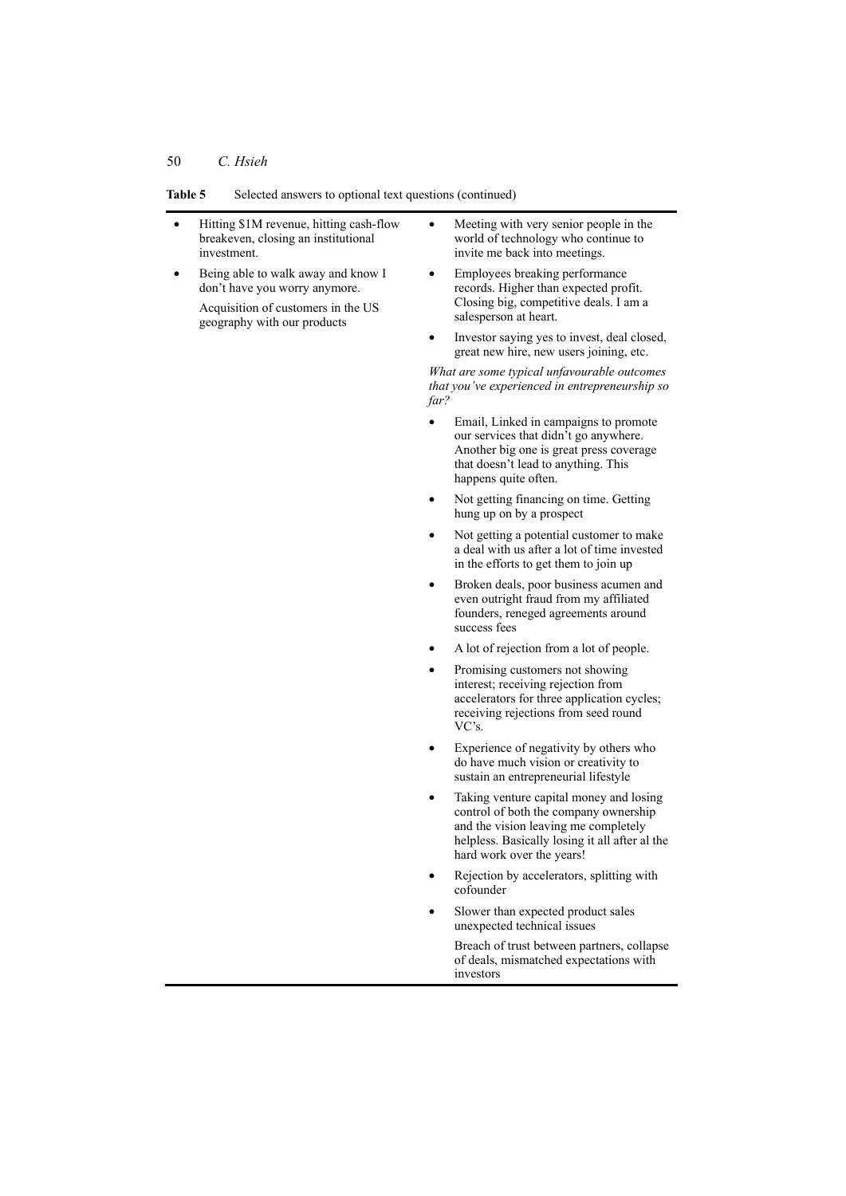#### **Table 5** Selected answers to optional text questions (continued)

- Hitting \$1M revenue, hitting cash-flow breakeven, closing an institutional investment.
- Being able to walk away and know I don't have you worry anymore.
	- Acquisition of customers in the US geography with our products
- Meeting with very senior people in the world of technology who continue to invite me back into meetings.
- Employees breaking performance records. Higher than expected profit. Closing big, competitive deals. I am a salesperson at heart.
- Investor saying yes to invest, deal closed, great new hire, new users joining, etc.

*What are some typical unfavourable outcomes that you've experienced in entrepreneurship so far?* 

- Email, Linked in campaigns to promote our services that didn't go anywhere. Another big one is great press coverage that doesn't lead to anything. This happens quite often.
- Not getting financing on time. Getting hung up on by a prospect
- Not getting a potential customer to make a deal with us after a lot of time invested in the efforts to get them to join up
- Broken deals, poor business acumen and even outright fraud from my affiliated founders, reneged agreements around success fees
- A lot of rejection from a lot of people.
- Promising customers not showing interest; receiving rejection from accelerators for three application cycles; receiving rejections from seed round VC's.
- Experience of negativity by others who do have much vision or creativity to sustain an entrepreneurial lifestyle
- Taking venture capital money and losing control of both the company ownership and the vision leaving me completely helpless. Basically losing it all after al the hard work over the years!
- Rejection by accelerators, splitting with cofounder
- Slower than expected product sales unexpected technical issues

Breach of trust between partners, collapse of deals, mismatched expectations with investors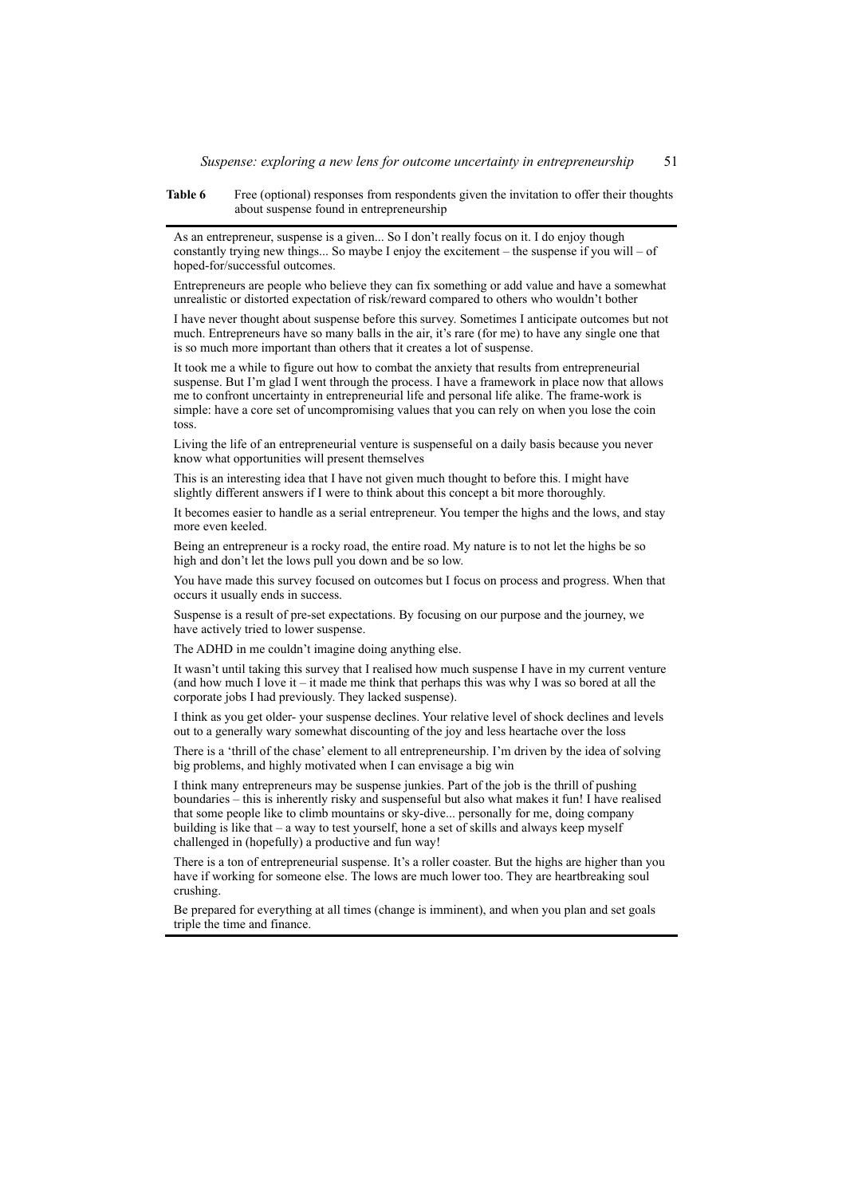**Table 6** Free (optional) responses from respondents given the invitation to offer their thoughts about suspense found in entrepreneurship

As an entrepreneur, suspense is a given... So I don't really focus on it. I do enjoy though constantly trying new things... So maybe I enjoy the excitement – the suspense if you will – of hoped-for/successful outcomes.

Entrepreneurs are people who believe they can fix something or add value and have a somewhat unrealistic or distorted expectation of risk/reward compared to others who wouldn't bother

I have never thought about suspense before this survey. Sometimes I anticipate outcomes but not much. Entrepreneurs have so many balls in the air, it's rare (for me) to have any single one that is so much more important than others that it creates a lot of suspense.

It took me a while to figure out how to combat the anxiety that results from entrepreneurial suspense. But I'm glad I went through the process. I have a framework in place now that allows me to confront uncertainty in entrepreneurial life and personal life alike. The frame-work is simple: have a core set of uncompromising values that you can rely on when you lose the coin toss.

Living the life of an entrepreneurial venture is suspenseful on a daily basis because you never know what opportunities will present themselves

This is an interesting idea that I have not given much thought to before this. I might have slightly different answers if I were to think about this concept a bit more thoroughly.

It becomes easier to handle as a serial entrepreneur. You temper the highs and the lows, and stay more even keeled.

Being an entrepreneur is a rocky road, the entire road. My nature is to not let the highs be so high and don't let the lows pull you down and be so low.

You have made this survey focused on outcomes but I focus on process and progress. When that occurs it usually ends in success.

Suspense is a result of pre-set expectations. By focusing on our purpose and the journey, we have actively tried to lower suspense.

The ADHD in me couldn't imagine doing anything else.

It wasn't until taking this survey that I realised how much suspense I have in my current venture (and how much I love it  $-i$  t made me think that perhaps this was why I was so bored at all the corporate jobs I had previously. They lacked suspense).

I think as you get older- your suspense declines. Your relative level of shock declines and levels out to a generally wary somewhat discounting of the joy and less heartache over the loss

There is a 'thrill of the chase' element to all entrepreneurship. I'm driven by the idea of solving big problems, and highly motivated when I can envisage a big win

I think many entrepreneurs may be suspense junkies. Part of the job is the thrill of pushing boundaries – this is inherently risky and suspenseful but also what makes it fun! I have realised that some people like to climb mountains or sky-dive... personally for me, doing company building is like that – a way to test yourself, hone a set of skills and always keep myself challenged in (hopefully) a productive and fun way!

There is a ton of entrepreneurial suspense. It's a roller coaster. But the highs are higher than you have if working for someone else. The lows are much lower too. They are heartbreaking soul crushing.

Be prepared for everything at all times (change is imminent), and when you plan and set goals triple the time and finance.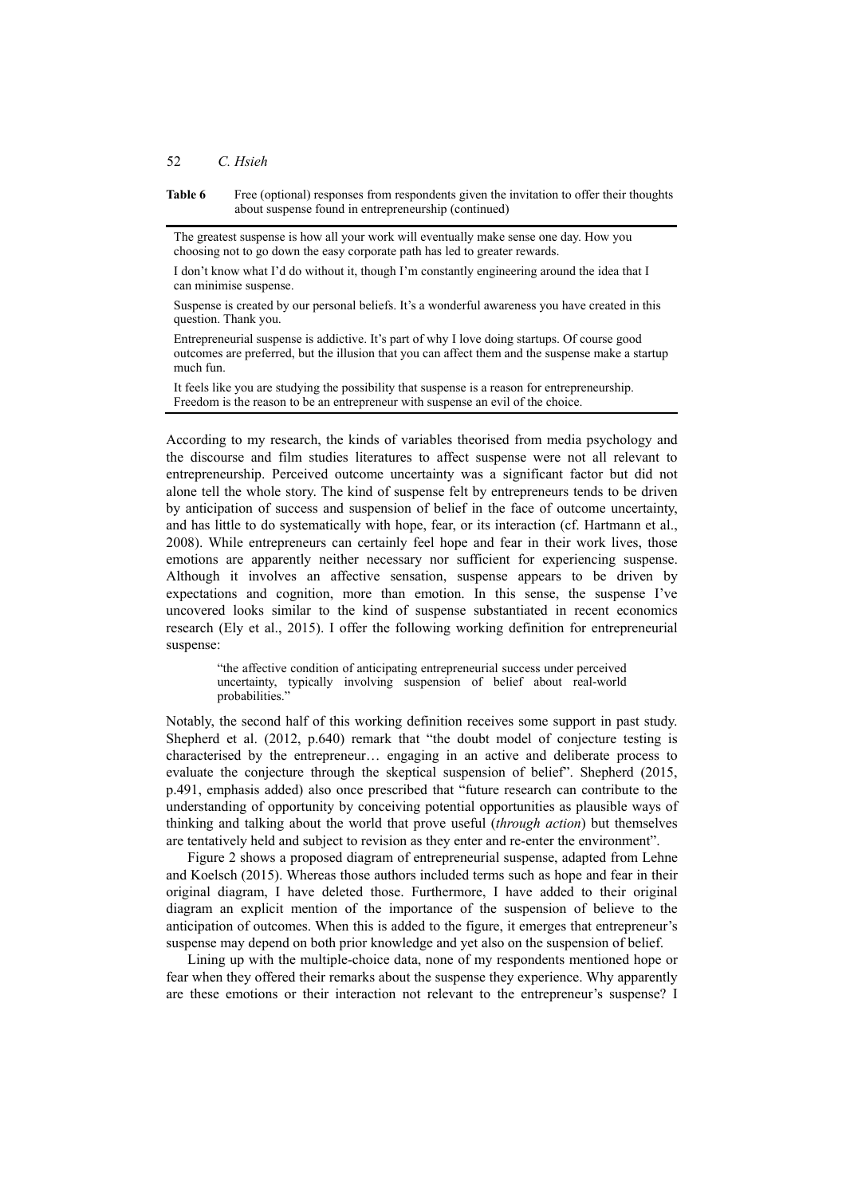#### 52 *C. Hsieh*

**Table 6** Free (optional) responses from respondents given the invitation to offer their thoughts about suspense found in entrepreneurship (continued)

The greatest suspense is how all your work will eventually make sense one day. How you choosing not to go down the easy corporate path has led to greater rewards.

I don't know what I'd do without it, though I'm constantly engineering around the idea that I can minimise suspense.

Suspense is created by our personal beliefs. It's a wonderful awareness you have created in this question. Thank you.

Entrepreneurial suspense is addictive. It's part of why I love doing startups. Of course good outcomes are preferred, but the illusion that you can affect them and the suspense make a startup much fun.

It feels like you are studying the possibility that suspense is a reason for entrepreneurship. Freedom is the reason to be an entrepreneur with suspense an evil of the choice.

According to my research, the kinds of variables theorised from media psychology and the discourse and film studies literatures to affect suspense were not all relevant to entrepreneurship. Perceived outcome uncertainty was a significant factor but did not alone tell the whole story. The kind of suspense felt by entrepreneurs tends to be driven by anticipation of success and suspension of belief in the face of outcome uncertainty, and has little to do systematically with hope, fear, or its interaction (cf. Hartmann et al., 2008). While entrepreneurs can certainly feel hope and fear in their work lives, those emotions are apparently neither necessary nor sufficient for experiencing suspense. Although it involves an affective sensation, suspense appears to be driven by expectations and cognition, more than emotion. In this sense, the suspense I've uncovered looks similar to the kind of suspense substantiated in recent economics research (Ely et al., 2015). I offer the following working definition for entrepreneurial suspense:

"the affective condition of anticipating entrepreneurial success under perceived uncertainty, typically involving suspension of belief about real-world probabilities.'

Notably, the second half of this working definition receives some support in past study. Shepherd et al. (2012, p.640) remark that "the doubt model of conjecture testing is characterised by the entrepreneur… engaging in an active and deliberate process to evaluate the conjecture through the skeptical suspension of belief". Shepherd (2015, p.491, emphasis added) also once prescribed that "future research can contribute to the understanding of opportunity by conceiving potential opportunities as plausible ways of thinking and talking about the world that prove useful (*through action*) but themselves are tentatively held and subject to revision as they enter and re-enter the environment".

Figure 2 shows a proposed diagram of entrepreneurial suspense, adapted from Lehne and Koelsch (2015). Whereas those authors included terms such as hope and fear in their original diagram, I have deleted those. Furthermore, I have added to their original diagram an explicit mention of the importance of the suspension of believe to the anticipation of outcomes. When this is added to the figure, it emerges that entrepreneur's suspense may depend on both prior knowledge and yet also on the suspension of belief.

Lining up with the multiple-choice data, none of my respondents mentioned hope or fear when they offered their remarks about the suspense they experience. Why apparently are these emotions or their interaction not relevant to the entrepreneur's suspense? I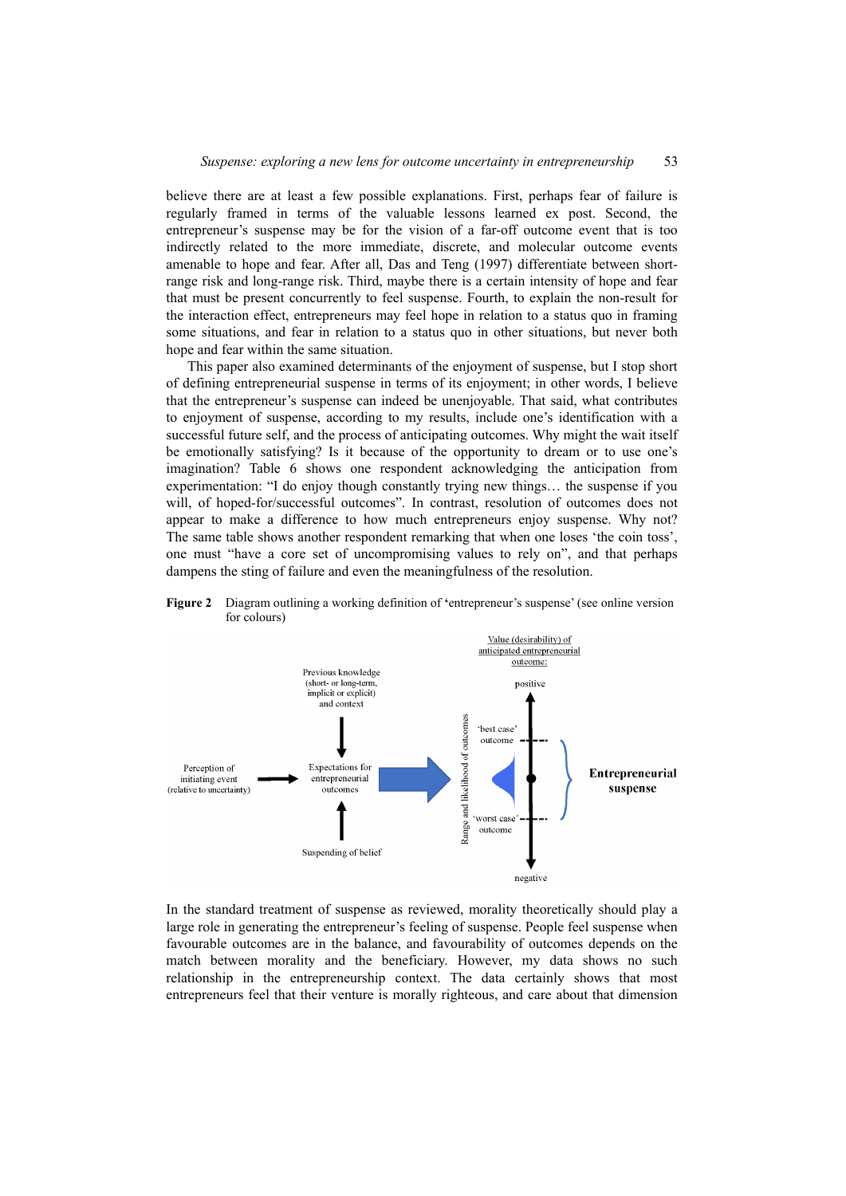believe there are at least a few possible explanations. First, perhaps fear of failure is regularly framed in terms of the valuable lessons learned ex post. Second, the entrepreneur's suspense may be for the vision of a far-off outcome event that is too indirectly related to the more immediate, discrete, and molecular outcome events amenable to hope and fear. After all, Das and Teng (1997) differentiate between shortrange risk and long-range risk. Third, maybe there is a certain intensity of hope and fear that must be present concurrently to feel suspense. Fourth, to explain the non-result for the interaction effect, entrepreneurs may feel hope in relation to a status quo in framing some situations, and fear in relation to a status quo in other situations, but never both hope and fear within the same situation.

This paper also examined determinants of the enjoyment of suspense, but I stop short of defining entrepreneurial suspense in terms of its enjoyment; in other words, I believe that the entrepreneur's suspense can indeed be unenjoyable. That said, what contributes to enjoyment of suspense, according to my results, include one's identification with a successful future self, and the process of anticipating outcomes. Why might the wait itself be emotionally satisfying? Is it because of the opportunity to dream or to use one's imagination? Table 6 shows one respondent acknowledging the anticipation from experimentation: "I do enjoy though constantly trying new things… the suspense if you will, of hoped-for/successful outcomes". In contrast, resolution of outcomes does not appear to make a difference to how much entrepreneurs enjoy suspense. Why not? The same table shows another respondent remarking that when one loses 'the coin toss', one must "have a core set of uncompromising values to rely on", and that perhaps dampens the sting of failure and even the meaningfulness of the resolution.



**Figure 2** Diagram outlining a working definition of **'**entrepreneur's suspense' (see online version for colours)

In the standard treatment of suspense as reviewed, morality theoretically should play a large role in generating the entrepreneur's feeling of suspense. People feel suspense when favourable outcomes are in the balance, and favourability of outcomes depends on the match between morality and the beneficiary. However, my data shows no such relationship in the entrepreneurship context. The data certainly shows that most entrepreneurs feel that their venture is morally righteous, and care about that dimension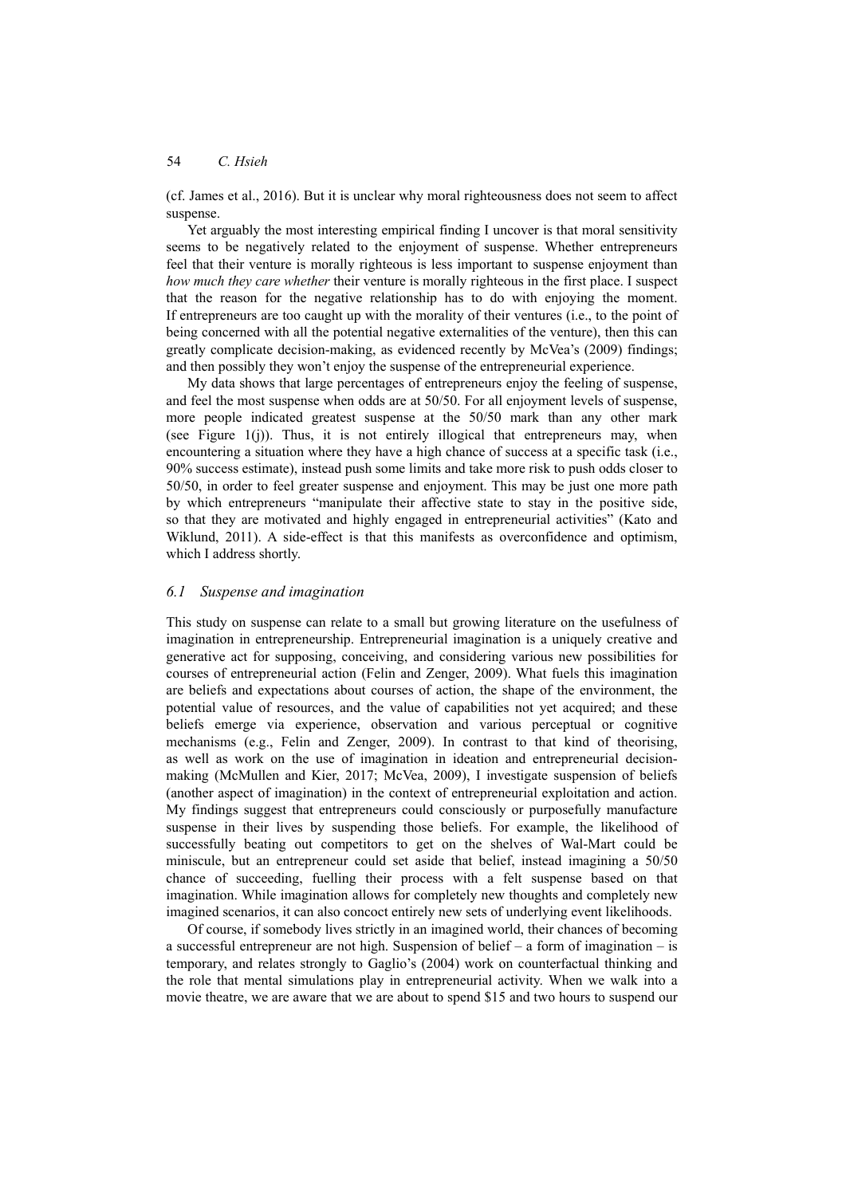(cf. James et al., 2016). But it is unclear why moral righteousness does not seem to affect suspense.

Yet arguably the most interesting empirical finding I uncover is that moral sensitivity seems to be negatively related to the enjoyment of suspense. Whether entrepreneurs feel that their venture is morally righteous is less important to suspense enjoyment than *how much they care whether* their venture is morally righteous in the first place. I suspect that the reason for the negative relationship has to do with enjoying the moment. If entrepreneurs are too caught up with the morality of their ventures (i.e., to the point of being concerned with all the potential negative externalities of the venture), then this can greatly complicate decision-making, as evidenced recently by McVea's (2009) findings; and then possibly they won't enjoy the suspense of the entrepreneurial experience.

My data shows that large percentages of entrepreneurs enjoy the feeling of suspense, and feel the most suspense when odds are at 50/50. For all enjoyment levels of suspense, more people indicated greatest suspense at the 50/50 mark than any other mark (see Figure  $1(i)$ ). Thus, it is not entirely illogical that entrepreneurs may, when encountering a situation where they have a high chance of success at a specific task (i.e., 90% success estimate), instead push some limits and take more risk to push odds closer to 50/50, in order to feel greater suspense and enjoyment. This may be just one more path by which entrepreneurs "manipulate their affective state to stay in the positive side, so that they are motivated and highly engaged in entrepreneurial activities" (Kato and Wiklund, 2011). A side-effect is that this manifests as overconfidence and optimism, which I address shortly.

### *6.1 Suspense and imagination*

This study on suspense can relate to a small but growing literature on the usefulness of imagination in entrepreneurship. Entrepreneurial imagination is a uniquely creative and generative act for supposing, conceiving, and considering various new possibilities for courses of entrepreneurial action (Felin and Zenger, 2009). What fuels this imagination are beliefs and expectations about courses of action, the shape of the environment, the potential value of resources, and the value of capabilities not yet acquired; and these beliefs emerge via experience, observation and various perceptual or cognitive mechanisms (e.g., Felin and Zenger, 2009). In contrast to that kind of theorising, as well as work on the use of imagination in ideation and entrepreneurial decisionmaking (McMullen and Kier, 2017; McVea, 2009), I investigate suspension of beliefs (another aspect of imagination) in the context of entrepreneurial exploitation and action. My findings suggest that entrepreneurs could consciously or purposefully manufacture suspense in their lives by suspending those beliefs. For example, the likelihood of successfully beating out competitors to get on the shelves of Wal-Mart could be miniscule, but an entrepreneur could set aside that belief, instead imagining a 50/50 chance of succeeding, fuelling their process with a felt suspense based on that imagination. While imagination allows for completely new thoughts and completely new imagined scenarios, it can also concoct entirely new sets of underlying event likelihoods.

Of course, if somebody lives strictly in an imagined world, their chances of becoming a successful entrepreneur are not high. Suspension of belief – a form of imagination – is temporary, and relates strongly to Gaglio's (2004) work on counterfactual thinking and the role that mental simulations play in entrepreneurial activity. When we walk into a movie theatre, we are aware that we are about to spend \$15 and two hours to suspend our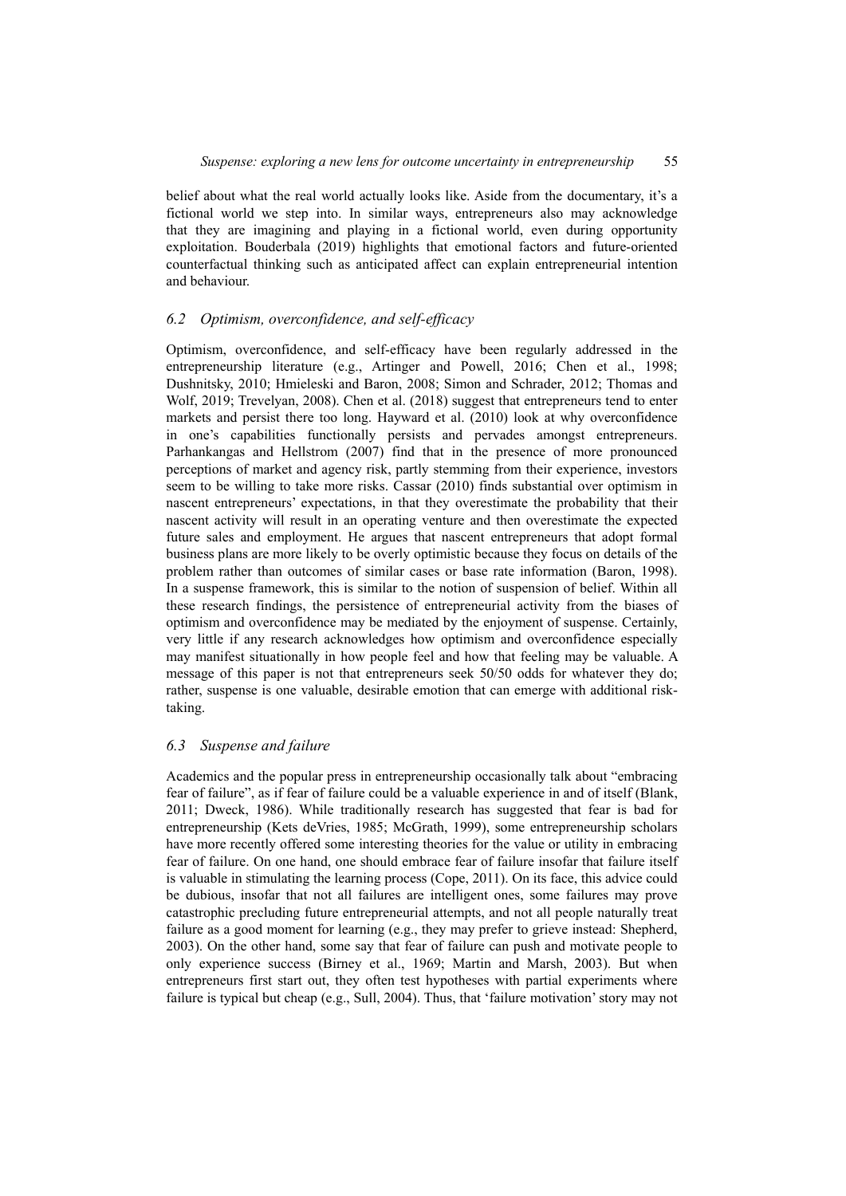belief about what the real world actually looks like. Aside from the documentary, it's a fictional world we step into. In similar ways, entrepreneurs also may acknowledge that they are imagining and playing in a fictional world, even during opportunity exploitation. Bouderbala (2019) highlights that emotional factors and future-oriented counterfactual thinking such as anticipated affect can explain entrepreneurial intention and behaviour.

## *6.2 Optimism, overconfidence, and self-efficacy*

Optimism, overconfidence, and self-efficacy have been regularly addressed in the entrepreneurship literature (e.g., Artinger and Powell, 2016; Chen et al., 1998; Dushnitsky, 2010; Hmieleski and Baron, 2008; Simon and Schrader, 2012; Thomas and Wolf, 2019; Trevelyan, 2008). Chen et al. (2018) suggest that entrepreneurs tend to enter markets and persist there too long. Hayward et al. (2010) look at why overconfidence in one's capabilities functionally persists and pervades amongst entrepreneurs. Parhankangas and Hellstrom (2007) find that in the presence of more pronounced perceptions of market and agency risk, partly stemming from their experience, investors seem to be willing to take more risks. Cassar (2010) finds substantial over optimism in nascent entrepreneurs' expectations, in that they overestimate the probability that their nascent activity will result in an operating venture and then overestimate the expected future sales and employment. He argues that nascent entrepreneurs that adopt formal business plans are more likely to be overly optimistic because they focus on details of the problem rather than outcomes of similar cases or base rate information (Baron, 1998). In a suspense framework, this is similar to the notion of suspension of belief. Within all these research findings, the persistence of entrepreneurial activity from the biases of optimism and overconfidence may be mediated by the enjoyment of suspense. Certainly, very little if any research acknowledges how optimism and overconfidence especially may manifest situationally in how people feel and how that feeling may be valuable. A message of this paper is not that entrepreneurs seek 50/50 odds for whatever they do; rather, suspense is one valuable, desirable emotion that can emerge with additional risktaking.

### *6.3 Suspense and failure*

Academics and the popular press in entrepreneurship occasionally talk about "embracing fear of failure", as if fear of failure could be a valuable experience in and of itself (Blank, 2011; Dweck, 1986). While traditionally research has suggested that fear is bad for entrepreneurship (Kets deVries, 1985; McGrath, 1999), some entrepreneurship scholars have more recently offered some interesting theories for the value or utility in embracing fear of failure. On one hand, one should embrace fear of failure insofar that failure itself is valuable in stimulating the learning process (Cope, 2011). On its face, this advice could be dubious, insofar that not all failures are intelligent ones, some failures may prove catastrophic precluding future entrepreneurial attempts, and not all people naturally treat failure as a good moment for learning (e.g., they may prefer to grieve instead: Shepherd, 2003). On the other hand, some say that fear of failure can push and motivate people to only experience success (Birney et al., 1969; Martin and Marsh, 2003). But when entrepreneurs first start out, they often test hypotheses with partial experiments where failure is typical but cheap (e.g., Sull, 2004). Thus, that 'failure motivation' story may not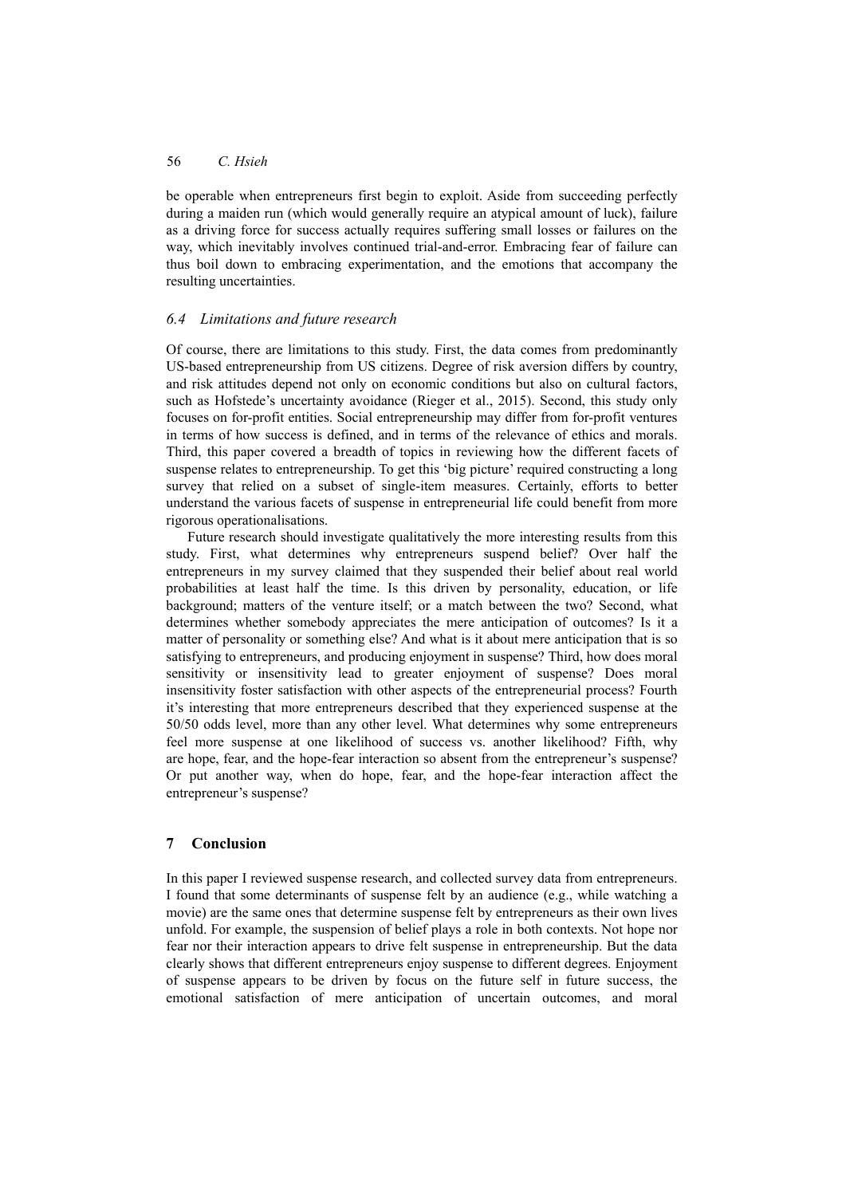be operable when entrepreneurs first begin to exploit. Aside from succeeding perfectly during a maiden run (which would generally require an atypical amount of luck), failure as a driving force for success actually requires suffering small losses or failures on the way, which inevitably involves continued trial-and-error. Embracing fear of failure can thus boil down to embracing experimentation, and the emotions that accompany the resulting uncertainties.

# *6.4 Limitations and future research*

Of course, there are limitations to this study. First, the data comes from predominantly US-based entrepreneurship from US citizens. Degree of risk aversion differs by country, and risk attitudes depend not only on economic conditions but also on cultural factors, such as Hofstede's uncertainty avoidance (Rieger et al., 2015). Second, this study only focuses on for-profit entities. Social entrepreneurship may differ from for-profit ventures in terms of how success is defined, and in terms of the relevance of ethics and morals. Third, this paper covered a breadth of topics in reviewing how the different facets of suspense relates to entrepreneurship. To get this 'big picture' required constructing a long survey that relied on a subset of single-item measures. Certainly, efforts to better understand the various facets of suspense in entrepreneurial life could benefit from more rigorous operationalisations.

Future research should investigate qualitatively the more interesting results from this study. First, what determines why entrepreneurs suspend belief? Over half the entrepreneurs in my survey claimed that they suspended their belief about real world probabilities at least half the time. Is this driven by personality, education, or life background; matters of the venture itself; or a match between the two? Second, what determines whether somebody appreciates the mere anticipation of outcomes? Is it a matter of personality or something else? And what is it about mere anticipation that is so satisfying to entrepreneurs, and producing enjoyment in suspense? Third, how does moral sensitivity or insensitivity lead to greater enjoyment of suspense? Does moral insensitivity foster satisfaction with other aspects of the entrepreneurial process? Fourth it's interesting that more entrepreneurs described that they experienced suspense at the 50/50 odds level, more than any other level. What determines why some entrepreneurs feel more suspense at one likelihood of success vs. another likelihood? Fifth, why are hope, fear, and the hope-fear interaction so absent from the entrepreneur's suspense? Or put another way, when do hope, fear, and the hope-fear interaction affect the entrepreneur's suspense?

# **7 Conclusion**

In this paper I reviewed suspense research, and collected survey data from entrepreneurs. I found that some determinants of suspense felt by an audience (e.g., while watching a movie) are the same ones that determine suspense felt by entrepreneurs as their own lives unfold. For example, the suspension of belief plays a role in both contexts. Not hope nor fear nor their interaction appears to drive felt suspense in entrepreneurship. But the data clearly shows that different entrepreneurs enjoy suspense to different degrees. Enjoyment of suspense appears to be driven by focus on the future self in future success, the emotional satisfaction of mere anticipation of uncertain outcomes, and moral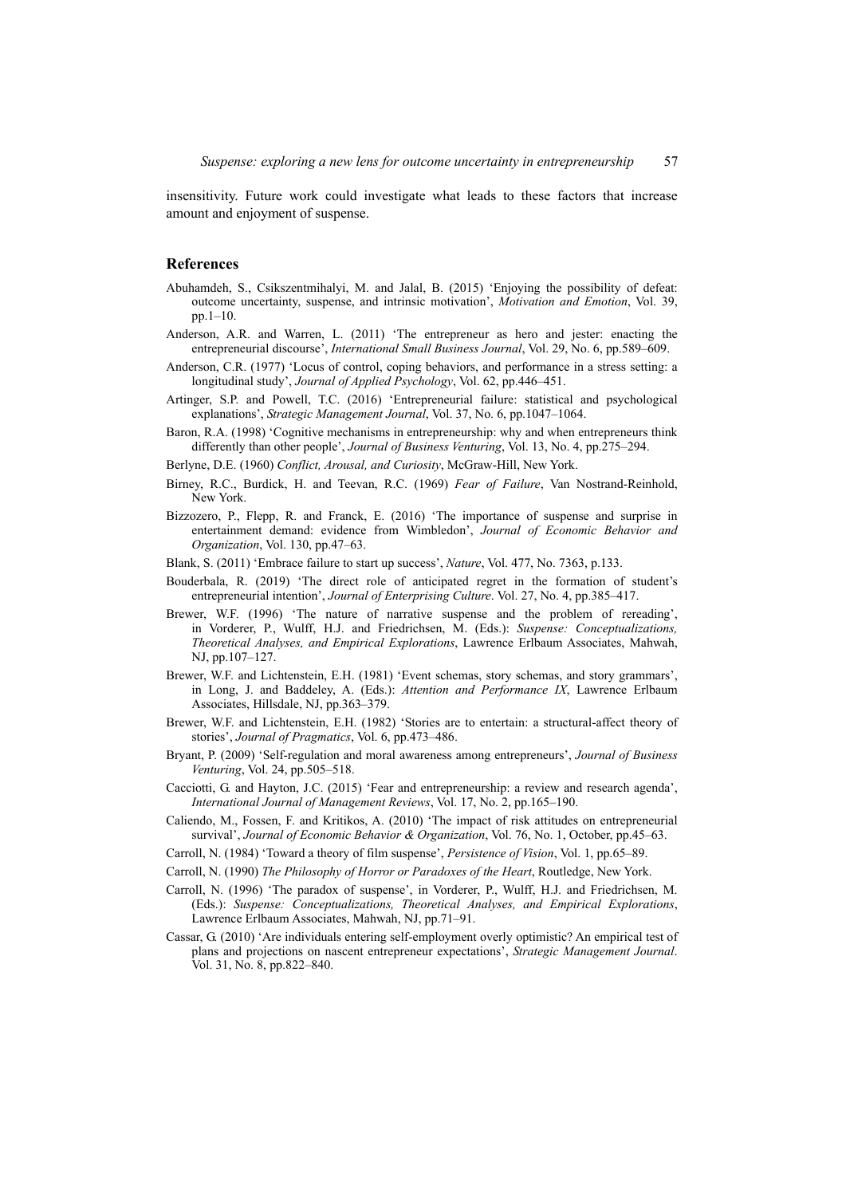insensitivity. Future work could investigate what leads to these factors that increase amount and enjoyment of suspense.

#### **References**

- Abuhamdeh, S., Csikszentmihalyi, M. and Jalal, B. (2015) 'Enjoying the possibility of defeat: outcome uncertainty, suspense, and intrinsic motivation', *Motivation and Emotion*, Vol. 39, pp.1–10.
- Anderson, A.R. and Warren, L. (2011) 'The entrepreneur as hero and jester: enacting the entrepreneurial discourse', *International Small Business Journal*, Vol. 29, No. 6, pp.589–609.
- Anderson, C.R. (1977) 'Locus of control, coping behaviors, and performance in a stress setting: a longitudinal study', *Journal of Applied Psychology*, Vol. 62, pp.446–451.
- Artinger, S.P. and Powell, T.C. (2016) 'Entrepreneurial failure: statistical and psychological explanations', *Strategic Management Journal*, Vol. 37, No. 6, pp.1047–1064.
- Baron, R.A. (1998) 'Cognitive mechanisms in entrepreneurship: why and when entrepreneurs think differently than other people', *Journal of Business Venturing*, Vol. 13, No. 4, pp.275–294.
- Berlyne, D.E. (1960) *Conflict, Arousal, and Curiosity*, McGraw-Hill, New York.
- Birney, R.C., Burdick, H. and Teevan, R.C. (1969) *Fear of Failure*, Van Nostrand-Reinhold, New York.
- Bizzozero, P., Flepp, R. and Franck, E. (2016) 'The importance of suspense and surprise in entertainment demand: evidence from Wimbledon', *Journal of Economic Behavior and Organization*, Vol. 130, pp.47–63.
- Blank, S. (2011) 'Embrace failure to start up success', *Nature*, Vol. 477, No. 7363, p.133.
- Bouderbala, R. (2019) 'The direct role of anticipated regret in the formation of student's entrepreneurial intention', *Journal of Enterprising Culture*. Vol. 27, No. 4, pp.385–417.
- Brewer, W.F. (1996) 'The nature of narrative suspense and the problem of rereading', in Vorderer, P., Wulff, H.J. and Friedrichsen, M. (Eds.): *Suspense: Conceptualizations, Theoretical Analyses, and Empirical Explorations*, Lawrence Erlbaum Associates, Mahwah, NJ, pp.107–127.
- Brewer, W.F. and Lichtenstein, E.H. (1981) 'Event schemas, story schemas, and story grammars', in Long, J. and Baddeley, A. (Eds.): *Attention and Performance IX*, Lawrence Erlbaum Associates, Hillsdale, NJ, pp.363–379.
- Brewer, W.F. and Lichtenstein, E.H. (1982) 'Stories are to entertain: a structural-affect theory of stories', *Journal of Pragmatics*, Vol. 6, pp.473–486.
- Bryant, P. (2009) 'Self-regulation and moral awareness among entrepreneurs', *Journal of Business Venturing*, Vol. 24, pp.505–518.
- Cacciotti, G. and Hayton, J.C. (2015) 'Fear and entrepreneurship: a review and research agenda', *International Journal of Management Reviews*, Vol. 17, No. 2, pp.165–190.
- Caliendo, M., Fossen, F. and Kritikos, A. (2010) 'The impact of risk attitudes on entrepreneurial survival', *Journal of Economic Behavior & Organization*, Vol. 76, No. 1, October, pp.45–63.
- Carroll, N. (1984) 'Toward a theory of film suspense', *Persistence of Vision*, Vol. 1, pp.65–89.
- Carroll, N. (1990) *The Philosophy of Horror or Paradoxes of the Heart*, Routledge, New York.
- Carroll, N. (1996) 'The paradox of suspense', in Vorderer, P., Wulff, H.J. and Friedrichsen, M. (Eds.): *Suspense: Conceptualizations, Theoretical Analyses, and Empirical Explorations*, Lawrence Erlbaum Associates, Mahwah, NJ, pp.71–91.
- Cassar, G. (2010) 'Are individuals entering self-employment overly optimistic? An empirical test of plans and projections on nascent entrepreneur expectations', *Strategic Management Journal*. Vol. 31, No. 8, pp.822–840.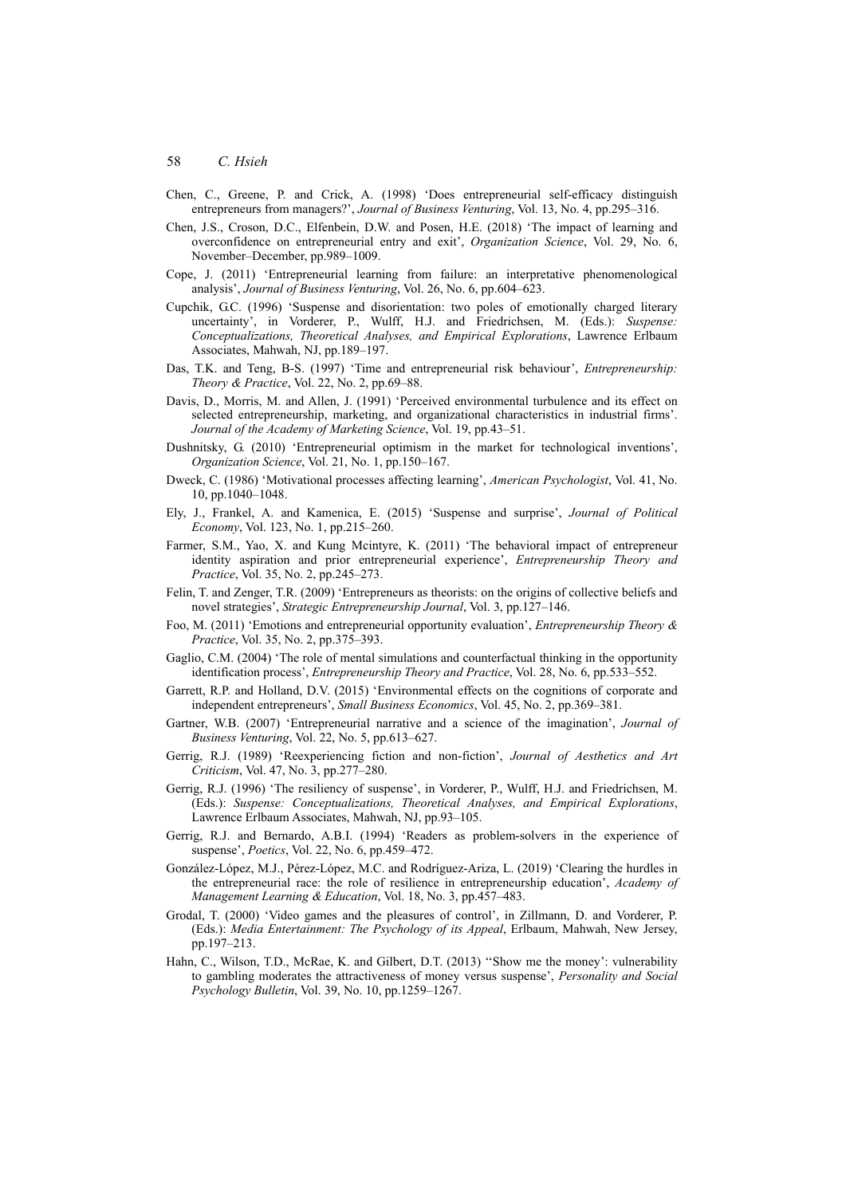- Chen, C., Greene, P. and Crick, A. (1998) 'Does entrepreneurial self-efficacy distinguish entrepreneurs from managers?', *Journal of Business Venturing*, Vol. 13, No. 4, pp.295–316.
- Chen, J.S., Croson, D.C., Elfenbein, D.W. and Posen, H.E. (2018) 'The impact of learning and overconfidence on entrepreneurial entry and exit', *Organization Science*, Vol. 29, No. 6, November–December, pp.989–1009.
- Cope, J. (2011) 'Entrepreneurial learning from failure: an interpretative phenomenological analysis', *Journal of Business Venturing*, Vol. 26, No. 6, pp.604–623.
- Cupchik, G.C. (1996) 'Suspense and disorientation: two poles of emotionally charged literary uncertainty', in Vorderer, P., Wulff, H.J. and Friedrichsen, M. (Eds.): *Suspense: Conceptualizations, Theoretical Analyses, and Empirical Explorations*, Lawrence Erlbaum Associates, Mahwah, NJ, pp.189–197.
- Das, T.K. and Teng, B-S. (1997) 'Time and entrepreneurial risk behaviour', *Entrepreneurship: Theory & Practice*, Vol. 22, No. 2, pp.69–88.
- Davis, D., Morris, M. and Allen, J. (1991) 'Perceived environmental turbulence and its effect on selected entrepreneurship, marketing, and organizational characteristics in industrial firms'. *Journal of the Academy of Marketing Science*, Vol. 19, pp.43–51.
- Dushnitsky, G. (2010) 'Entrepreneurial optimism in the market for technological inventions', *Organization Science*, Vol. 21, No. 1, pp.150–167.
- Dweck, C. (1986) 'Motivational processes affecting learning', *American Psychologist*, Vol. 41, No. 10, pp.1040–1048.
- Ely, J., Frankel, A. and Kamenica, E. (2015) 'Suspense and surprise', *Journal of Political Economy*, Vol. 123, No. 1, pp.215–260.
- Farmer, S.M., Yao, X. and Kung Mcintyre, K. (2011) 'The behavioral impact of entrepreneur identity aspiration and prior entrepreneurial experience', *Entrepreneurship Theory and Practice*, Vol. 35, No. 2, pp.245–273.
- Felin, T. and Zenger, T.R. (2009) 'Entrepreneurs as theorists: on the origins of collective beliefs and novel strategies', *Strategic Entrepreneurship Journal*, Vol. 3, pp.127–146.
- Foo, M. (2011) 'Emotions and entrepreneurial opportunity evaluation', *Entrepreneurship Theory & Practice*, Vol. 35, No. 2, pp.375–393.
- Gaglio, C.M. (2004) 'The role of mental simulations and counterfactual thinking in the opportunity identification process', *Entrepreneurship Theory and Practice*, Vol. 28, No. 6, pp.533–552.
- Garrett, R.P. and Holland, D.V. (2015) 'Environmental effects on the cognitions of corporate and independent entrepreneurs', *Small Business Economics*, Vol. 45, No. 2, pp.369–381.
- Gartner, W.B. (2007) 'Entrepreneurial narrative and a science of the imagination', *Journal of Business Venturing*, Vol. 22, No. 5, pp.613–627.
- Gerrig, R.J. (1989) 'Reexperiencing fiction and non-fiction', *Journal of Aesthetics and Art Criticism*, Vol. 47, No. 3, pp.277–280.
- Gerrig, R.J. (1996) 'The resiliency of suspense', in Vorderer, P., Wulff, H.J. and Friedrichsen, M. (Eds.): *Suspense: Conceptualizations, Theoretical Analyses, and Empirical Explorations*, Lawrence Erlbaum Associates, Mahwah, NJ, pp.93–105.
- Gerrig, R.J. and Bernardo, A.B.I. (1994) 'Readers as problem-solvers in the experience of suspense', *Poetics*, Vol. 22, No. 6, pp.459–472.
- González-López, M.J., Pérez-López, M.C. and Rodríguez-Ariza, L. (2019) 'Clearing the hurdles in the entrepreneurial race: the role of resilience in entrepreneurship education', *Academy of Management Learning & Education*, Vol. 18, No. 3, pp.457–483.
- Grodal, T. (2000) 'Video games and the pleasures of control', in Zillmann, D. and Vorderer, P. (Eds.): *Media Entertainment: The Psychology of its Appeal*, Erlbaum, Mahwah, New Jersey, pp.197–213.
- Hahn, C., Wilson, T.D., McRae, K. and Gilbert, D.T. (2013) ''Show me the money': vulnerability to gambling moderates the attractiveness of money versus suspense', *Personality and Social Psychology Bulletin*, Vol. 39, No. 10, pp.1259–1267.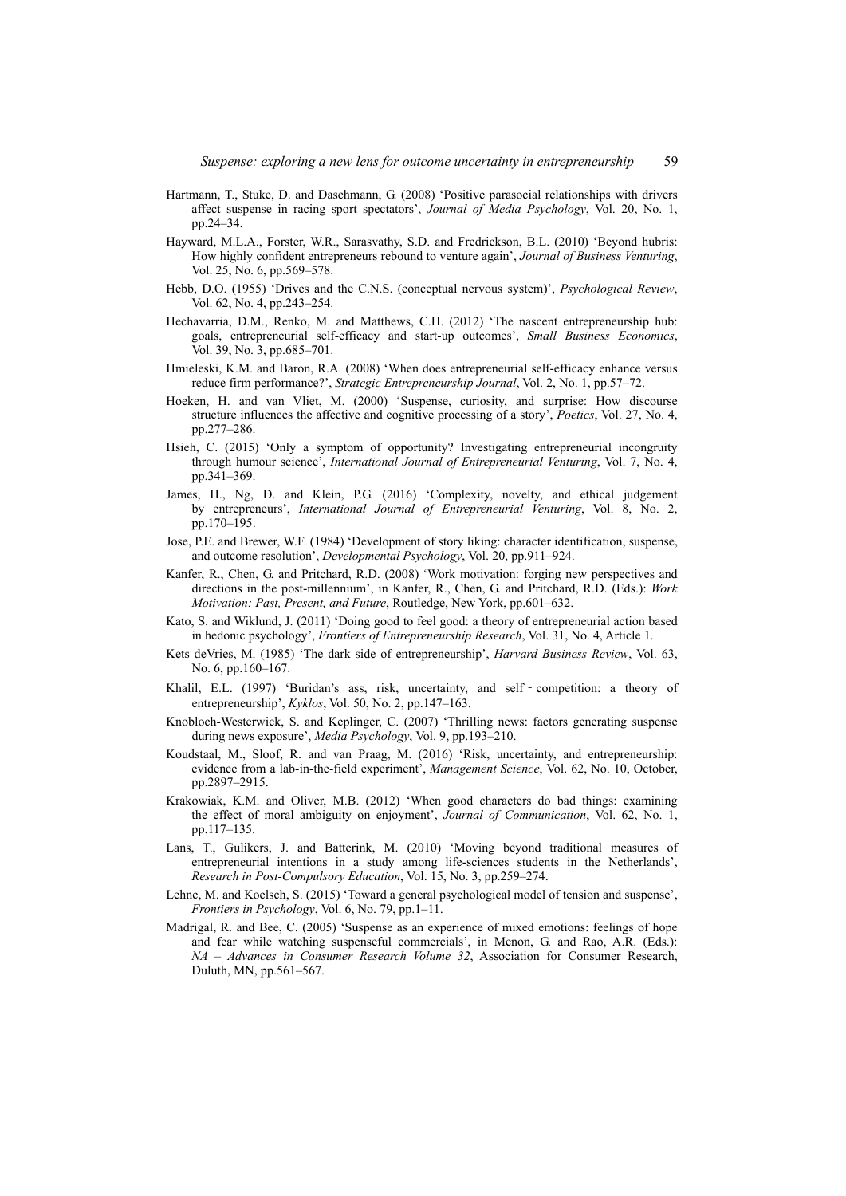- Hartmann, T., Stuke, D. and Daschmann, G. (2008) 'Positive parasocial relationships with drivers affect suspense in racing sport spectators', *Journal of Media Psychology*, Vol. 20, No. 1, pp.24–34.
- Hayward, M.L.A., Forster, W.R., Sarasvathy, S.D. and Fredrickson, B.L. (2010) 'Beyond hubris: How highly confident entrepreneurs rebound to venture again', *Journal of Business Venturing*, Vol. 25, No. 6, pp.569–578.
- Hebb, D.O. (1955) 'Drives and the C.N.S. (conceptual nervous system)', *Psychological Review*, Vol. 62, No. 4, pp.243–254.
- Hechavarria, D.M., Renko, M. and Matthews, C.H. (2012) 'The nascent entrepreneurship hub: goals, entrepreneurial self-efficacy and start-up outcomes', *Small Business Economics*, Vol. 39, No. 3, pp.685–701.
- Hmieleski, K.M. and Baron, R.A. (2008) 'When does entrepreneurial self-efficacy enhance versus reduce firm performance?', *Strategic Entrepreneurship Journal*, Vol. 2, No. 1, pp.57–72.
- Hoeken, H. and van Vliet, M. (2000) 'Suspense, curiosity, and surprise: How discourse structure influences the affective and cognitive processing of a story', *Poetics*, Vol. 27, No. 4, pp.277–286.
- Hsieh, C. (2015) 'Only a symptom of opportunity? Investigating entrepreneurial incongruity through humour science', *International Journal of Entrepreneurial Venturing*, Vol. 7, No. 4, pp.341–369.
- James, H., Ng, D. and Klein, P.G. (2016) 'Complexity, novelty, and ethical judgement by entrepreneurs', *International Journal of Entrepreneurial Venturing*, Vol. 8, No. 2, pp.170–195.
- Jose, P.E. and Brewer, W.F. (1984) 'Development of story liking: character identification, suspense, and outcome resolution', *Developmental Psychology*, Vol. 20, pp.911–924.
- Kanfer, R., Chen, G. and Pritchard, R.D. (2008) 'Work motivation: forging new perspectives and directions in the post-millennium', in Kanfer, R., Chen, G. and Pritchard, R.D. (Eds.): *Work Motivation: Past, Present, and Future*, Routledge, New York, pp.601–632.
- Kato, S. and Wiklund, J. (2011) 'Doing good to feel good: a theory of entrepreneurial action based in hedonic psychology', *Frontiers of Entrepreneurship Research*, Vol. 31, No. 4, Article 1.
- Kets deVries, M. (1985) 'The dark side of entrepreneurship', *Harvard Business Review*, Vol. 63, No. 6, pp.160–167.
- Khalil, E.L. (1997) 'Buridan's ass, risk, uncertainty, and self-competition: a theory of entrepreneurship', *Kyklos*, Vol. 50, No. 2, pp.147–163.
- Knobloch-Westerwick, S. and Keplinger, C. (2007) 'Thrilling news: factors generating suspense during news exposure', *Media Psychology*, Vol. 9, pp.193–210.
- Koudstaal, M., Sloof, R. and van Praag, M. (2016) 'Risk, uncertainty, and entrepreneurship: evidence from a lab-in-the-field experiment', *Management Science*, Vol. 62, No. 10, October, pp.2897–2915.
- Krakowiak, K.M. and Oliver, M.B. (2012) 'When good characters do bad things: examining the effect of moral ambiguity on enjoyment', *Journal of Communication*, Vol. 62, No. 1, pp.117–135.
- Lans, T., Gulikers, J. and Batterink, M. (2010) 'Moving beyond traditional measures of entrepreneurial intentions in a study among life-sciences students in the Netherlands', *Research in Post-Compulsory Education*, Vol. 15, No. 3, pp.259–274.
- Lehne, M. and Koelsch, S. (2015) 'Toward a general psychological model of tension and suspense', *Frontiers in Psychology*, Vol. 6, No. 79, pp.1–11.
- Madrigal, R. and Bee, C. (2005) 'Suspense as an experience of mixed emotions: feelings of hope and fear while watching suspenseful commercials', in Menon, G. and Rao, A.R. (Eds.): *NA – Advances in Consumer Research Volume 32*, Association for Consumer Research, Duluth, MN, pp.561–567.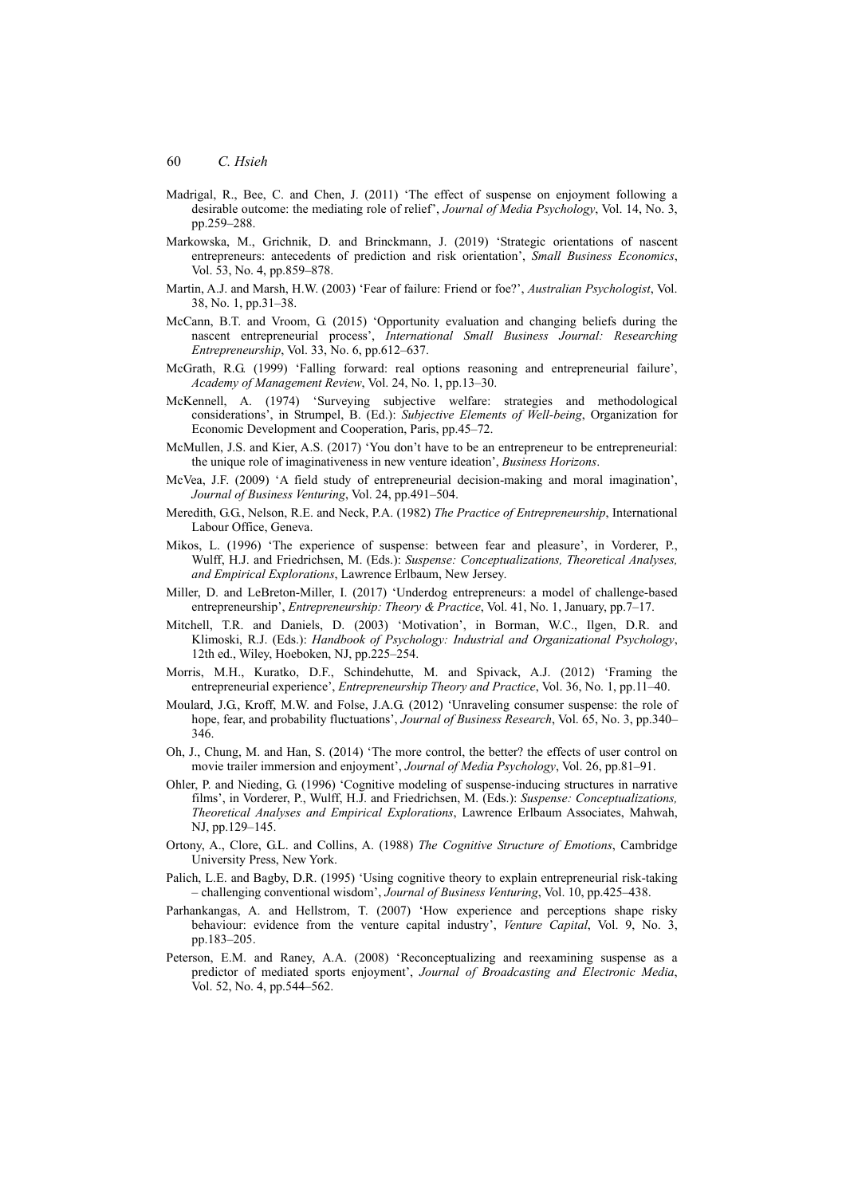- Madrigal, R., Bee, C. and Chen, J. (2011) 'The effect of suspense on enjoyment following a desirable outcome: the mediating role of relief', *Journal of Media Psychology*, Vol. 14, No. 3, pp.259–288.
- Markowska, M., Grichnik, D. and Brinckmann, J. (2019) 'Strategic orientations of nascent entrepreneurs: antecedents of prediction and risk orientation', *Small Business Economics*, Vol. 53, No. 4, pp.859–878.
- Martin, A.J. and Marsh, H.W. (2003) 'Fear of failure: Friend or foe?', *Australian Psychologist*, Vol. 38, No. 1, pp.31–38.
- McCann, B.T. and Vroom, G. (2015) 'Opportunity evaluation and changing beliefs during the nascent entrepreneurial process', *International Small Business Journal: Researching Entrepreneurship*, Vol. 33, No. 6, pp.612–637.
- McGrath, R.G. (1999) 'Falling forward: real options reasoning and entrepreneurial failure', *Academy of Management Review*, Vol. 24, No. 1, pp.13–30.
- McKennell, A. (1974) 'Surveying subjective welfare: strategies and methodological considerations', in Strumpel, B. (Ed.): *Subjective Elements of Well-being*, Organization for Economic Development and Cooperation, Paris, pp.45–72.
- McMullen, J.S. and Kier, A.S. (2017) 'You don't have to be an entrepreneur to be entrepreneurial: the unique role of imaginativeness in new venture ideation', *Business Horizons*.
- McVea, J.F. (2009) 'A field study of entrepreneurial decision-making and moral imagination', *Journal of Business Venturing*, Vol. 24, pp.491–504.
- Meredith, G.G., Nelson, R.E. and Neck, P.A. (1982) *The Practice of Entrepreneurship*, International Labour Office, Geneva.
- Mikos, L. (1996) 'The experience of suspense: between fear and pleasure', in Vorderer, P., Wulff, H.J. and Friedrichsen, M. (Eds.): *Suspense: Conceptualizations, Theoretical Analyses, and Empirical Explorations*, Lawrence Erlbaum, New Jersey.
- Miller, D. and LeBreton-Miller, I. (2017) 'Underdog entrepreneurs: a model of challenge-based entrepreneurship', *Entrepreneurship: Theory & Practice*, Vol. 41, No. 1, January, pp.7–17.
- Mitchell, T.R. and Daniels, D. (2003) 'Motivation', in Borman, W.C., Ilgen, D.R. and Klimoski, R.J. (Eds.): *Handbook of Psychology: Industrial and Organizational Psychology*, 12th ed., Wiley, Hoeboken, NJ, pp.225–254.
- Morris, M.H., Kuratko, D.F., Schindehutte, M. and Spivack, A.J. (2012) 'Framing the entrepreneurial experience', *Entrepreneurship Theory and Practice*, Vol. 36, No. 1, pp.11–40.
- Moulard, J.G., Kroff, M.W. and Folse, J.A.G. (2012) 'Unraveling consumer suspense: the role of hope, fear, and probability fluctuations', *Journal of Business Research*, Vol. 65, No. 3, pp.340– 346.
- Oh, J., Chung, M. and Han, S. (2014) 'The more control, the better? the effects of user control on movie trailer immersion and enjoyment', *Journal of Media Psychology*, Vol. 26, pp.81–91.
- Ohler, P. and Nieding, G. (1996) 'Cognitive modeling of suspense-inducing structures in narrative films', in Vorderer, P., Wulff, H.J. and Friedrichsen, M. (Eds.): *Suspense: Conceptualizations, Theoretical Analyses and Empirical Explorations*, Lawrence Erlbaum Associates, Mahwah, NJ, pp.129–145.
- Ortony, A., Clore, G.L. and Collins, A. (1988) *The Cognitive Structure of Emotions*, Cambridge University Press, New York.
- Palich, L.E. and Bagby, D.R. (1995) 'Using cognitive theory to explain entrepreneurial risk-taking – challenging conventional wisdom', *Journal of Business Venturing*, Vol. 10, pp.425–438.
- Parhankangas, A. and Hellstrom, T. (2007) 'How experience and perceptions shape risky behaviour: evidence from the venture capital industry', *Venture Capital*, Vol. 9, No. 3, pp.183–205.
- Peterson, E.M. and Raney, A.A. (2008) 'Reconceptualizing and reexamining suspense as a predictor of mediated sports enjoyment', *Journal of Broadcasting and Electronic Media*, Vol. 52, No. 4, pp.544–562.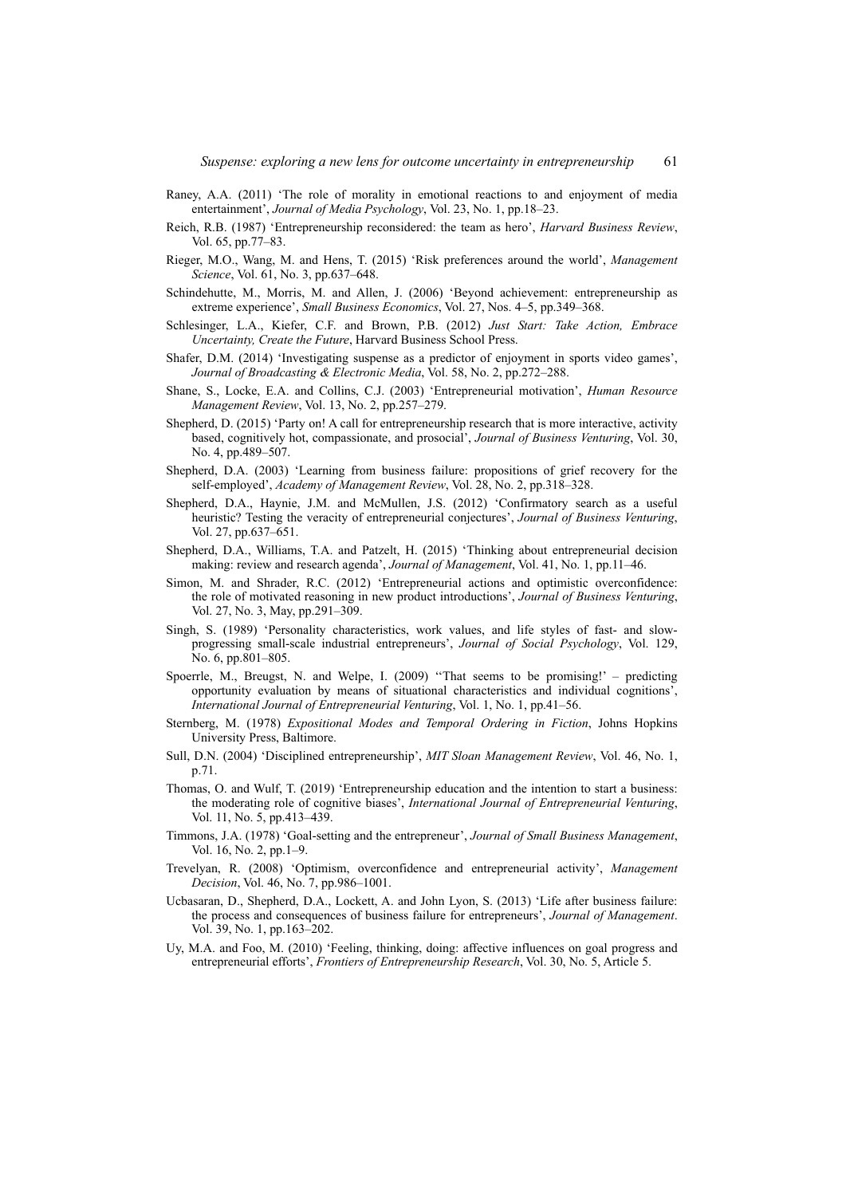- Raney, A.A. (2011) 'The role of morality in emotional reactions to and enjoyment of media entertainment', *Journal of Media Psychology*, Vol. 23, No. 1, pp.18–23.
- Reich, R.B. (1987) 'Entrepreneurship reconsidered: the team as hero', *Harvard Business Review*, Vol. 65, pp.77–83.
- Rieger, M.O., Wang, M. and Hens, T. (2015) 'Risk preferences around the world', *Management Science*, Vol. 61, No. 3, pp.637–648.
- Schindehutte, M., Morris, M. and Allen, J. (2006) 'Beyond achievement: entrepreneurship as extreme experience', *Small Business Economics*, Vol. 27, Nos. 4–5, pp.349–368.
- Schlesinger, L.A., Kiefer, C.F. and Brown, P.B. (2012) *Just Start: Take Action, Embrace Uncertainty, Create the Future*, Harvard Business School Press.
- Shafer, D.M. (2014) 'Investigating suspense as a predictor of enjoyment in sports video games', *Journal of Broadcasting & Electronic Media*, Vol. 58, No. 2, pp.272–288.
- Shane, S., Locke, E.A. and Collins, C.J. (2003) 'Entrepreneurial motivation', *Human Resource Management Review*, Vol. 13, No. 2, pp.257–279.
- Shepherd, D. (2015) 'Party on! A call for entrepreneurship research that is more interactive, activity based, cognitively hot, compassionate, and prosocial', *Journal of Business Venturing*, Vol. 30, No. 4, pp.489–507.
- Shepherd, D.A. (2003) 'Learning from business failure: propositions of grief recovery for the self-employed', *Academy of Management Review*, Vol. 28, No. 2, pp.318–328.
- Shepherd, D.A., Haynie, J.M. and McMullen, J.S. (2012) 'Confirmatory search as a useful heuristic? Testing the veracity of entrepreneurial conjectures', *Journal of Business Venturing*, Vol. 27, pp.637–651.
- Shepherd, D.A., Williams, T.A. and Patzelt, H. (2015) 'Thinking about entrepreneurial decision making: review and research agenda', *Journal of Management*, Vol. 41, No. 1, pp.11–46.
- Simon, M. and Shrader, R.C. (2012) 'Entrepreneurial actions and optimistic overconfidence: the role of motivated reasoning in new product introductions', *Journal of Business Venturing*, Vol. 27, No. 3, May, pp.291–309.
- Singh, S. (1989) 'Personality characteristics, work values, and life styles of fast- and slowprogressing small-scale industrial entrepreneurs', *Journal of Social Psychology*, Vol. 129, No. 6, pp.801–805.
- Spoerrle, M., Breugst, N. and Welpe, I. (2009) ''That seems to be promising!' predicting opportunity evaluation by means of situational characteristics and individual cognitions', *International Journal of Entrepreneurial Venturing*, Vol. 1, No. 1, pp.41–56.
- Sternberg, M. (1978) *Expositional Modes and Temporal Ordering in Fiction*, Johns Hopkins University Press, Baltimore.
- Sull, D.N. (2004) 'Disciplined entrepreneurship', *MIT Sloan Management Review*, Vol. 46, No. 1, p.71.
- Thomas, O. and Wulf, T. (2019) 'Entrepreneurship education and the intention to start a business: the moderating role of cognitive biases', *International Journal of Entrepreneurial Venturing*, Vol. 11, No. 5, pp.413–439.
- Timmons, J.A. (1978) 'Goal-setting and the entrepreneur', *Journal of Small Business Management*, Vol. 16, No. 2, pp.1–9.
- Trevelyan, R. (2008) 'Optimism, overconfidence and entrepreneurial activity', *Management Decision*, Vol. 46, No. 7, pp.986–1001.
- Ucbasaran, D., Shepherd, D.A., Lockett, A. and John Lyon, S. (2013) 'Life after business failure: the process and consequences of business failure for entrepreneurs', *Journal of Management*. Vol. 39, No. 1, pp.163–202.
- Uy, M.A. and Foo, M. (2010) 'Feeling, thinking, doing: affective influences on goal progress and entrepreneurial efforts', *Frontiers of Entrepreneurship Research*, Vol. 30, No. 5, Article 5.